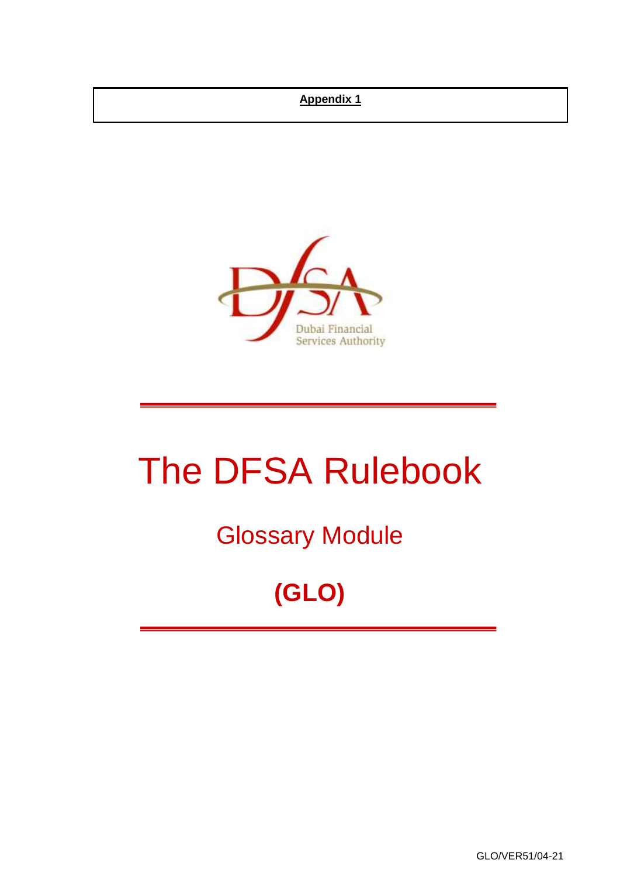#### **Appendix 1**



# The DFSA Rulebook

# Glossary Module

# **(GLO)**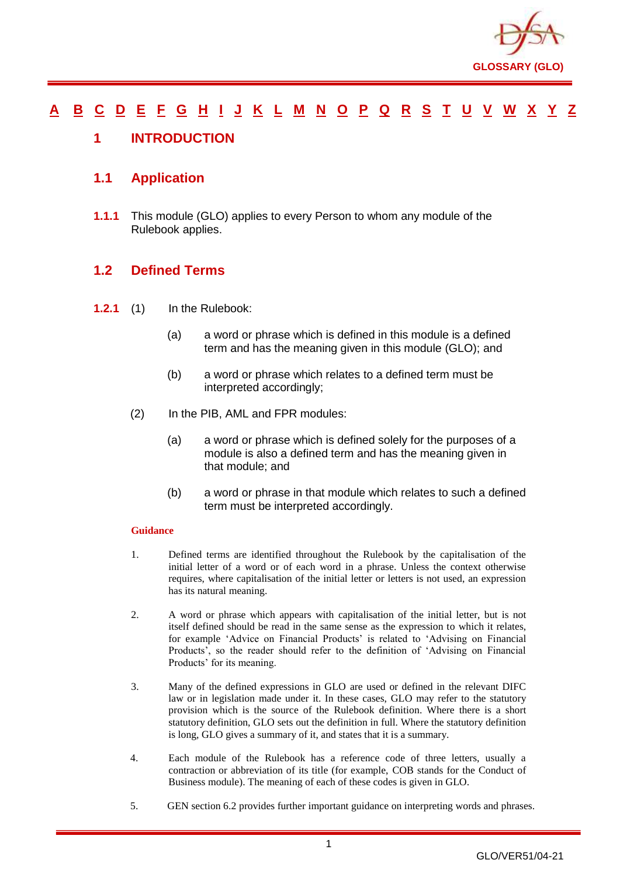

#### <u>[A](#page-2-0) [B](#page-7-0) [C](#page-9-0) [D](#page-19-0) [E](#page-23-0) [F](#page-25-0) [G](#page-28-0) [H](#page-32-0) [I](#page-33-0) [J](#page-38-0) [K](#page-38-1) [L](#page-39-0) [M](#page-42-0) [N](#page-46-0) [O](#page-48-0) [P](#page-50-0) [Q](#page-56-0) [R](#page-57-0) [S](#page-62-0) [T](#page-67-0) [U](#page-69-0) [V](#page-70-0) [W](#page-71-0) [X](#page-72-0) [Y](#page-73-0) [Z](#page-74-0)</u>

#### <span id="page-1-0"></span>**1 INTRODUCTION**

#### **1.1 Application**

**1.1.1** This module (GLO) applies to every Person to whom any module of the Rulebook applies.

#### **1.2 Defined Terms**

- **1.2.1** (1) In the Rulebook:
	- (a) a word or phrase which is defined in this module is a defined term and has the meaning given in this module (GLO); and
	- (b) a word or phrase which relates to a defined term must be interpreted accordingly;
	- (2) In the PIB, AML and FPR modules:
		- (a) a word or phrase which is defined solely for the purposes of a module is also a defined term and has the meaning given in that module; and
		- (b) a word or phrase in that module which relates to such a defined term must be interpreted accordingly.

#### **Guidance**

- 1. Defined terms are identified throughout the Rulebook by the capitalisation of the initial letter of a word or of each word in a phrase. Unless the context otherwise requires, where capitalisation of the initial letter or letters is not used, an expression has its natural meaning.
- 2. A word or phrase which appears with capitalisation of the initial letter, but is not itself defined should be read in the same sense as the expression to which it relates, for example 'Advice on Financial Products' is related to 'Advising on Financial Products', so the reader should refer to the definition of 'Advising on Financial Products' for its meaning.
- 3. Many of the defined expressions in GLO are used or defined in the relevant DIFC law or in legislation made under it. In these cases, GLO may refer to the statutory provision which is the source of the Rulebook definition. Where there is a short statutory definition, GLO sets out the definition in full. Where the statutory definition is long, GLO gives a summary of it, and states that it is a summary.
- 4. Each module of the Rulebook has a reference code of three letters, usually a contraction or abbreviation of its title (for example, COB stands for the Conduct of Business module). The meaning of each of these codes is given in GLO.
- 5. GEN section 6.2 provides further important guidance on interpreting words and phrases.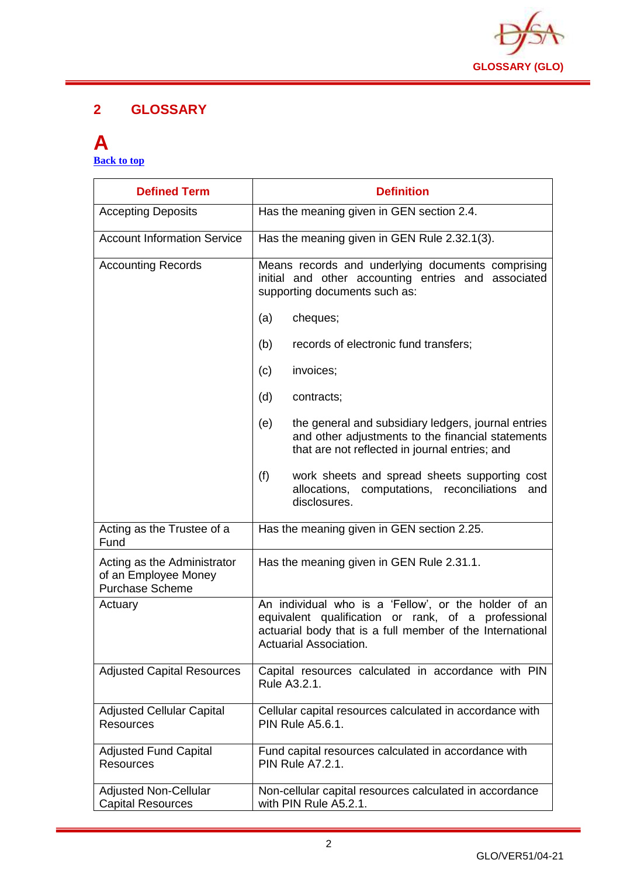

#### **2 GLOSSARY**

#### <span id="page-2-0"></span>**A [Back to top](#page-1-0)**

| <b>Defined Term</b>                                                           | <b>Definition</b>                                                                                                                                                                                  |
|-------------------------------------------------------------------------------|----------------------------------------------------------------------------------------------------------------------------------------------------------------------------------------------------|
| <b>Accepting Deposits</b>                                                     | Has the meaning given in GEN section 2.4.                                                                                                                                                          |
| <b>Account Information Service</b>                                            | Has the meaning given in GEN Rule 2.32.1(3).                                                                                                                                                       |
| <b>Accounting Records</b>                                                     | Means records and underlying documents comprising<br>initial and other accounting entries and associated<br>supporting documents such as:                                                          |
|                                                                               | (a)<br>cheques;                                                                                                                                                                                    |
|                                                                               | (b)<br>records of electronic fund transfers;                                                                                                                                                       |
|                                                                               | invoices;<br>(c)                                                                                                                                                                                   |
|                                                                               | (d)<br>contracts;                                                                                                                                                                                  |
|                                                                               | the general and subsidiary ledgers, journal entries<br>(e)<br>and other adjustments to the financial statements<br>that are not reflected in journal entries; and                                  |
|                                                                               | (f)<br>work sheets and spread sheets supporting cost<br>allocations, computations, reconciliations<br>and<br>disclosures.                                                                          |
| Acting as the Trustee of a<br>Fund                                            | Has the meaning given in GEN section 2.25.                                                                                                                                                         |
| Acting as the Administrator<br>of an Employee Money<br><b>Purchase Scheme</b> | Has the meaning given in GEN Rule 2.31.1.                                                                                                                                                          |
| Actuary                                                                       | An individual who is a 'Fellow', or the holder of an<br>equivalent qualification or rank, of a professional<br>actuarial body that is a full member of the International<br>Actuarial Association. |
| <b>Adjusted Capital Resources</b>                                             | Capital resources calculated in accordance with PIN<br>Rule A3.2.1.                                                                                                                                |
| <b>Adjusted Cellular Capital</b><br><b>Resources</b>                          | Cellular capital resources calculated in accordance with<br><b>PIN Rule A5.6.1.</b>                                                                                                                |
| <b>Adjusted Fund Capital</b><br><b>Resources</b>                              | Fund capital resources calculated in accordance with<br><b>PIN Rule A7.2.1.</b>                                                                                                                    |
| <b>Adjusted Non-Cellular</b><br><b>Capital Resources</b>                      | Non-cellular capital resources calculated in accordance<br>with PIN Rule A5.2.1.                                                                                                                   |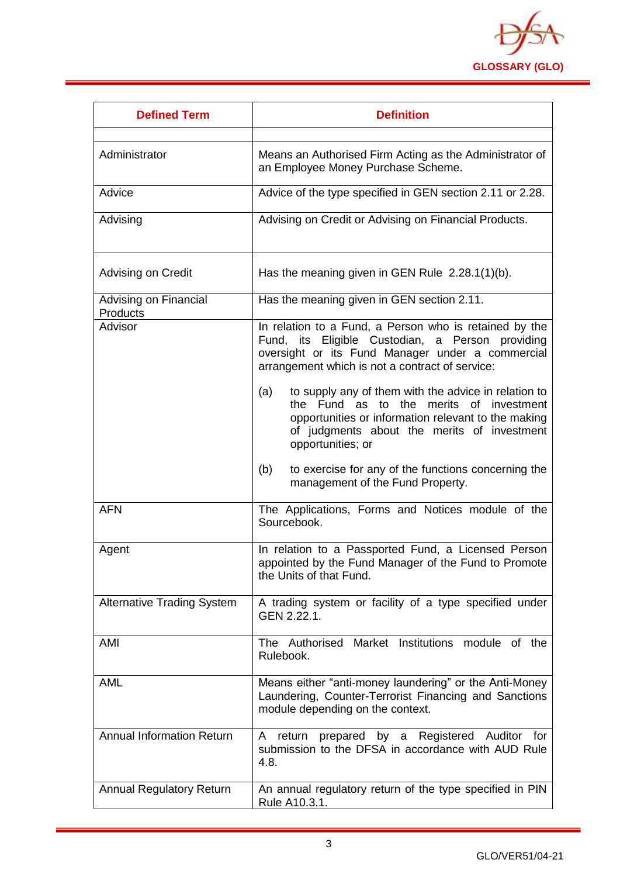

| <b>Defined Term</b>               | <b>Definition</b>                                                                                                                                                                                                                 |
|-----------------------------------|-----------------------------------------------------------------------------------------------------------------------------------------------------------------------------------------------------------------------------------|
| Administrator                     | Means an Authorised Firm Acting as the Administrator of<br>an Employee Money Purchase Scheme.                                                                                                                                     |
| Advice                            | Advice of the type specified in GEN section 2.11 or 2.28.                                                                                                                                                                         |
| Advising                          | Advising on Credit or Advising on Financial Products.                                                                                                                                                                             |
| Advising on Credit                | Has the meaning given in GEN Rule $2.28.1(1)(b)$ .                                                                                                                                                                                |
| Advising on Financial<br>Products | Has the meaning given in GEN section 2.11.                                                                                                                                                                                        |
| Advisor                           | In relation to a Fund, a Person who is retained by the<br>Fund, its Eligible Custodian, a Person providing<br>oversight or its Fund Manager under a commercial<br>arrangement which is not a contract of service:                 |
|                                   | to supply any of them with the advice in relation to<br>(a)<br>the Fund as to the merits of investment<br>opportunities or information relevant to the making<br>of judgments about the merits of investment<br>opportunities; or |
|                                   | (b)<br>to exercise for any of the functions concerning the<br>management of the Fund Property.                                                                                                                                    |
| <b>AFN</b>                        | The Applications, Forms and Notices module of the<br>Sourcebook.                                                                                                                                                                  |
| Agent                             | In relation to a Passported Fund, a Licensed Person<br>appointed by the Fund Manager of the Fund to Promote<br>the Units of that Fund.                                                                                            |
| <b>Alternative Trading System</b> | A trading system or facility of a type specified under<br>GEN 2.22.1.                                                                                                                                                             |
| AMI                               | Market Institutions module of the<br>The Authorised<br>Rulebook.                                                                                                                                                                  |
| <b>AML</b>                        | Means either "anti-money laundering" or the Anti-Money<br>Laundering, Counter-Terrorist Financing and Sanctions<br>module depending on the context.                                                                               |
| <b>Annual Information Return</b>  | prepared by a Registered Auditor for<br>A<br>return<br>submission to the DFSA in accordance with AUD Rule<br>4.8.                                                                                                                 |
| <b>Annual Regulatory Return</b>   | An annual regulatory return of the type specified in PIN<br>Rule A10.3.1.                                                                                                                                                         |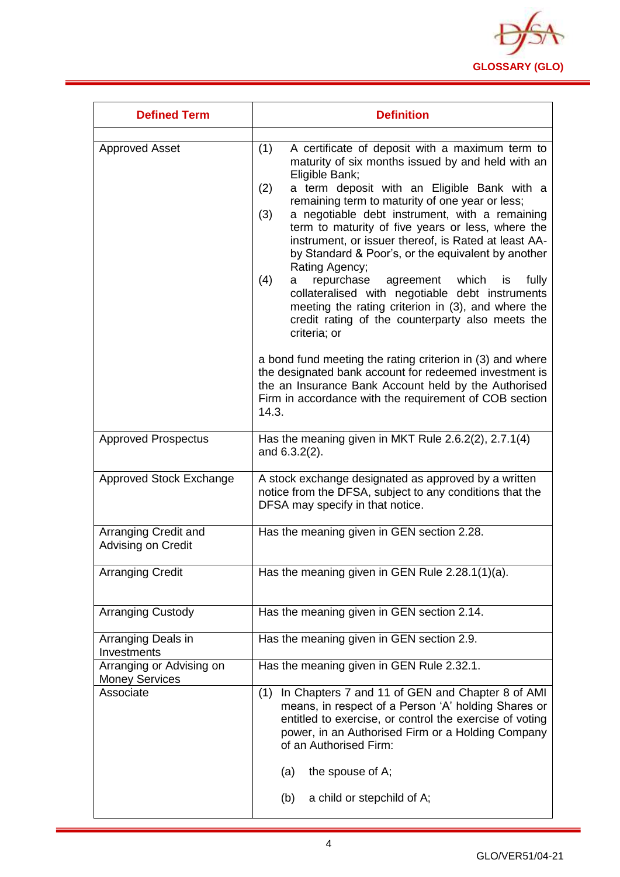

| <b>Defined Term</b>                               | <b>Definition</b>                                                                                                                                                                                                                                                                                                                                                                                                                                                                                                                                                                                                                                                                                                                                                                                                                                                                                                                                                            |
|---------------------------------------------------|------------------------------------------------------------------------------------------------------------------------------------------------------------------------------------------------------------------------------------------------------------------------------------------------------------------------------------------------------------------------------------------------------------------------------------------------------------------------------------------------------------------------------------------------------------------------------------------------------------------------------------------------------------------------------------------------------------------------------------------------------------------------------------------------------------------------------------------------------------------------------------------------------------------------------------------------------------------------------|
| <b>Approved Asset</b>                             | (1)<br>A certificate of deposit with a maximum term to<br>maturity of six months issued by and held with an<br>Eligible Bank;<br>a term deposit with an Eligible Bank with a<br>(2)<br>remaining term to maturity of one year or less;<br>a negotiable debt instrument, with a remaining<br>(3)<br>term to maturity of five years or less, where the<br>instrument, or issuer thereof, is Rated at least AA-<br>by Standard & Poor's, or the equivalent by another<br>Rating Agency;<br>(4)<br>repurchase<br>agreement which is<br>fully<br>a<br>collateralised with negotiable debt instruments<br>meeting the rating criterion in (3), and where the<br>credit rating of the counterparty also meets the<br>criteria; or<br>a bond fund meeting the rating criterion in (3) and where<br>the designated bank account for redeemed investment is<br>the an Insurance Bank Account held by the Authorised<br>Firm in accordance with the requirement of COB section<br>14.3. |
| <b>Approved Prospectus</b>                        | Has the meaning given in MKT Rule 2.6.2(2), 2.7.1(4)<br>and 6.3.2(2).                                                                                                                                                                                                                                                                                                                                                                                                                                                                                                                                                                                                                                                                                                                                                                                                                                                                                                        |
| Approved Stock Exchange                           | A stock exchange designated as approved by a written<br>notice from the DFSA, subject to any conditions that the<br>DFSA may specify in that notice.                                                                                                                                                                                                                                                                                                                                                                                                                                                                                                                                                                                                                                                                                                                                                                                                                         |
| Arranging Credit and<br>Advising on Credit        | Has the meaning given in GEN section 2.28.                                                                                                                                                                                                                                                                                                                                                                                                                                                                                                                                                                                                                                                                                                                                                                                                                                                                                                                                   |
| <b>Arranging Credit</b>                           | Has the meaning given in GEN Rule 2.28.1(1)(a).                                                                                                                                                                                                                                                                                                                                                                                                                                                                                                                                                                                                                                                                                                                                                                                                                                                                                                                              |
| <b>Arranging Custody</b>                          | Has the meaning given in GEN section 2.14.                                                                                                                                                                                                                                                                                                                                                                                                                                                                                                                                                                                                                                                                                                                                                                                                                                                                                                                                   |
| Arranging Deals in<br>Investments                 | Has the meaning given in GEN section 2.9.                                                                                                                                                                                                                                                                                                                                                                                                                                                                                                                                                                                                                                                                                                                                                                                                                                                                                                                                    |
| Arranging or Advising on<br><b>Money Services</b> | Has the meaning given in GEN Rule 2.32.1.                                                                                                                                                                                                                                                                                                                                                                                                                                                                                                                                                                                                                                                                                                                                                                                                                                                                                                                                    |
| Associate                                         | In Chapters 7 and 11 of GEN and Chapter 8 of AMI<br>(1)<br>means, in respect of a Person 'A' holding Shares or<br>entitled to exercise, or control the exercise of voting<br>power, in an Authorised Firm or a Holding Company<br>of an Authorised Firm:<br>the spouse of A;<br>(a)                                                                                                                                                                                                                                                                                                                                                                                                                                                                                                                                                                                                                                                                                          |
|                                                   | a child or stepchild of A;<br>(b)                                                                                                                                                                                                                                                                                                                                                                                                                                                                                                                                                                                                                                                                                                                                                                                                                                                                                                                                            |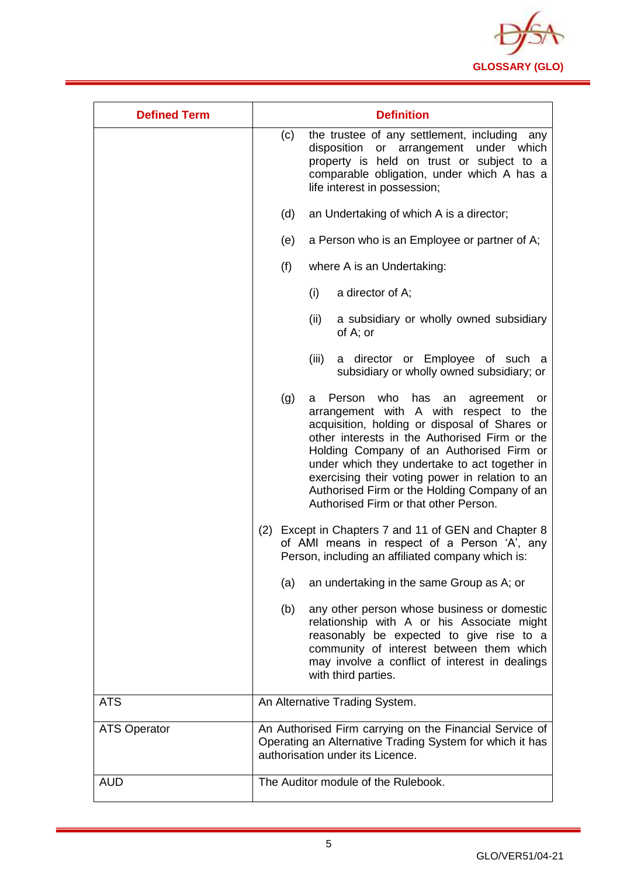

| <b>Defined Term</b> | <b>Definition</b>                                                                                                                                                                                                                                                                                                                                                                                                                           |  |
|---------------------|---------------------------------------------------------------------------------------------------------------------------------------------------------------------------------------------------------------------------------------------------------------------------------------------------------------------------------------------------------------------------------------------------------------------------------------------|--|
|                     | the trustee of any settlement, including<br>(c)<br>any<br>or arrangement<br>disposition<br>under which<br>property is held on trust or subject to a<br>comparable obligation, under which A has a<br>life interest in possession;                                                                                                                                                                                                           |  |
|                     | (d)<br>an Undertaking of which A is a director;                                                                                                                                                                                                                                                                                                                                                                                             |  |
|                     | a Person who is an Employee or partner of A;<br>(e)                                                                                                                                                                                                                                                                                                                                                                                         |  |
|                     | (f)<br>where A is an Undertaking:                                                                                                                                                                                                                                                                                                                                                                                                           |  |
|                     | (i)<br>a director of A;                                                                                                                                                                                                                                                                                                                                                                                                                     |  |
|                     | (ii)<br>a subsidiary or wholly owned subsidiary<br>of A; or                                                                                                                                                                                                                                                                                                                                                                                 |  |
|                     | a director or Employee of such a<br>(iii)<br>subsidiary or wholly owned subsidiary; or                                                                                                                                                                                                                                                                                                                                                      |  |
|                     | (g)<br>Person who<br>has<br>an<br>agreement<br>a<br>or<br>arrangement with A with respect to the<br>acquisition, holding or disposal of Shares or<br>other interests in the Authorised Firm or the<br>Holding Company of an Authorised Firm or<br>under which they undertake to act together in<br>exercising their voting power in relation to an<br>Authorised Firm or the Holding Company of an<br>Authorised Firm or that other Person. |  |
|                     | Except in Chapters 7 and 11 of GEN and Chapter 8<br>(2)<br>of AMI means in respect of a Person 'A', any<br>Person, including an affiliated company which is:                                                                                                                                                                                                                                                                                |  |
|                     | an undertaking in the same Group as A; or<br>(a)                                                                                                                                                                                                                                                                                                                                                                                            |  |
|                     | (b)<br>any other person whose business or domestic<br>relationship with A or his Associate might<br>reasonably be expected to give rise to a<br>community of interest between them which<br>may involve a conflict of interest in dealings<br>with third parties.                                                                                                                                                                           |  |
| <b>ATS</b>          | An Alternative Trading System.                                                                                                                                                                                                                                                                                                                                                                                                              |  |
| <b>ATS Operator</b> | An Authorised Firm carrying on the Financial Service of<br>Operating an Alternative Trading System for which it has<br>authorisation under its Licence.                                                                                                                                                                                                                                                                                     |  |
| <b>AUD</b>          | The Auditor module of the Rulebook.                                                                                                                                                                                                                                                                                                                                                                                                         |  |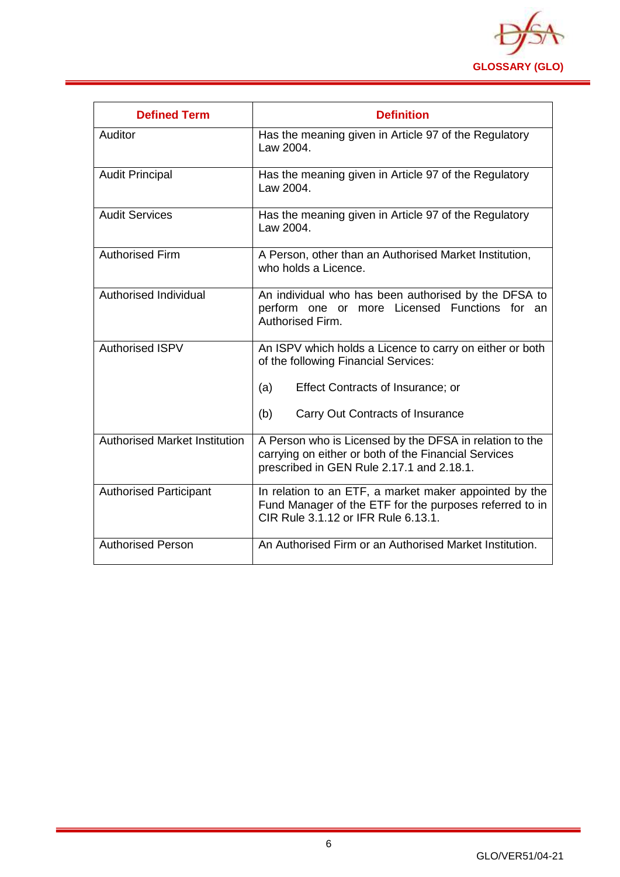

| <b>Defined Term</b>                  | <b>Definition</b>                                                                                                                                            |
|--------------------------------------|--------------------------------------------------------------------------------------------------------------------------------------------------------------|
| Auditor                              | Has the meaning given in Article 97 of the Regulatory<br>Law 2004.                                                                                           |
| <b>Audit Principal</b>               | Has the meaning given in Article 97 of the Regulatory<br>Law 2004.                                                                                           |
| <b>Audit Services</b>                | Has the meaning given in Article 97 of the Regulatory<br>Law 2004.                                                                                           |
| <b>Authorised Firm</b>               | A Person, other than an Authorised Market Institution,<br>who holds a Licence.                                                                               |
| Authorised Individual                | An individual who has been authorised by the DFSA to<br>perform one or more Licensed Functions for an<br>Authorised Firm.                                    |
| <b>Authorised ISPV</b>               | An ISPV which holds a Licence to carry on either or both<br>of the following Financial Services:                                                             |
|                                      | Effect Contracts of Insurance; or<br>(a)                                                                                                                     |
|                                      | (b)<br>Carry Out Contracts of Insurance                                                                                                                      |
| <b>Authorised Market Institution</b> | A Person who is Licensed by the DFSA in relation to the<br>carrying on either or both of the Financial Services<br>prescribed in GEN Rule 2.17.1 and 2.18.1. |
| <b>Authorised Participant</b>        | In relation to an ETF, a market maker appointed by the<br>Fund Manager of the ETF for the purposes referred to in<br>CIR Rule 3.1.12 or IFR Rule 6.13.1.     |
| <b>Authorised Person</b>             | An Authorised Firm or an Authorised Market Institution.                                                                                                      |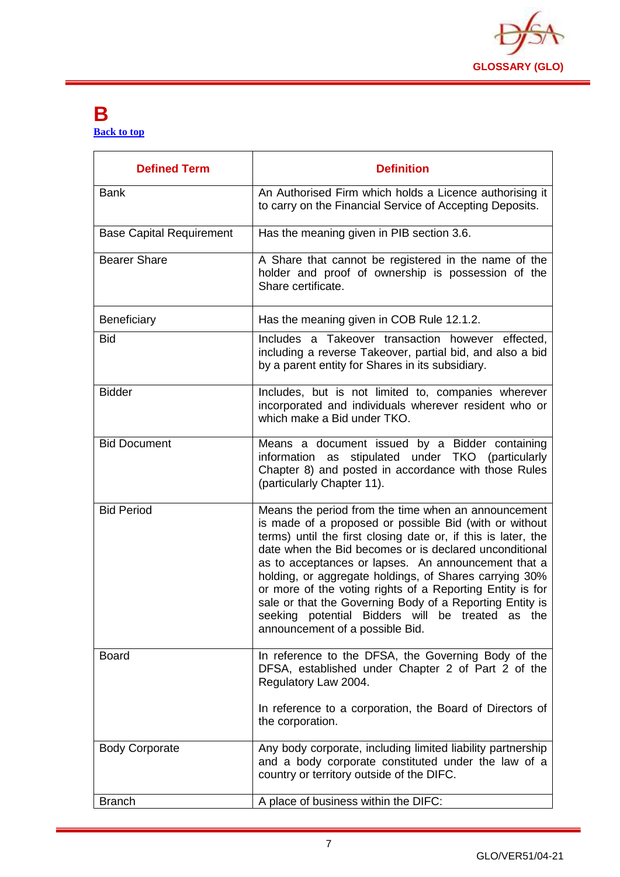

#### <span id="page-7-0"></span>**B [Back to top](#page-1-0)**

| <b>Defined Term</b>             | <b>Definition</b>                                                                                                                                                                                                                                                                                                                                                                                                                                                                                                                                                            |
|---------------------------------|------------------------------------------------------------------------------------------------------------------------------------------------------------------------------------------------------------------------------------------------------------------------------------------------------------------------------------------------------------------------------------------------------------------------------------------------------------------------------------------------------------------------------------------------------------------------------|
| <b>Bank</b>                     | An Authorised Firm which holds a Licence authorising it<br>to carry on the Financial Service of Accepting Deposits.                                                                                                                                                                                                                                                                                                                                                                                                                                                          |
| <b>Base Capital Requirement</b> | Has the meaning given in PIB section 3.6.                                                                                                                                                                                                                                                                                                                                                                                                                                                                                                                                    |
| <b>Bearer Share</b>             | A Share that cannot be registered in the name of the<br>holder and proof of ownership is possession of the<br>Share certificate.                                                                                                                                                                                                                                                                                                                                                                                                                                             |
| Beneficiary                     | Has the meaning given in COB Rule 12.1.2.                                                                                                                                                                                                                                                                                                                                                                                                                                                                                                                                    |
| <b>Bid</b>                      | Includes a Takeover transaction however effected,<br>including a reverse Takeover, partial bid, and also a bid<br>by a parent entity for Shares in its subsidiary.                                                                                                                                                                                                                                                                                                                                                                                                           |
| <b>Bidder</b>                   | Includes, but is not limited to, companies wherever<br>incorporated and individuals wherever resident who or<br>which make a Bid under TKO.                                                                                                                                                                                                                                                                                                                                                                                                                                  |
| <b>Bid Document</b>             | Means a document issued by a Bidder containing<br>stipulated under TKO (particularly<br>information as<br>Chapter 8) and posted in accordance with those Rules<br>(particularly Chapter 11).                                                                                                                                                                                                                                                                                                                                                                                 |
| <b>Bid Period</b>               | Means the period from the time when an announcement<br>is made of a proposed or possible Bid (with or without<br>terms) until the first closing date or, if this is later, the<br>date when the Bid becomes or is declared unconditional<br>as to acceptances or lapses. An announcement that a<br>holding, or aggregate holdings, of Shares carrying 30%<br>or more of the voting rights of a Reporting Entity is for<br>sale or that the Governing Body of a Reporting Entity is<br>seeking<br>potential Bidders will be treated as the<br>announcement of a possible Bid. |
| <b>Board</b>                    | In reference to the DFSA, the Governing Body of the<br>DFSA, established under Chapter 2 of Part 2 of the<br>Regulatory Law 2004.<br>In reference to a corporation, the Board of Directors of                                                                                                                                                                                                                                                                                                                                                                                |
|                                 | the corporation.                                                                                                                                                                                                                                                                                                                                                                                                                                                                                                                                                             |
| <b>Body Corporate</b>           | Any body corporate, including limited liability partnership<br>and a body corporate constituted under the law of a<br>country or territory outside of the DIFC.                                                                                                                                                                                                                                                                                                                                                                                                              |
| <b>Branch</b>                   | A place of business within the DIFC:                                                                                                                                                                                                                                                                                                                                                                                                                                                                                                                                         |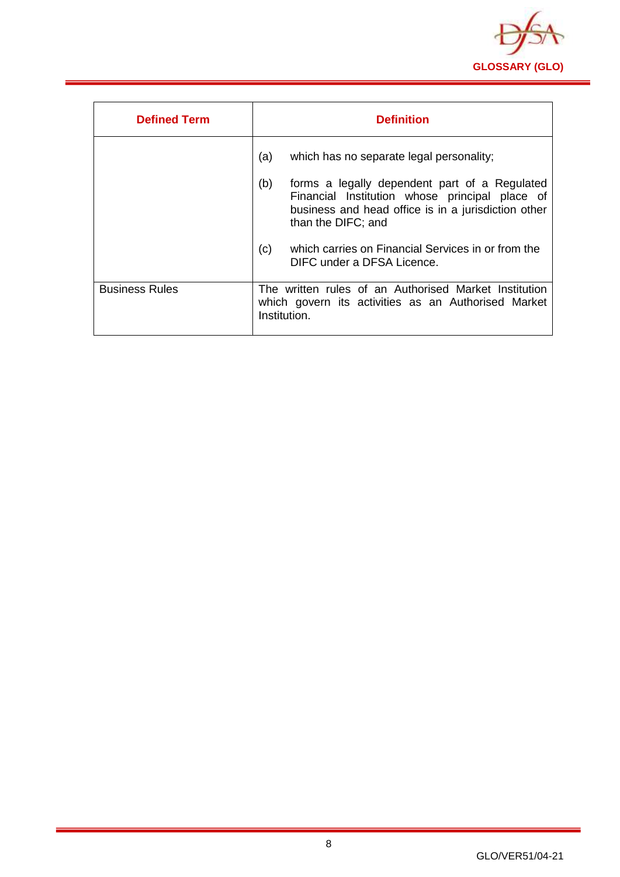

| <b>Defined Term</b>   | <b>Definition</b>                                                                                                                                                                   |
|-----------------------|-------------------------------------------------------------------------------------------------------------------------------------------------------------------------------------|
|                       | (a)<br>which has no separate legal personality;                                                                                                                                     |
|                       | (b)<br>forms a legally dependent part of a Regulated<br>Financial Institution whose principal place of<br>business and head office is in a jurisdiction other<br>than the DIFC; and |
|                       | which carries on Financial Services in or from the<br>(c)<br>DIFC under a DFSA Licence.                                                                                             |
| <b>Business Rules</b> | The written rules of an Authorised Market Institution<br>which govern its activities as an Authorised Market<br>Institution.                                                        |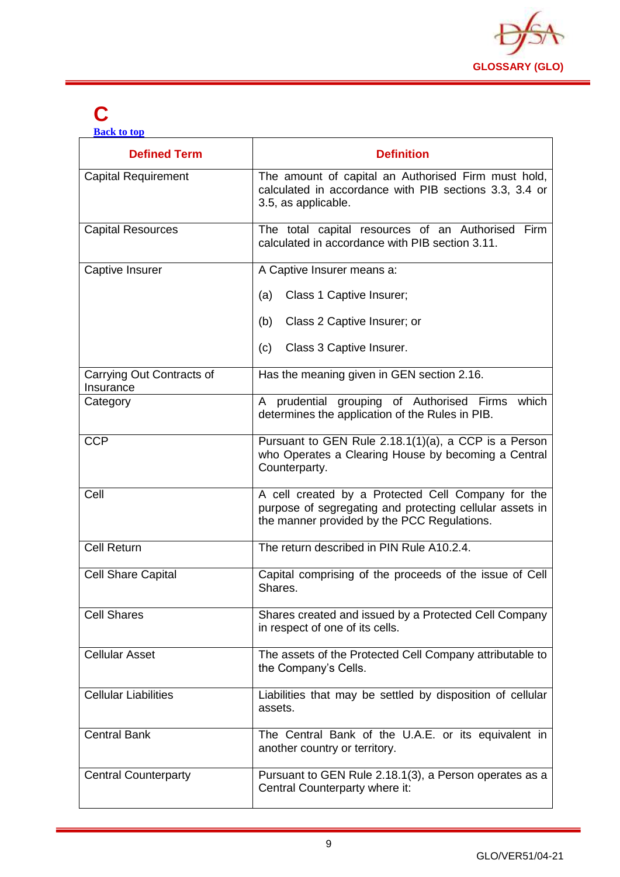

# <span id="page-9-0"></span>**C**

| <b>Back to top</b> |  |  |
|--------------------|--|--|
|                    |  |  |
|                    |  |  |

| <b>Defined Term</b>                    | <b>Definition</b>                                                                                                                                             |
|----------------------------------------|---------------------------------------------------------------------------------------------------------------------------------------------------------------|
| <b>Capital Requirement</b>             | The amount of capital an Authorised Firm must hold,<br>calculated in accordance with PIB sections 3.3, 3.4 or<br>3.5, as applicable.                          |
| <b>Capital Resources</b>               | The total capital resources of an Authorised Firm<br>calculated in accordance with PIB section 3.11.                                                          |
| Captive Insurer                        | A Captive Insurer means a:                                                                                                                                    |
|                                        | Class 1 Captive Insurer;<br>(a)                                                                                                                               |
|                                        | Class 2 Captive Insurer; or<br>(b)                                                                                                                            |
|                                        | Class 3 Captive Insurer.<br>(c)                                                                                                                               |
| Carrying Out Contracts of<br>Insurance | Has the meaning given in GEN section 2.16.                                                                                                                    |
| Category                               | A prudential grouping of Authorised Firms which<br>determines the application of the Rules in PIB.                                                            |
| <b>CCP</b>                             | Pursuant to GEN Rule 2.18.1(1)(a), a CCP is a Person<br>who Operates a Clearing House by becoming a Central<br>Counterparty.                                  |
| Cell                                   | A cell created by a Protected Cell Company for the<br>purpose of segregating and protecting cellular assets in<br>the manner provided by the PCC Regulations. |
| <b>Cell Return</b>                     | The return described in PIN Rule A10.2.4.                                                                                                                     |
| <b>Cell Share Capital</b>              | Capital comprising of the proceeds of the issue of Cell<br>Shares.                                                                                            |
| <b>Cell Shares</b>                     | Shares created and issued by a Protected Cell Company<br>in respect of one of its cells.                                                                      |
| <b>Cellular Asset</b>                  | The assets of the Protected Cell Company attributable to<br>the Company's Cells.                                                                              |
| <b>Cellular Liabilities</b>            | Liabilities that may be settled by disposition of cellular<br>assets.                                                                                         |
| <b>Central Bank</b>                    | The Central Bank of the U.A.E. or its equivalent in<br>another country or territory.                                                                          |
| <b>Central Counterparty</b>            | Pursuant to GEN Rule 2.18.1(3), a Person operates as a<br>Central Counterparty where it:                                                                      |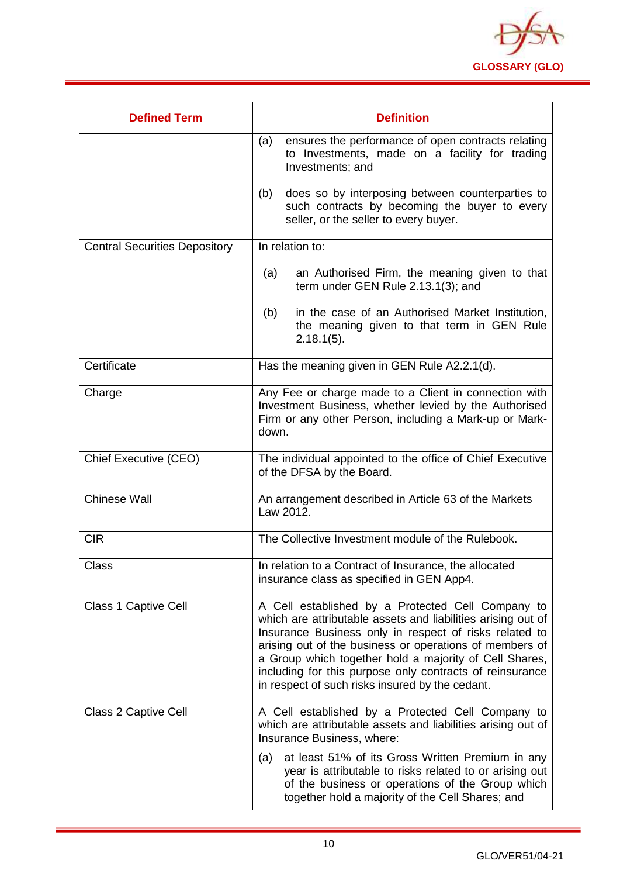

| <b>Defined Term</b>                  | <b>Definition</b>                                                                                                                                                                                                                                                                                                                                                                                               |  |
|--------------------------------------|-----------------------------------------------------------------------------------------------------------------------------------------------------------------------------------------------------------------------------------------------------------------------------------------------------------------------------------------------------------------------------------------------------------------|--|
|                                      | ensures the performance of open contracts relating<br>(a)<br>to Investments, made on a facility for trading<br>Investments; and                                                                                                                                                                                                                                                                                 |  |
|                                      | does so by interposing between counterparties to<br>(b)<br>such contracts by becoming the buyer to every<br>seller, or the seller to every buyer.                                                                                                                                                                                                                                                               |  |
| <b>Central Securities Depository</b> | In relation to:                                                                                                                                                                                                                                                                                                                                                                                                 |  |
|                                      | an Authorised Firm, the meaning given to that<br>(a)<br>term under GEN Rule 2.13.1(3); and                                                                                                                                                                                                                                                                                                                      |  |
|                                      | in the case of an Authorised Market Institution,<br>(b)<br>the meaning given to that term in GEN Rule<br>$2.18.1(5)$ .                                                                                                                                                                                                                                                                                          |  |
| Certificate                          | Has the meaning given in GEN Rule A2.2.1(d).                                                                                                                                                                                                                                                                                                                                                                    |  |
| Charge                               | Any Fee or charge made to a Client in connection with<br>Investment Business, whether levied by the Authorised<br>Firm or any other Person, including a Mark-up or Mark-<br>down.                                                                                                                                                                                                                               |  |
| <b>Chief Executive (CEO)</b>         | The individual appointed to the office of Chief Executive<br>of the DFSA by the Board.                                                                                                                                                                                                                                                                                                                          |  |
| <b>Chinese Wall</b>                  | An arrangement described in Article 63 of the Markets<br>Law 2012.                                                                                                                                                                                                                                                                                                                                              |  |
| <b>CIR</b>                           | The Collective Investment module of the Rulebook.                                                                                                                                                                                                                                                                                                                                                               |  |
| Class                                | In relation to a Contract of Insurance, the allocated<br>insurance class as specified in GEN App4.                                                                                                                                                                                                                                                                                                              |  |
| <b>Class 1 Captive Cell</b>          | A Cell established by a Protected Cell Company to<br>which are attributable assets and liabilities arising out of<br>Insurance Business only in respect of risks related to<br>arising out of the business or operations of members of<br>a Group which together hold a majority of Cell Shares,<br>including for this purpose only contracts of reinsurance<br>in respect of such risks insured by the cedant. |  |
| <b>Class 2 Captive Cell</b>          | A Cell established by a Protected Cell Company to<br>which are attributable assets and liabilities arising out of<br>Insurance Business, where:                                                                                                                                                                                                                                                                 |  |
|                                      | at least 51% of its Gross Written Premium in any<br>(a)<br>year is attributable to risks related to or arising out<br>of the business or operations of the Group which<br>together hold a majority of the Cell Shares; and                                                                                                                                                                                      |  |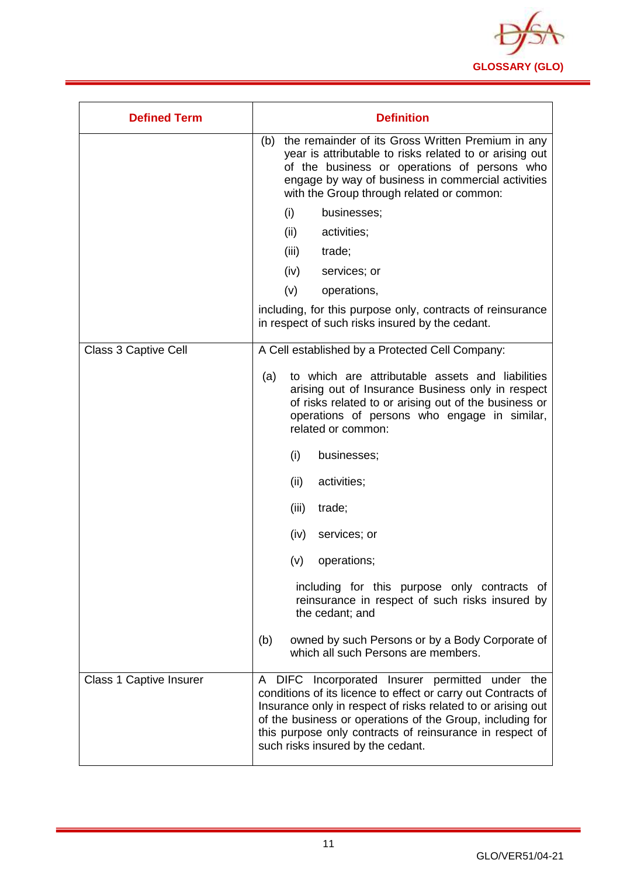

| <b>Defined Term</b>            | <b>Definition</b>                                                                                                                                                                                                                                                                                                                              |
|--------------------------------|------------------------------------------------------------------------------------------------------------------------------------------------------------------------------------------------------------------------------------------------------------------------------------------------------------------------------------------------|
|                                | the remainder of its Gross Written Premium in any<br>(b)<br>year is attributable to risks related to or arising out<br>of the business or operations of persons who<br>engage by way of business in commercial activities<br>with the Group through related or common:                                                                         |
|                                | (i)<br>businesses;                                                                                                                                                                                                                                                                                                                             |
|                                | (ii)<br>activities;                                                                                                                                                                                                                                                                                                                            |
|                                | (iii)<br>trade;                                                                                                                                                                                                                                                                                                                                |
|                                | (iv)<br>services; or                                                                                                                                                                                                                                                                                                                           |
|                                | (v)<br>operations,                                                                                                                                                                                                                                                                                                                             |
|                                | including, for this purpose only, contracts of reinsurance<br>in respect of such risks insured by the cedant.                                                                                                                                                                                                                                  |
| Class 3 Captive Cell           | A Cell established by a Protected Cell Company:                                                                                                                                                                                                                                                                                                |
|                                | to which are attributable assets and liabilities<br>(a)<br>arising out of Insurance Business only in respect<br>of risks related to or arising out of the business or<br>operations of persons who engage in similar,<br>related or common:                                                                                                    |
|                                | businesses;<br>(i)                                                                                                                                                                                                                                                                                                                             |
|                                | (ii)<br>activities;                                                                                                                                                                                                                                                                                                                            |
|                                | (iii)<br>trade;                                                                                                                                                                                                                                                                                                                                |
|                                | services; or<br>(iv)                                                                                                                                                                                                                                                                                                                           |
|                                | (v)<br>operations;                                                                                                                                                                                                                                                                                                                             |
|                                | including for this purpose only contracts of<br>reinsurance in respect of such risks insured by<br>the cedant; and                                                                                                                                                                                                                             |
|                                | owned by such Persons or by a Body Corporate of<br>(b)<br>which all such Persons are members.                                                                                                                                                                                                                                                  |
| <b>Class 1 Captive Insurer</b> | A DIFC Incorporated Insurer permitted under the<br>conditions of its licence to effect or carry out Contracts of<br>Insurance only in respect of risks related to or arising out<br>of the business or operations of the Group, including for<br>this purpose only contracts of reinsurance in respect of<br>such risks insured by the cedant. |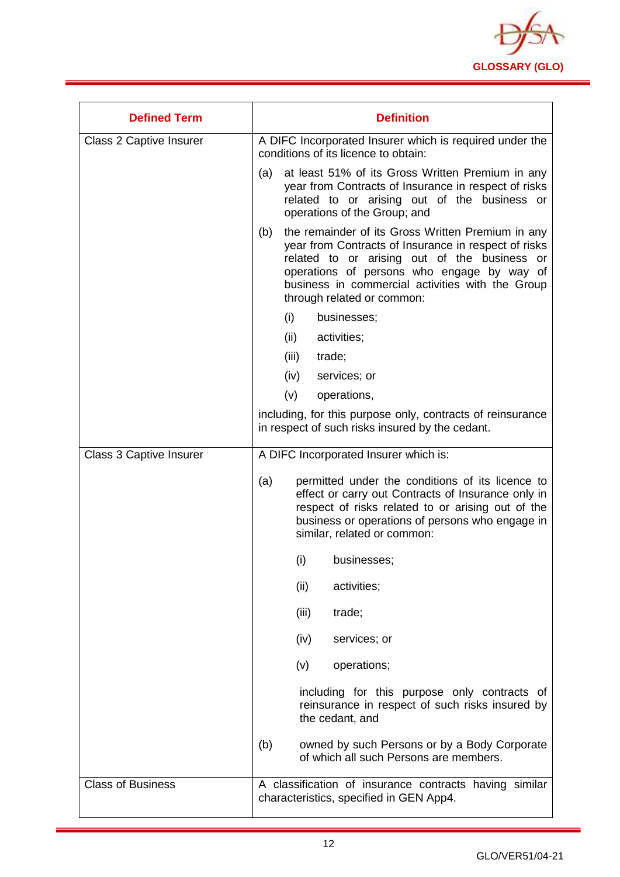

| <b>Defined Term</b>            | <b>Definition</b>                                                                                                                                                                                                                                                                                |  |
|--------------------------------|--------------------------------------------------------------------------------------------------------------------------------------------------------------------------------------------------------------------------------------------------------------------------------------------------|--|
| Class 2 Captive Insurer        | A DIFC Incorporated Insurer which is required under the<br>conditions of its licence to obtain:                                                                                                                                                                                                  |  |
|                                | at least 51% of its Gross Written Premium in any<br>(a)<br>year from Contracts of Insurance in respect of risks<br>related to or arising out of the business or<br>operations of the Group; and                                                                                                  |  |
|                                | the remainder of its Gross Written Premium in any<br>(b)<br>year from Contracts of Insurance in respect of risks<br>related to or arising out of the business or<br>operations of persons who engage by way of<br>business in commercial activities with the Group<br>through related or common: |  |
|                                | (i)<br>businesses;                                                                                                                                                                                                                                                                               |  |
|                                | (ii)<br>activities;                                                                                                                                                                                                                                                                              |  |
|                                | (iii)<br>trade;                                                                                                                                                                                                                                                                                  |  |
|                                | (iv)<br>services; or                                                                                                                                                                                                                                                                             |  |
|                                | (v)<br>operations,                                                                                                                                                                                                                                                                               |  |
|                                | including, for this purpose only, contracts of reinsurance<br>in respect of such risks insured by the cedant.                                                                                                                                                                                    |  |
| <b>Class 3 Captive Insurer</b> | A DIFC Incorporated Insurer which is:                                                                                                                                                                                                                                                            |  |
|                                | permitted under the conditions of its licence to<br>(a)<br>effect or carry out Contracts of Insurance only in<br>respect of risks related to or arising out of the<br>business or operations of persons who engage in<br>similar, related or common:                                             |  |
|                                | (i)<br>businesses;                                                                                                                                                                                                                                                                               |  |
|                                | (ii)<br>activities;                                                                                                                                                                                                                                                                              |  |
|                                | (iii)<br>trade;                                                                                                                                                                                                                                                                                  |  |
|                                | (iv)<br>services; or                                                                                                                                                                                                                                                                             |  |
|                                | (v)<br>operations;                                                                                                                                                                                                                                                                               |  |
|                                | including for this purpose only contracts of<br>reinsurance in respect of such risks insured by<br>the cedant, and                                                                                                                                                                               |  |
|                                | (b)<br>owned by such Persons or by a Body Corporate<br>of which all such Persons are members.                                                                                                                                                                                                    |  |
| <b>Class of Business</b>       | A classification of insurance contracts having similar<br>characteristics, specified in GEN App4.                                                                                                                                                                                                |  |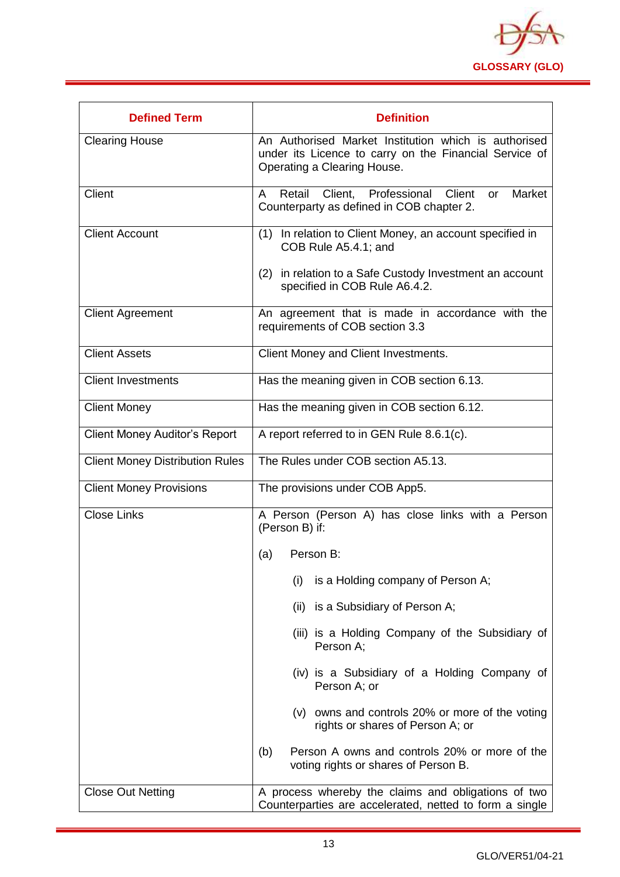

| <b>Defined Term</b>                    | <b>Definition</b>                                                                                                                             |
|----------------------------------------|-----------------------------------------------------------------------------------------------------------------------------------------------|
| <b>Clearing House</b>                  | An Authorised Market Institution which is authorised<br>under its Licence to carry on the Financial Service of<br>Operating a Clearing House. |
| Client                                 | Client, Professional<br>Retail<br>Client<br>Market<br>A<br>or<br>Counterparty as defined in COB chapter 2.                                    |
| <b>Client Account</b>                  | In relation to Client Money, an account specified in<br>(1)<br>COB Rule A5.4.1; and                                                           |
|                                        | in relation to a Safe Custody Investment an account<br>(2)<br>specified in COB Rule A6.4.2.                                                   |
| <b>Client Agreement</b>                | An agreement that is made in accordance with the<br>requirements of COB section 3.3                                                           |
| <b>Client Assets</b>                   | Client Money and Client Investments.                                                                                                          |
| <b>Client Investments</b>              | Has the meaning given in COB section 6.13.                                                                                                    |
| <b>Client Money</b>                    | Has the meaning given in COB section 6.12.                                                                                                    |
| <b>Client Money Auditor's Report</b>   | A report referred to in GEN Rule 8.6.1(c).                                                                                                    |
| <b>Client Money Distribution Rules</b> | The Rules under COB section A5.13.                                                                                                            |
| <b>Client Money Provisions</b>         | The provisions under COB App5.                                                                                                                |
| <b>Close Links</b>                     | A Person (Person A) has close links with a Person<br>(Person B) if:                                                                           |
|                                        | Person B:<br>(a)                                                                                                                              |
|                                        | is a Holding company of Person A;<br>(i)                                                                                                      |
|                                        | (ii) is a Subsidiary of Person A;                                                                                                             |
|                                        | (iii) is a Holding Company of the Subsidiary of<br>Person A;                                                                                  |
|                                        | (iv) is a Subsidiary of a Holding Company of<br>Person A; or                                                                                  |
|                                        | (v) owns and controls 20% or more of the voting<br>rights or shares of Person A; or                                                           |
|                                        | Person A owns and controls 20% or more of the<br>(b)<br>voting rights or shares of Person B.                                                  |
| <b>Close Out Netting</b>               | A process whereby the claims and obligations of two<br>Counterparties are accelerated, netted to form a single                                |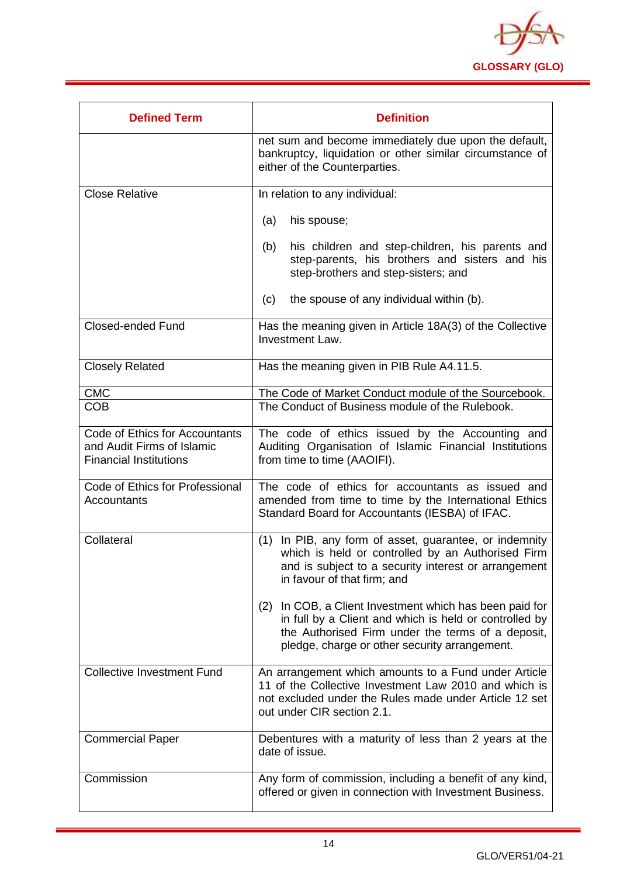

| <b>Defined Term</b>                                                                           | <b>Definition</b>                                                                                                                                                                                                          |
|-----------------------------------------------------------------------------------------------|----------------------------------------------------------------------------------------------------------------------------------------------------------------------------------------------------------------------------|
|                                                                                               | net sum and become immediately due upon the default,<br>bankruptcy, liquidation or other similar circumstance of<br>either of the Counterparties.                                                                          |
| <b>Close Relative</b>                                                                         | In relation to any individual:                                                                                                                                                                                             |
|                                                                                               | his spouse;<br>(a)                                                                                                                                                                                                         |
|                                                                                               | his children and step-children, his parents and<br>(b)<br>step-parents, his brothers and sisters and his<br>step-brothers and step-sisters; and                                                                            |
|                                                                                               | the spouse of any individual within (b).<br>(c)                                                                                                                                                                            |
| <b>Closed-ended Fund</b>                                                                      | Has the meaning given in Article 18A(3) of the Collective<br><b>Investment Law.</b>                                                                                                                                        |
| <b>Closely Related</b>                                                                        | Has the meaning given in PIB Rule A4.11.5.                                                                                                                                                                                 |
| <b>CMC</b>                                                                                    | The Code of Market Conduct module of the Sourcebook.                                                                                                                                                                       |
| <b>COB</b>                                                                                    | The Conduct of Business module of the Rulebook.                                                                                                                                                                            |
| Code of Ethics for Accountants<br>and Audit Firms of Islamic<br><b>Financial Institutions</b> | The code of ethics issued by the Accounting and<br>Auditing Organisation of Islamic Financial Institutions<br>from time to time (AAOIFI).                                                                                  |
| Code of Ethics for Professional<br>Accountants                                                | The code of ethics for accountants as issued and<br>amended from time to time by the International Ethics<br>Standard Board for Accountants (IESBA) of IFAC.                                                               |
| Collateral                                                                                    | In PIB, any form of asset, guarantee, or indemnity<br>(1)<br>which is held or controlled by an Authorised Firm<br>and is subject to a security interest or arrangement<br>in favour of that firm; and                      |
|                                                                                               | In COB, a Client Investment which has been paid for<br>(2)<br>in full by a Client and which is held or controlled by<br>the Authorised Firm under the terms of a deposit,<br>pledge, charge or other security arrangement. |
| <b>Collective Investment Fund</b>                                                             | An arrangement which amounts to a Fund under Article<br>11 of the Collective Investment Law 2010 and which is<br>not excluded under the Rules made under Article 12 set<br>out under CIR section 2.1.                      |
| <b>Commercial Paper</b>                                                                       | Debentures with a maturity of less than 2 years at the<br>date of issue.                                                                                                                                                   |
| Commission                                                                                    | Any form of commission, including a benefit of any kind,<br>offered or given in connection with Investment Business.                                                                                                       |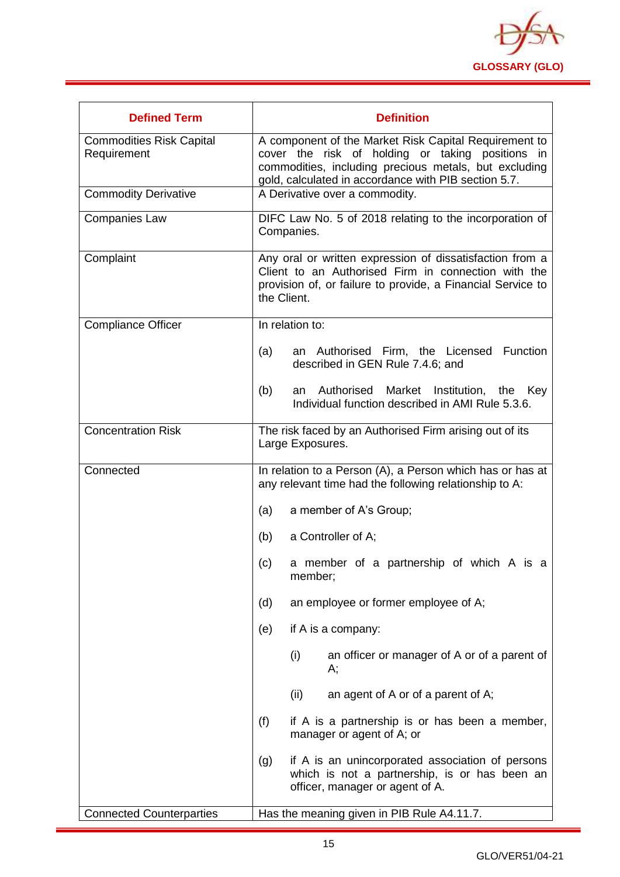

| <b>Defined Term</b>                            | <b>Definition</b>                                                                                                                                                                                                          |
|------------------------------------------------|----------------------------------------------------------------------------------------------------------------------------------------------------------------------------------------------------------------------------|
| <b>Commodities Risk Capital</b><br>Requirement | A component of the Market Risk Capital Requirement to<br>cover the risk of holding or taking positions in<br>commodities, including precious metals, but excluding<br>gold, calculated in accordance with PIB section 5.7. |
| <b>Commodity Derivative</b>                    | A Derivative over a commodity.                                                                                                                                                                                             |
| <b>Companies Law</b>                           | DIFC Law No. 5 of 2018 relating to the incorporation of<br>Companies.                                                                                                                                                      |
| Complaint                                      | Any oral or written expression of dissatisfaction from a<br>Client to an Authorised Firm in connection with the<br>provision of, or failure to provide, a Financial Service to<br>the Client.                              |
| <b>Compliance Officer</b>                      | In relation to:                                                                                                                                                                                                            |
|                                                | an Authorised Firm, the Licensed Function<br>(a)<br>described in GEN Rule 7.4.6; and                                                                                                                                       |
|                                                | (b)<br>Authorised<br>Market Institution, the Key<br>an<br>Individual function described in AMI Rule 5.3.6.                                                                                                                 |
| Concentration Risk                             | The risk faced by an Authorised Firm arising out of its<br>Large Exposures.                                                                                                                                                |
| Connected                                      | In relation to a Person (A), a Person which has or has at<br>any relevant time had the following relationship to A:                                                                                                        |
|                                                | a member of A's Group;<br>(a)                                                                                                                                                                                              |
|                                                | a Controller of A;<br>(b)                                                                                                                                                                                                  |
|                                                | a member of a partnership of which A is a<br>(c)<br>member;                                                                                                                                                                |
|                                                | (d)<br>an employee or former employee of A;                                                                                                                                                                                |
|                                                | if A is a company:<br>(e)                                                                                                                                                                                                  |
|                                                | (i)<br>an officer or manager of A or of a parent of<br>А;                                                                                                                                                                  |
|                                                | (ii)<br>an agent of A or of a parent of A;                                                                                                                                                                                 |
|                                                | (f)<br>if A is a partnership is or has been a member,<br>manager or agent of A; or                                                                                                                                         |
|                                                | if A is an unincorporated association of persons<br>(g)<br>which is not a partnership, is or has been an<br>officer, manager or agent of A.                                                                                |
| <b>Connected Counterparties</b>                | Has the meaning given in PIB Rule A4.11.7.                                                                                                                                                                                 |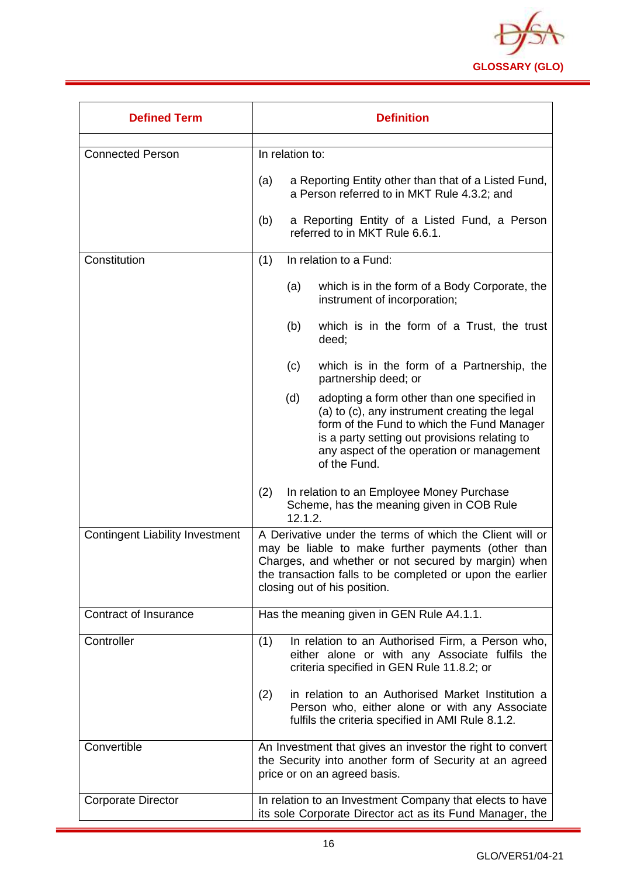

| <b>Defined Term</b>                    | <b>Definition</b>                                                                                                                                                                                                                                                  |  |
|----------------------------------------|--------------------------------------------------------------------------------------------------------------------------------------------------------------------------------------------------------------------------------------------------------------------|--|
| <b>Connected Person</b>                | In relation to:                                                                                                                                                                                                                                                    |  |
|                                        | a Reporting Entity other than that of a Listed Fund,<br>(a)<br>a Person referred to in MKT Rule 4.3.2; and                                                                                                                                                         |  |
|                                        | a Reporting Entity of a Listed Fund, a Person<br>(b)<br>referred to in MKT Rule 6.6.1.                                                                                                                                                                             |  |
| Constitution                           | In relation to a Fund:<br>(1)                                                                                                                                                                                                                                      |  |
|                                        | which is in the form of a Body Corporate, the<br>(a)<br>instrument of incorporation;                                                                                                                                                                               |  |
|                                        | which is in the form of a Trust, the trust<br>(b)<br>deed:                                                                                                                                                                                                         |  |
|                                        | which is in the form of a Partnership, the<br>(c)<br>partnership deed; or                                                                                                                                                                                          |  |
|                                        | adopting a form other than one specified in<br>(d)<br>(a) to (c), any instrument creating the legal<br>form of the Fund to which the Fund Manager<br>is a party setting out provisions relating to<br>any aspect of the operation or management<br>of the Fund.    |  |
|                                        | (2)<br>In relation to an Employee Money Purchase<br>Scheme, has the meaning given in COB Rule<br>12.1.2.                                                                                                                                                           |  |
| <b>Contingent Liability Investment</b> | A Derivative under the terms of which the Client will or<br>may be liable to make further payments (other than<br>Charges, and whether or not secured by margin) when<br>the transaction falls to be completed or upon the earlier<br>closing out of his position. |  |
| Contract of Insurance                  | Has the meaning given in GEN Rule A4.1.1.                                                                                                                                                                                                                          |  |
| Controller                             | In relation to an Authorised Firm, a Person who,<br>(1)<br>either alone or with any Associate fulfils the<br>criteria specified in GEN Rule 11.8.2; or                                                                                                             |  |
|                                        | in relation to an Authorised Market Institution a<br>(2)<br>Person who, either alone or with any Associate<br>fulfils the criteria specified in AMI Rule 8.1.2.                                                                                                    |  |
| Convertible                            | An Investment that gives an investor the right to convert<br>the Security into another form of Security at an agreed<br>price or on an agreed basis.                                                                                                               |  |
| <b>Corporate Director</b>              | In relation to an Investment Company that elects to have<br>its sole Corporate Director act as its Fund Manager, the                                                                                                                                               |  |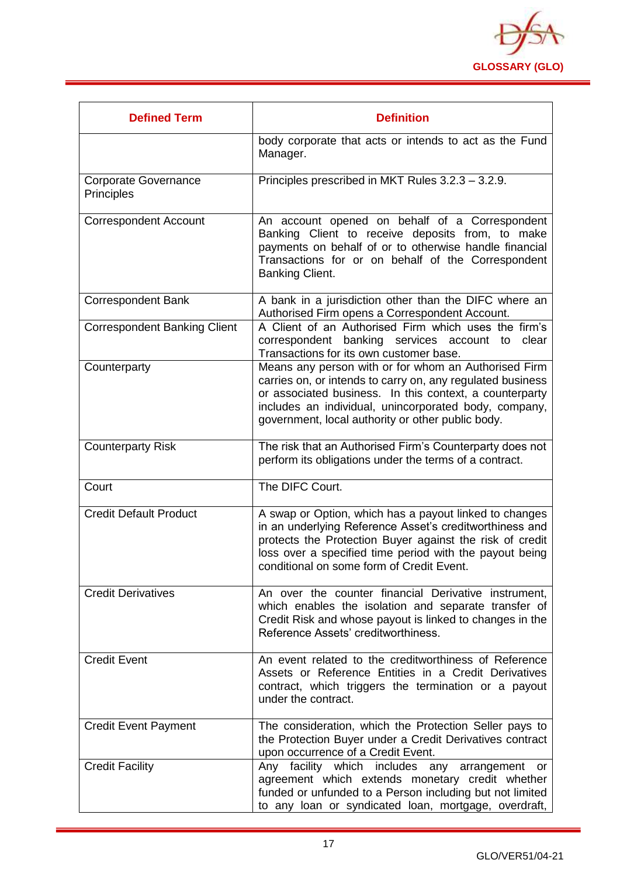

| <b>Defined Term</b>                       | <b>Definition</b>                                                                                                                                                                                                                                                                           |
|-------------------------------------------|---------------------------------------------------------------------------------------------------------------------------------------------------------------------------------------------------------------------------------------------------------------------------------------------|
|                                           | body corporate that acts or intends to act as the Fund<br>Manager.                                                                                                                                                                                                                          |
| <b>Corporate Governance</b><br>Principles | Principles prescribed in MKT Rules 3.2.3 - 3.2.9.                                                                                                                                                                                                                                           |
| <b>Correspondent Account</b>              | An account opened on behalf of a Correspondent<br>Banking Client to receive deposits from, to make<br>payments on behalf of or to otherwise handle financial<br>Transactions for or on behalf of the Correspondent<br>Banking Client.                                                       |
| <b>Correspondent Bank</b>                 | A bank in a jurisdiction other than the DIFC where an<br>Authorised Firm opens a Correspondent Account.                                                                                                                                                                                     |
| <b>Correspondent Banking Client</b>       | A Client of an Authorised Firm which uses the firm's<br>correspondent banking services account to<br>clear<br>Transactions for its own customer base.                                                                                                                                       |
| Counterparty                              | Means any person with or for whom an Authorised Firm<br>carries on, or intends to carry on, any regulated business<br>or associated business. In this context, a counterparty<br>includes an individual, unincorporated body, company,<br>government, local authority or other public body. |
| <b>Counterparty Risk</b>                  | The risk that an Authorised Firm's Counterparty does not<br>perform its obligations under the terms of a contract.                                                                                                                                                                          |
| Court                                     | The DIFC Court.                                                                                                                                                                                                                                                                             |
| <b>Credit Default Product</b>             | A swap or Option, which has a payout linked to changes<br>in an underlying Reference Asset's creditworthiness and<br>protects the Protection Buyer against the risk of credit<br>loss over a specified time period with the payout being<br>conditional on some form of Credit Event.       |
| <b>Credit Derivatives</b>                 | An over the counter financial Derivative instrument,<br>which enables the isolation and separate transfer of<br>Credit Risk and whose payout is linked to changes in the<br>Reference Assets' creditworthiness.                                                                             |
| <b>Credit Event</b>                       | An event related to the creditworthiness of Reference<br>Assets or Reference Entities in a Credit Derivatives<br>contract, which triggers the termination or a payout<br>under the contract.                                                                                                |
| <b>Credit Event Payment</b>               | The consideration, which the Protection Seller pays to<br>the Protection Buyer under a Credit Derivatives contract<br>upon occurrence of a Credit Event.                                                                                                                                    |
| <b>Credit Facility</b>                    | Any facility which includes any arrangement<br><b>or</b><br>agreement which extends monetary credit whether<br>funded or unfunded to a Person including but not limited<br>to any loan or syndicated loan, mortgage, overdraft,                                                             |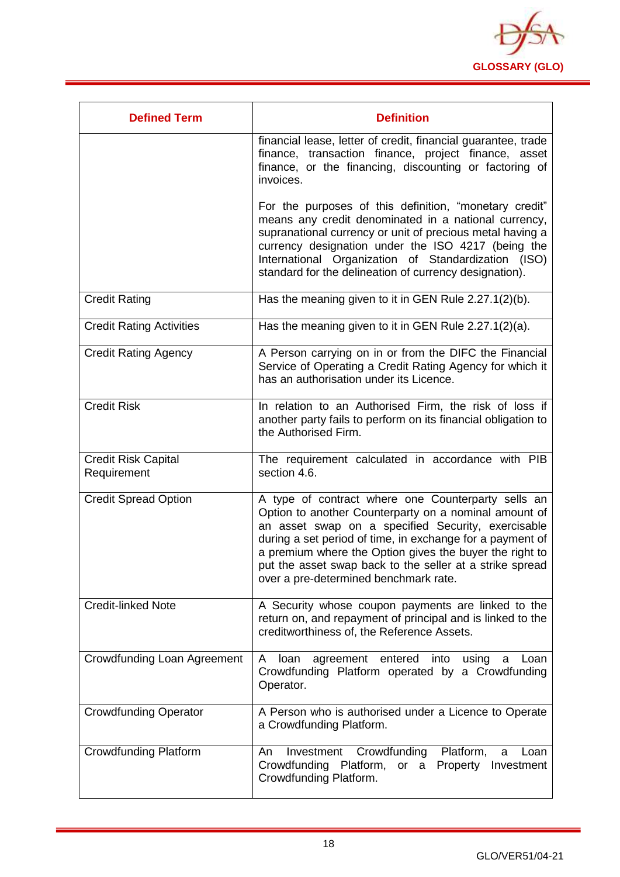

| <b>Defined Term</b>                       | <b>Definition</b>                                                                                                                                                                                                                                                                                                                                                                              |
|-------------------------------------------|------------------------------------------------------------------------------------------------------------------------------------------------------------------------------------------------------------------------------------------------------------------------------------------------------------------------------------------------------------------------------------------------|
|                                           | financial lease, letter of credit, financial guarantee, trade<br>finance, transaction finance, project finance, asset<br>finance, or the financing, discounting or factoring of<br>invoices.                                                                                                                                                                                                   |
|                                           | For the purposes of this definition, "monetary credit"<br>means any credit denominated in a national currency,<br>supranational currency or unit of precious metal having a<br>currency designation under the ISO 4217 (being the<br>International Organization of Standardization (ISO)<br>standard for the delineation of currency designation).                                             |
| <b>Credit Rating</b>                      | Has the meaning given to it in GEN Rule 2.27.1(2)(b).                                                                                                                                                                                                                                                                                                                                          |
| <b>Credit Rating Activities</b>           | Has the meaning given to it in GEN Rule 2.27.1(2)(a).                                                                                                                                                                                                                                                                                                                                          |
| <b>Credit Rating Agency</b>               | A Person carrying on in or from the DIFC the Financial<br>Service of Operating a Credit Rating Agency for which it<br>has an authorisation under its Licence.                                                                                                                                                                                                                                  |
| <b>Credit Risk</b>                        | In relation to an Authorised Firm, the risk of loss if<br>another party fails to perform on its financial obligation to<br>the Authorised Firm.                                                                                                                                                                                                                                                |
| <b>Credit Risk Capital</b><br>Requirement | The requirement calculated in accordance with PIB<br>section 4.6.                                                                                                                                                                                                                                                                                                                              |
| <b>Credit Spread Option</b>               | A type of contract where one Counterparty sells an<br>Option to another Counterparty on a nominal amount of<br>an asset swap on a specified Security, exercisable<br>during a set period of time, in exchange for a payment of<br>a premium where the Option gives the buyer the right to<br>put the asset swap back to the seller at a strike spread<br>over a pre-determined benchmark rate. |
| <b>Credit-linked Note</b>                 | A Security whose coupon payments are linked to the<br>return on, and repayment of principal and is linked to the<br>creditworthiness of, the Reference Assets.                                                                                                                                                                                                                                 |
| <b>Crowdfunding Loan Agreement</b>        | agreement entered into<br>A<br>loan<br>using<br>a<br>Loan<br>Crowdfunding Platform operated by a Crowdfunding<br>Operator.                                                                                                                                                                                                                                                                     |
| <b>Crowdfunding Operator</b>              | A Person who is authorised under a Licence to Operate<br>a Crowdfunding Platform.                                                                                                                                                                                                                                                                                                              |
| <b>Crowdfunding Platform</b>              | Investment Crowdfunding<br>Platform,<br>An<br>Loan<br>a<br>Crowdfunding Platform,<br>Property Investment<br>or a<br>Crowdfunding Platform.                                                                                                                                                                                                                                                     |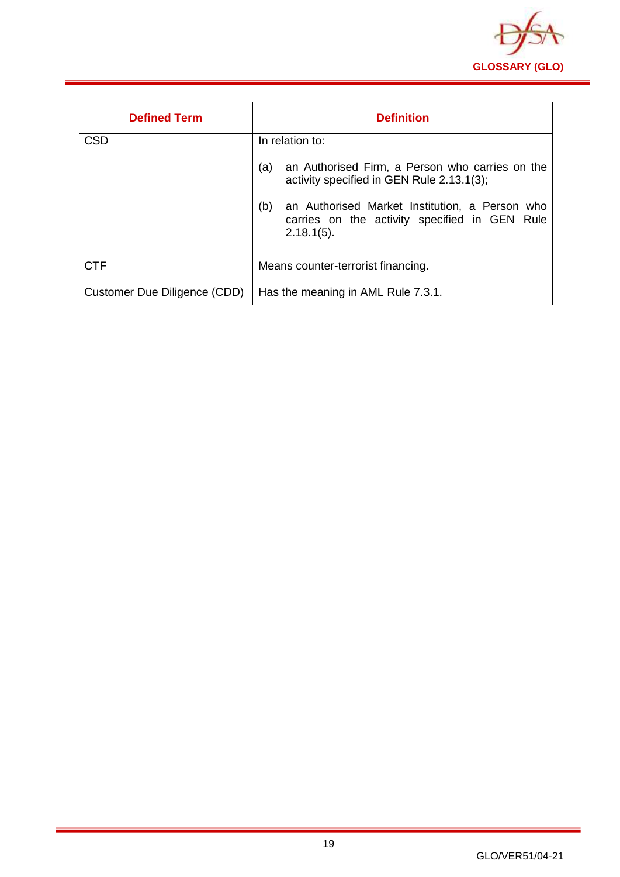

<span id="page-19-0"></span>

| <b>Defined Term</b>          | <b>Definition</b>                                                                                                       |
|------------------------------|-------------------------------------------------------------------------------------------------------------------------|
| <b>CSD</b>                   | In relation to:                                                                                                         |
|                              | an Authorised Firm, a Person who carries on the<br>(a)<br>activity specified in GEN Rule 2.13.1(3);                     |
|                              | an Authorised Market Institution, a Person who<br>(b)<br>carries on the activity specified in GEN Rule<br>$2.18.1(5)$ . |
| <b>CTF</b>                   | Means counter-terrorist financing.                                                                                      |
| Customer Due Diligence (CDD) | Has the meaning in AML Rule 7.3.1.                                                                                      |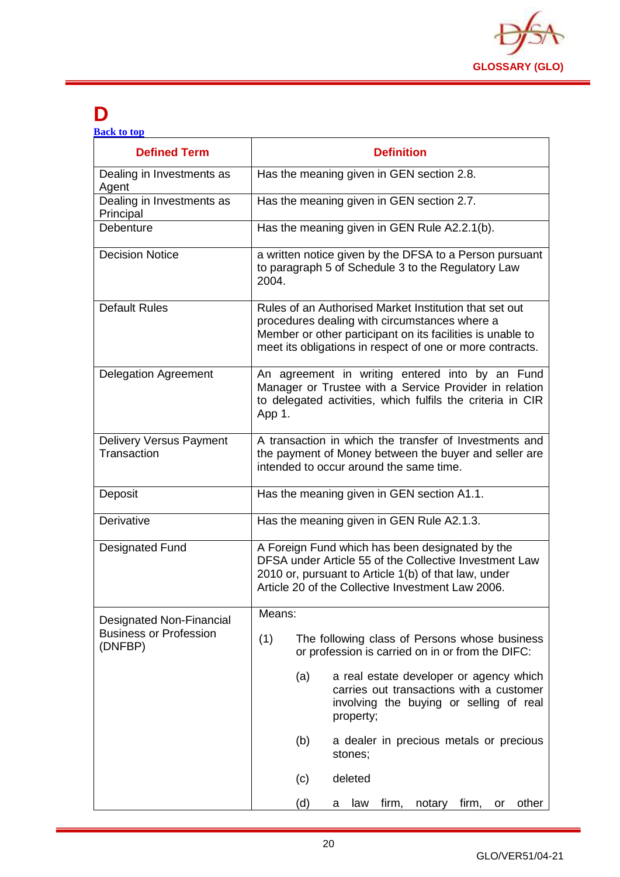

## **D**

| <b>Back to top</b> |  |  |
|--------------------|--|--|
|                    |  |  |

| <b>Defined Term</b>                           | <b>Definition</b>                                                                                                                                                                                                                  |
|-----------------------------------------------|------------------------------------------------------------------------------------------------------------------------------------------------------------------------------------------------------------------------------------|
| Dealing in Investments as<br>Agent            | Has the meaning given in GEN section 2.8.                                                                                                                                                                                          |
| Dealing in Investments as<br>Principal        | Has the meaning given in GEN section 2.7.                                                                                                                                                                                          |
| Debenture                                     | Has the meaning given in GEN Rule A2.2.1(b).                                                                                                                                                                                       |
| <b>Decision Notice</b>                        | a written notice given by the DFSA to a Person pursuant<br>to paragraph 5 of Schedule 3 to the Regulatory Law<br>2004.                                                                                                             |
| <b>Default Rules</b>                          | Rules of an Authorised Market Institution that set out<br>procedures dealing with circumstances where a<br>Member or other participant on its facilities is unable to<br>meet its obligations in respect of one or more contracts. |
| <b>Delegation Agreement</b>                   | An agreement in writing entered into by an Fund<br>Manager or Trustee with a Service Provider in relation<br>to delegated activities, which fulfils the criteria in CIR<br>App 1.                                                  |
| <b>Delivery Versus Payment</b><br>Transaction | A transaction in which the transfer of Investments and<br>the payment of Money between the buyer and seller are<br>intended to occur around the same time.                                                                         |
| Deposit                                       | Has the meaning given in GEN section A1.1.                                                                                                                                                                                         |
| Derivative                                    | Has the meaning given in GEN Rule A2.1.3.                                                                                                                                                                                          |
| <b>Designated Fund</b>                        | A Foreign Fund which has been designated by the<br>DFSA under Article 55 of the Collective Investment Law<br>2010 or, pursuant to Article 1(b) of that law, under<br>Article 20 of the Collective Investment Law 2006.             |
| <b>Designated Non-Financial</b>               | Means:                                                                                                                                                                                                                             |
| <b>Business or Profession</b><br>(DNFBP)      | (1)<br>The following class of Persons whose business<br>or profession is carried on in or from the DIFC:                                                                                                                           |
|                                               | a real estate developer or agency which<br>(a)<br>carries out transactions with a customer<br>involving the buying or selling of real<br>property;                                                                                 |
|                                               | a dealer in precious metals or precious<br>(b)<br>stones;                                                                                                                                                                          |
|                                               | deleted<br>(c)                                                                                                                                                                                                                     |
|                                               | (d)<br>firm, notary firm, or<br>other<br>law<br>a                                                                                                                                                                                  |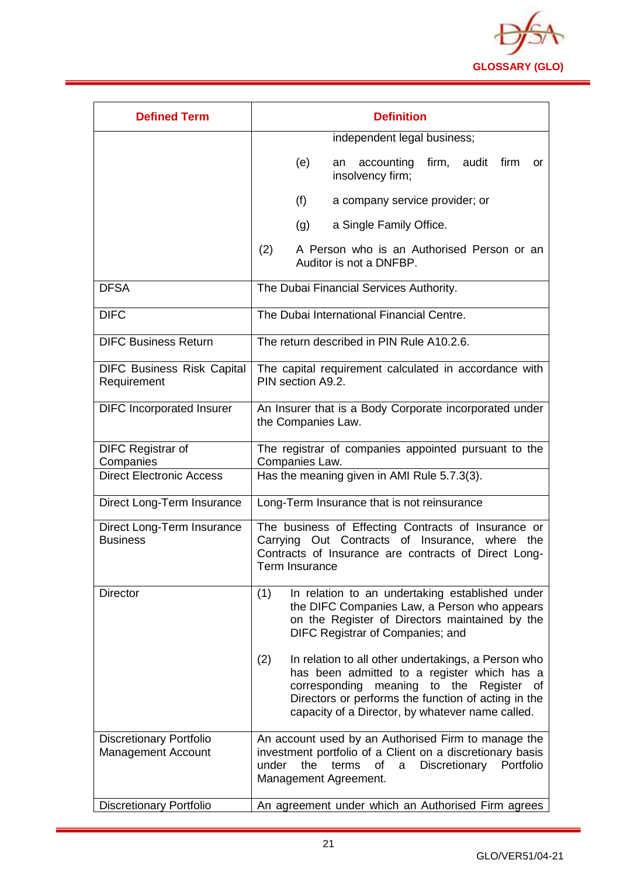

| <b>Defined Term</b>                                         | <b>Definition</b>                                                                                                                                                                                                                                                   |
|-------------------------------------------------------------|---------------------------------------------------------------------------------------------------------------------------------------------------------------------------------------------------------------------------------------------------------------------|
|                                                             | independent legal business;                                                                                                                                                                                                                                         |
|                                                             | (e)<br>accounting<br>firm, audit firm<br>an<br>or<br>insolvency firm;                                                                                                                                                                                               |
|                                                             | (f)<br>a company service provider; or                                                                                                                                                                                                                               |
|                                                             | a Single Family Office.<br>(g)                                                                                                                                                                                                                                      |
|                                                             | (2)<br>A Person who is an Authorised Person or an<br>Auditor is not a DNFBP.                                                                                                                                                                                        |
| <b>DFSA</b>                                                 | The Dubai Financial Services Authority.                                                                                                                                                                                                                             |
| <b>DIFC</b>                                                 | The Dubai International Financial Centre.                                                                                                                                                                                                                           |
| <b>DIFC Business Return</b>                                 | The return described in PIN Rule A10.2.6.                                                                                                                                                                                                                           |
| <b>DIFC Business Risk Capital</b><br>Requirement            | The capital requirement calculated in accordance with<br>PIN section A9.2.                                                                                                                                                                                          |
| <b>DIFC Incorporated Insurer</b>                            | An Insurer that is a Body Corporate incorporated under<br>the Companies Law.                                                                                                                                                                                        |
| <b>DIFC Registrar of</b><br>Companies                       | The registrar of companies appointed pursuant to the<br>Companies Law.                                                                                                                                                                                              |
| <b>Direct Electronic Access</b>                             | Has the meaning given in AMI Rule 5.7.3(3).                                                                                                                                                                                                                         |
| Direct Long-Term Insurance                                  | Long-Term Insurance that is not reinsurance                                                                                                                                                                                                                         |
| Direct Long-Term Insurance<br><b>Business</b>               | The business of Effecting Contracts of Insurance or<br>Carrying Out Contracts of Insurance, where the<br>Contracts of Insurance are contracts of Direct Long-<br>Term Insurance                                                                                     |
| <b>Director</b>                                             | In relation to an undertaking established under<br>(1)<br>the DIFC Companies Law, a Person who appears<br>on the Register of Directors maintained by the<br>DIFC Registrar of Companies; and                                                                        |
|                                                             | (2)<br>In relation to all other undertakings, a Person who<br>has been admitted to a register which has a<br>corresponding meaning to the<br>Register of<br>Directors or performs the function of acting in the<br>capacity of a Director, by whatever name called. |
| <b>Discretionary Portfolio</b><br><b>Management Account</b> | An account used by an Authorised Firm to manage the<br>investment portfolio of a Client on a discretionary basis<br>under<br>the<br>Discretionary<br>terms<br>of<br>$\mathsf{a}$<br>Portfolio<br>Management Agreement.                                              |
| <b>Discretionary Portfolio</b>                              | An agreement under which an Authorised Firm agrees                                                                                                                                                                                                                  |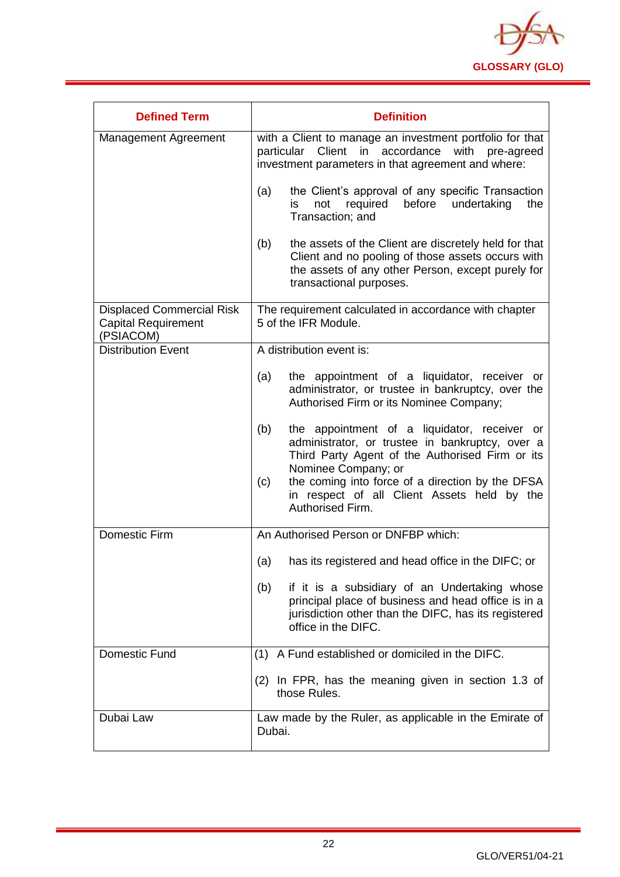

| <b>Defined Term</b>                                                         | <b>Definition</b>                                                                                                                                                                                                                                                                                              |
|-----------------------------------------------------------------------------|----------------------------------------------------------------------------------------------------------------------------------------------------------------------------------------------------------------------------------------------------------------------------------------------------------------|
| Management Agreement                                                        | with a Client to manage an investment portfolio for that<br>Client in accordance<br>with<br>particular<br>pre-agreed<br>investment parameters in that agreement and where:                                                                                                                                     |
|                                                                             | the Client's approval of any specific Transaction<br>(a)<br>undertaking<br>required<br>before<br>the<br>not<br>İS.<br>Transaction; and                                                                                                                                                                         |
|                                                                             | the assets of the Client are discretely held for that<br>(b)<br>Client and no pooling of those assets occurs with<br>the assets of any other Person, except purely for<br>transactional purposes.                                                                                                              |
| <b>Displaced Commercial Risk</b><br><b>Capital Requirement</b><br>(PSIACOM) | The requirement calculated in accordance with chapter<br>5 of the IFR Module.                                                                                                                                                                                                                                  |
| <b>Distribution Event</b>                                                   | A distribution event is:                                                                                                                                                                                                                                                                                       |
|                                                                             | the appointment of a liquidator, receiver or<br>(a)<br>administrator, or trustee in bankruptcy, over the<br>Authorised Firm or its Nominee Company;                                                                                                                                                            |
|                                                                             | the appointment of a liquidator, receiver or<br>(b)<br>administrator, or trustee in bankruptcy, over a<br>Third Party Agent of the Authorised Firm or its<br>Nominee Company; or<br>the coming into force of a direction by the DFSA<br>(c)<br>in respect of all Client Assets held by the<br>Authorised Firm. |
| <b>Domestic Firm</b>                                                        | An Authorised Person or DNFBP which:                                                                                                                                                                                                                                                                           |
|                                                                             | has its registered and head office in the DIFC; or<br>(a)                                                                                                                                                                                                                                                      |
|                                                                             | if it is a subsidiary of an Undertaking whose<br>(b)<br>principal place of business and head office is in a<br>jurisdiction other than the DIFC, has its registered<br>office in the DIFC.                                                                                                                     |
| Domestic Fund                                                               | (1) A Fund established or domiciled in the DIFC.                                                                                                                                                                                                                                                               |
|                                                                             | (2) In FPR, has the meaning given in section 1.3 of<br>those Rules.                                                                                                                                                                                                                                            |
| Dubai Law                                                                   | Law made by the Ruler, as applicable in the Emirate of<br>Dubai.                                                                                                                                                                                                                                               |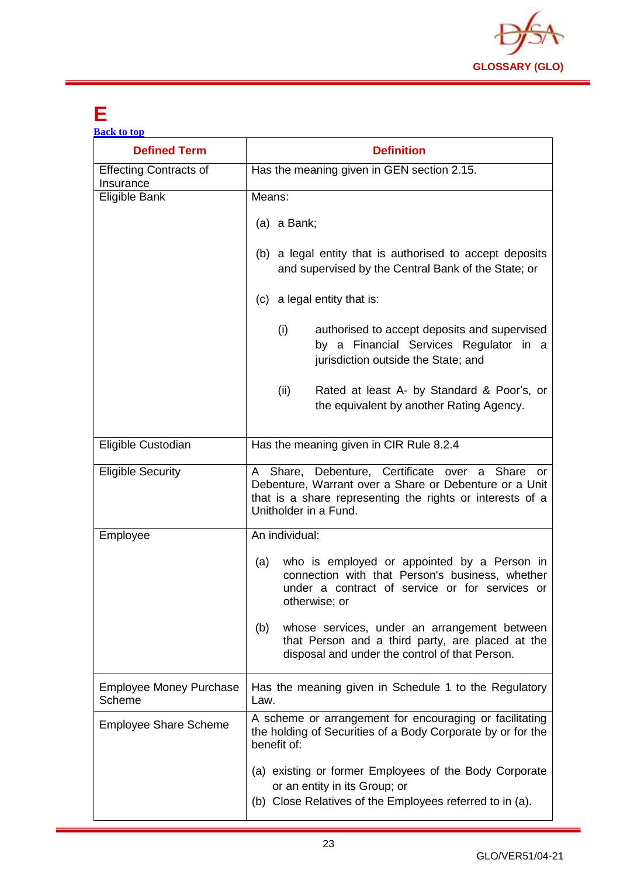

### <span id="page-23-0"></span>**E**

| <b>Back to top</b>                         |                                                                                                                                                                                                 |  |
|--------------------------------------------|-------------------------------------------------------------------------------------------------------------------------------------------------------------------------------------------------|--|
| <b>Defined Term</b>                        | <b>Definition</b>                                                                                                                                                                               |  |
| <b>Effecting Contracts of</b><br>Insurance | Has the meaning given in GEN section 2.15.                                                                                                                                                      |  |
| Eligible Bank                              | Means:                                                                                                                                                                                          |  |
|                                            | $(a)$ a Bank;                                                                                                                                                                                   |  |
|                                            | (b) a legal entity that is authorised to accept deposits<br>and supervised by the Central Bank of the State; or                                                                                 |  |
|                                            | (c) a legal entity that is:                                                                                                                                                                     |  |
|                                            | (i)<br>authorised to accept deposits and supervised<br>by a Financial Services Regulator in a<br>jurisdiction outside the State; and                                                            |  |
|                                            | (ii)<br>Rated at least A- by Standard & Poor's, or<br>the equivalent by another Rating Agency.                                                                                                  |  |
| Eligible Custodian                         | Has the meaning given in CIR Rule 8.2.4                                                                                                                                                         |  |
| <b>Eligible Security</b>                   | A Share, Debenture, Certificate over a Share or<br>Debenture, Warrant over a Share or Debenture or a Unit<br>that is a share representing the rights or interests of a<br>Unitholder in a Fund. |  |
| Employee                                   | An individual:                                                                                                                                                                                  |  |
|                                            | who is employed or appointed by a Person in<br>(a)<br>connection with that Person's business, whether<br>under a contract of service or for services or<br>otherwise; or                        |  |
|                                            | whose services, under an arrangement between<br>(b)<br>that Person and a third party, are placed at the<br>disposal and under the control of that Person.                                       |  |
| <b>Employee Money Purchase</b><br>Scheme   | Has the meaning given in Schedule 1 to the Regulatory<br>Law.                                                                                                                                   |  |
| <b>Employee Share Scheme</b>               | A scheme or arrangement for encouraging or facilitating<br>the holding of Securities of a Body Corporate by or for the<br>benefit of:                                                           |  |
|                                            | (a) existing or former Employees of the Body Corporate<br>or an entity in its Group; or<br>(b) Close Relatives of the Employees referred to in (a).                                             |  |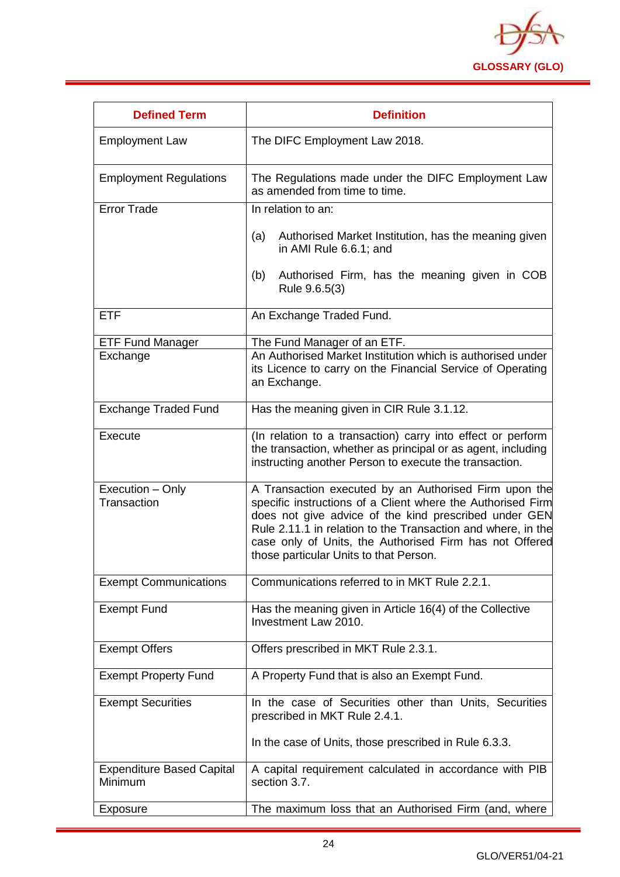

| <b>Defined Term</b>                         | <b>Definition</b>                                                                                                                                                                                                                                                                                                                                  |
|---------------------------------------------|----------------------------------------------------------------------------------------------------------------------------------------------------------------------------------------------------------------------------------------------------------------------------------------------------------------------------------------------------|
| <b>Employment Law</b>                       | The DIFC Employment Law 2018.                                                                                                                                                                                                                                                                                                                      |
| <b>Employment Regulations</b>               | The Regulations made under the DIFC Employment Law<br>as amended from time to time.                                                                                                                                                                                                                                                                |
| <b>Error Trade</b>                          | In relation to an:                                                                                                                                                                                                                                                                                                                                 |
|                                             | Authorised Market Institution, has the meaning given<br>(a)<br>in AMI Rule 6.6.1; and                                                                                                                                                                                                                                                              |
|                                             | (b)<br>Authorised Firm, has the meaning given in COB<br>Rule 9.6.5(3)                                                                                                                                                                                                                                                                              |
| <b>ETF</b>                                  | An Exchange Traded Fund.                                                                                                                                                                                                                                                                                                                           |
| <b>ETF Fund Manager</b>                     | The Fund Manager of an ETF.                                                                                                                                                                                                                                                                                                                        |
| Exchange                                    | An Authorised Market Institution which is authorised under<br>its Licence to carry on the Financial Service of Operating<br>an Exchange.                                                                                                                                                                                                           |
| <b>Exchange Traded Fund</b>                 | Has the meaning given in CIR Rule 3.1.12.                                                                                                                                                                                                                                                                                                          |
| Execute                                     | (In relation to a transaction) carry into effect or perform<br>the transaction, whether as principal or as agent, including<br>instructing another Person to execute the transaction.                                                                                                                                                              |
| Execution - Only<br>Transaction             | A Transaction executed by an Authorised Firm upon the<br>specific instructions of a Client where the Authorised Firm<br>does not give advice of the kind prescribed under GEN<br>Rule 2.11.1 in relation to the Transaction and where, in the<br>case only of Units, the Authorised Firm has not Offered<br>those particular Units to that Person. |
| <b>Exempt Communications</b>                | Communications referred to in MKT Rule 2.2.1.                                                                                                                                                                                                                                                                                                      |
| <b>Exempt Fund</b>                          | Has the meaning given in Article 16(4) of the Collective<br>Investment Law 2010.                                                                                                                                                                                                                                                                   |
| <b>Exempt Offers</b>                        | Offers prescribed in MKT Rule 2.3.1.                                                                                                                                                                                                                                                                                                               |
| <b>Exempt Property Fund</b>                 | A Property Fund that is also an Exempt Fund.                                                                                                                                                                                                                                                                                                       |
| <b>Exempt Securities</b>                    | In the case of Securities other than Units, Securities<br>prescribed in MKT Rule 2.4.1.                                                                                                                                                                                                                                                            |
|                                             | In the case of Units, those prescribed in Rule 6.3.3.                                                                                                                                                                                                                                                                                              |
| <b>Expenditure Based Capital</b><br>Minimum | A capital requirement calculated in accordance with PIB<br>section 3.7.                                                                                                                                                                                                                                                                            |
| Exposure                                    | The maximum loss that an Authorised Firm (and, where                                                                                                                                                                                                                                                                                               |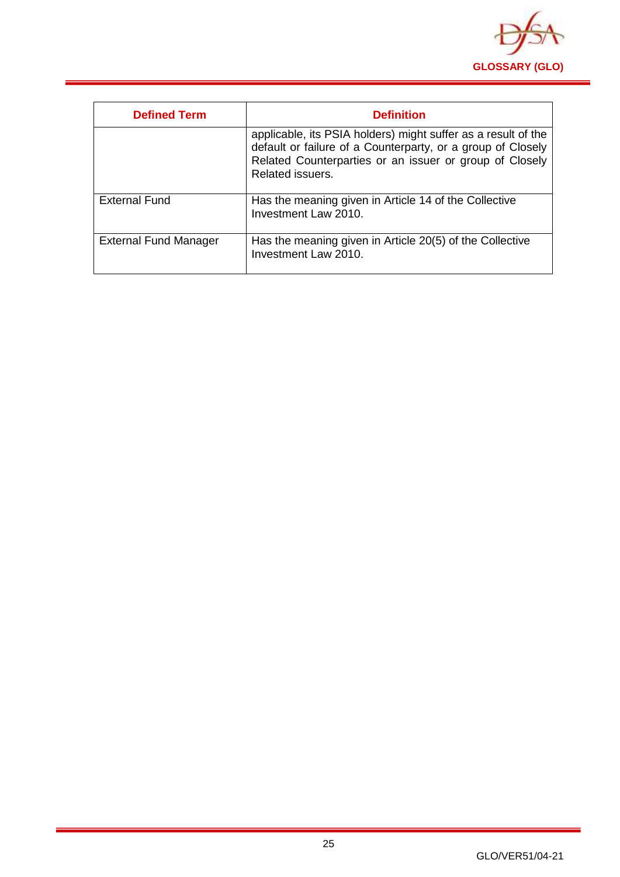

<span id="page-25-0"></span>

| <b>Defined Term</b>          | <b>Definition</b>                                                                                                                                                                                           |
|------------------------------|-------------------------------------------------------------------------------------------------------------------------------------------------------------------------------------------------------------|
|                              | applicable, its PSIA holders) might suffer as a result of the<br>default or failure of a Counterparty, or a group of Closely<br>Related Counterparties or an issuer or group of Closely<br>Related issuers. |
| <b>External Fund</b>         | Has the meaning given in Article 14 of the Collective<br>Investment Law 2010.                                                                                                                               |
| <b>External Fund Manager</b> | Has the meaning given in Article 20(5) of the Collective<br>Investment Law 2010.                                                                                                                            |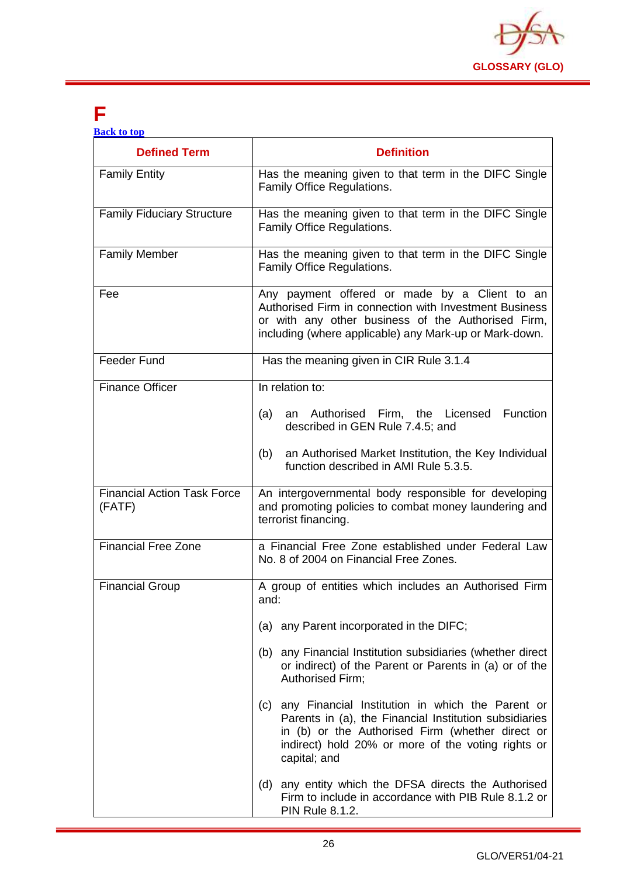

### **F**

| <b>Back to top</b> |  |  |
|--------------------|--|--|
|                    |  |  |
|                    |  |  |

| <b>Defined Term</b>                          | <b>Definition</b>                                                                                                                                                                                                                        |  |
|----------------------------------------------|------------------------------------------------------------------------------------------------------------------------------------------------------------------------------------------------------------------------------------------|--|
| <b>Family Entity</b>                         | Has the meaning given to that term in the DIFC Single<br>Family Office Regulations.                                                                                                                                                      |  |
| <b>Family Fiduciary Structure</b>            | Has the meaning given to that term in the DIFC Single<br>Family Office Regulations.                                                                                                                                                      |  |
| <b>Family Member</b>                         | Has the meaning given to that term in the DIFC Single<br>Family Office Regulations.                                                                                                                                                      |  |
| Fee                                          | Any payment offered or made by a Client to an<br>Authorised Firm in connection with Investment Business<br>or with any other business of the Authorised Firm,<br>including (where applicable) any Mark-up or Mark-down.                  |  |
| <b>Feeder Fund</b>                           | Has the meaning given in CIR Rule 3.1.4                                                                                                                                                                                                  |  |
| <b>Finance Officer</b>                       | In relation to:                                                                                                                                                                                                                          |  |
|                                              | an Authorised Firm, the Licensed<br>Function<br>(a)<br>described in GEN Rule 7.4.5; and                                                                                                                                                  |  |
|                                              | (b)<br>an Authorised Market Institution, the Key Individual<br>function described in AMI Rule 5.3.5.                                                                                                                                     |  |
| <b>Financial Action Task Force</b><br>(FATF) | An intergovernmental body responsible for developing<br>and promoting policies to combat money laundering and<br>terrorist financing.                                                                                                    |  |
| <b>Financial Free Zone</b>                   | a Financial Free Zone established under Federal Law<br>No. 8 of 2004 on Financial Free Zones.                                                                                                                                            |  |
| <b>Financial Group</b>                       | A group of entities which includes an Authorised Firm<br>and:                                                                                                                                                                            |  |
|                                              | (a) any Parent incorporated in the DIFC;                                                                                                                                                                                                 |  |
|                                              | (b) any Financial Institution subsidiaries (whether direct<br>or indirect) of the Parent or Parents in (a) or of the<br>Authorised Firm;                                                                                                 |  |
|                                              | (c) any Financial Institution in which the Parent or<br>Parents in (a), the Financial Institution subsidiaries<br>in (b) or the Authorised Firm (whether direct or<br>indirect) hold 20% or more of the voting rights or<br>capital; and |  |
|                                              | (d) any entity which the DFSA directs the Authorised<br>Firm to include in accordance with PIB Rule 8.1.2 or<br>PIN Rule 8.1.2.                                                                                                          |  |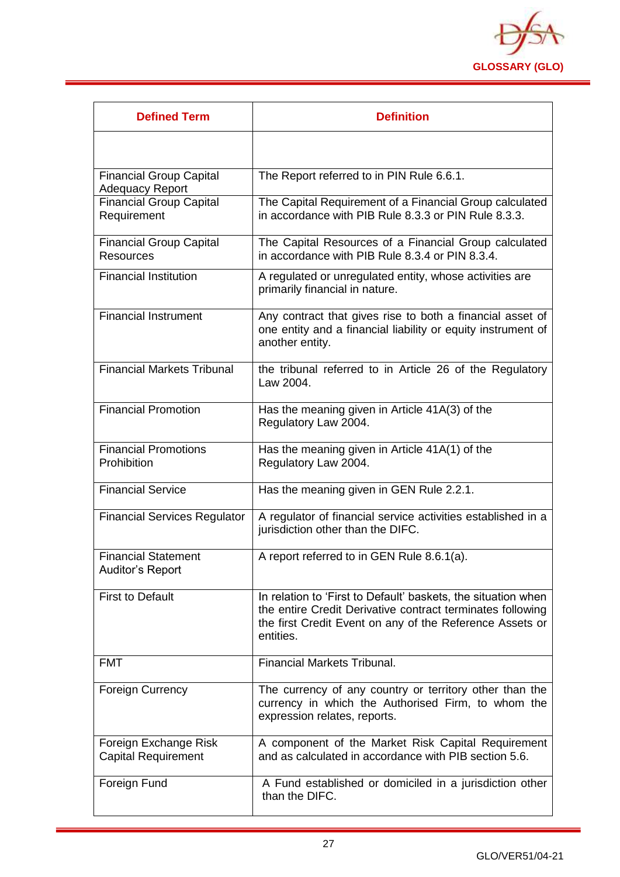

| <b>Defined Term</b>                                      | <b>Definition</b>                                                                                                                                                                                    |
|----------------------------------------------------------|------------------------------------------------------------------------------------------------------------------------------------------------------------------------------------------------------|
|                                                          |                                                                                                                                                                                                      |
| <b>Financial Group Capital</b><br><b>Adequacy Report</b> | The Report referred to in PIN Rule 6.6.1.                                                                                                                                                            |
| <b>Financial Group Capital</b><br>Requirement            | The Capital Requirement of a Financial Group calculated<br>in accordance with PIB Rule 8.3.3 or PIN Rule 8.3.3.                                                                                      |
| <b>Financial Group Capital</b><br>Resources              | The Capital Resources of a Financial Group calculated<br>in accordance with PIB Rule 8.3.4 or PIN 8.3.4.                                                                                             |
| <b>Financial Institution</b>                             | A regulated or unregulated entity, whose activities are<br>primarily financial in nature.                                                                                                            |
| <b>Financial Instrument</b>                              | Any contract that gives rise to both a financial asset of<br>one entity and a financial liability or equity instrument of<br>another entity.                                                         |
| <b>Financial Markets Tribunal</b>                        | the tribunal referred to in Article 26 of the Regulatory<br>Law 2004.                                                                                                                                |
| <b>Financial Promotion</b>                               | Has the meaning given in Article 41A(3) of the<br>Regulatory Law 2004.                                                                                                                               |
| <b>Financial Promotions</b><br>Prohibition               | Has the meaning given in Article 41A(1) of the<br>Regulatory Law 2004.                                                                                                                               |
| <b>Financial Service</b>                                 | Has the meaning given in GEN Rule 2.2.1.                                                                                                                                                             |
| <b>Financial Services Regulator</b>                      | A regulator of financial service activities established in a<br>jurisdiction other than the DIFC.                                                                                                    |
| <b>Financial Statement</b><br>Auditor's Report           | A report referred to in GEN Rule 8.6.1(a).                                                                                                                                                           |
| <b>First to Default</b>                                  | In relation to 'First to Default' baskets, the situation when<br>the entire Credit Derivative contract terminates following<br>the first Credit Event on any of the Reference Assets or<br>entities. |
| <b>FMT</b>                                               | <b>Financial Markets Tribunal.</b>                                                                                                                                                                   |
| <b>Foreign Currency</b>                                  | The currency of any country or territory other than the<br>currency in which the Authorised Firm, to whom the<br>expression relates, reports.                                                        |
| Foreign Exchange Risk<br><b>Capital Requirement</b>      | A component of the Market Risk Capital Requirement<br>and as calculated in accordance with PIB section 5.6.                                                                                          |
| Foreign Fund                                             | A Fund established or domiciled in a jurisdiction other<br>than the DIFC.                                                                                                                            |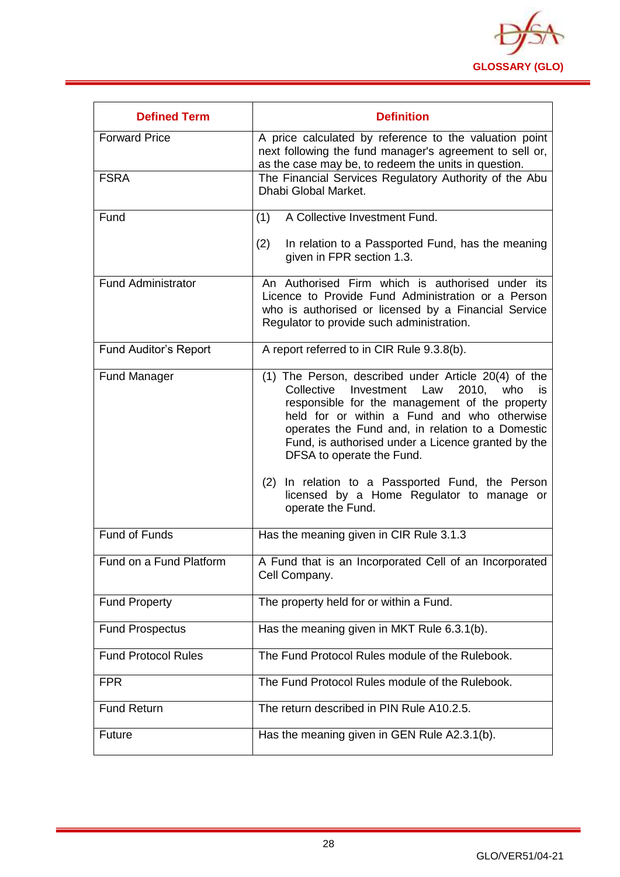

<span id="page-28-0"></span>

| <b>Defined Term</b>          | <b>Definition</b>                                                                                                                                                                                                                                                                                                                                                                                                                                       |
|------------------------------|---------------------------------------------------------------------------------------------------------------------------------------------------------------------------------------------------------------------------------------------------------------------------------------------------------------------------------------------------------------------------------------------------------------------------------------------------------|
| <b>Forward Price</b>         | A price calculated by reference to the valuation point<br>next following the fund manager's agreement to sell or,<br>as the case may be, to redeem the units in question.                                                                                                                                                                                                                                                                               |
| <b>FSRA</b>                  | The Financial Services Regulatory Authority of the Abu<br>Dhabi Global Market.                                                                                                                                                                                                                                                                                                                                                                          |
| Fund                         | A Collective Investment Fund.<br>(1)                                                                                                                                                                                                                                                                                                                                                                                                                    |
|                              | (2)<br>In relation to a Passported Fund, has the meaning<br>given in FPR section 1.3.                                                                                                                                                                                                                                                                                                                                                                   |
| <b>Fund Administrator</b>    | An Authorised Firm which is authorised under its<br>Licence to Provide Fund Administration or a Person<br>who is authorised or licensed by a Financial Service<br>Regulator to provide such administration.                                                                                                                                                                                                                                             |
| <b>Fund Auditor's Report</b> | A report referred to in CIR Rule 9.3.8(b).                                                                                                                                                                                                                                                                                                                                                                                                              |
| <b>Fund Manager</b>          | (1) The Person, described under Article 20(4) of the<br>Law<br>Collective<br>Investment<br>2010.<br>who<br>is.<br>responsible for the management of the property<br>held for or within a Fund and who otherwise<br>operates the Fund and, in relation to a Domestic<br>Fund, is authorised under a Licence granted by the<br>DFSA to operate the Fund.<br>(2) In relation to a Passported Fund, the Person<br>licensed by a Home Regulator to manage or |
|                              | operate the Fund.                                                                                                                                                                                                                                                                                                                                                                                                                                       |
| Fund of Funds                | Has the meaning given in CIR Rule 3.1.3                                                                                                                                                                                                                                                                                                                                                                                                                 |
| Fund on a Fund Platform      | A Fund that is an Incorporated Cell of an Incorporated<br>Cell Company.                                                                                                                                                                                                                                                                                                                                                                                 |
| <b>Fund Property</b>         | The property held for or within a Fund.                                                                                                                                                                                                                                                                                                                                                                                                                 |
| <b>Fund Prospectus</b>       | Has the meaning given in MKT Rule 6.3.1(b).                                                                                                                                                                                                                                                                                                                                                                                                             |
| <b>Fund Protocol Rules</b>   | The Fund Protocol Rules module of the Rulebook.                                                                                                                                                                                                                                                                                                                                                                                                         |
| <b>FPR</b>                   | The Fund Protocol Rules module of the Rulebook.                                                                                                                                                                                                                                                                                                                                                                                                         |
| <b>Fund Return</b>           | The return described in PIN Rule A10.2.5.                                                                                                                                                                                                                                                                                                                                                                                                               |
| <b>Future</b>                | Has the meaning given in GEN Rule A2.3.1(b).                                                                                                                                                                                                                                                                                                                                                                                                            |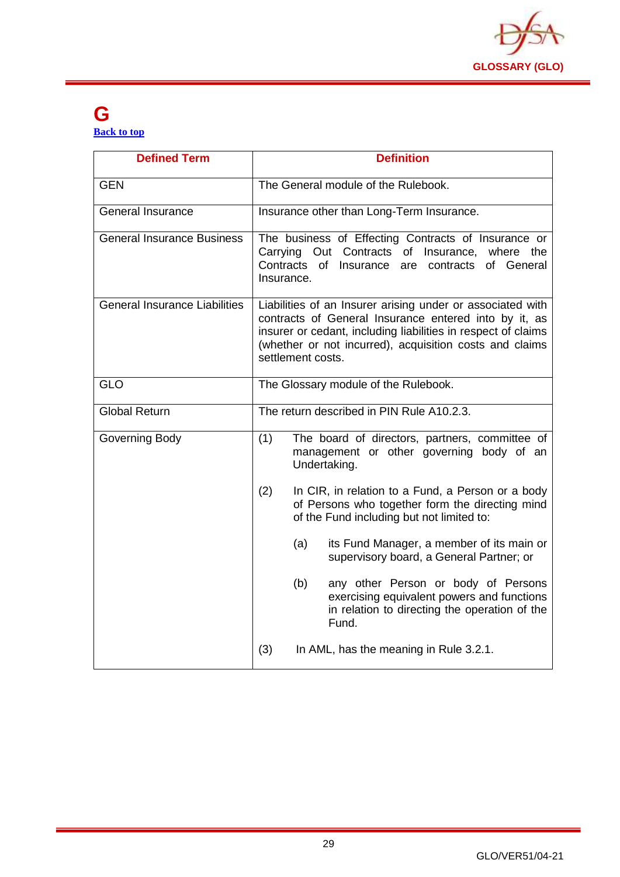

#### **G [Back to top](#page-1-0)**

| <b>Defined Term</b>                  | <b>Definition</b>                                                                                                                                                                                                                                                    |
|--------------------------------------|----------------------------------------------------------------------------------------------------------------------------------------------------------------------------------------------------------------------------------------------------------------------|
| <b>GEN</b>                           | The General module of the Rulebook.                                                                                                                                                                                                                                  |
| <b>General Insurance</b>             | Insurance other than Long-Term Insurance.                                                                                                                                                                                                                            |
| <b>General Insurance Business</b>    | The business of Effecting Contracts of Insurance or<br>Carrying Out Contracts of Insurance, where the<br>Contracts<br>of<br>Insurance<br>contracts of General<br>are<br>Insurance.                                                                                   |
| <b>General Insurance Liabilities</b> | Liabilities of an Insurer arising under or associated with<br>contracts of General Insurance entered into by it, as<br>insurer or cedant, including liabilities in respect of claims<br>(whether or not incurred), acquisition costs and claims<br>settlement costs. |
| <b>GLO</b>                           | The Glossary module of the Rulebook.                                                                                                                                                                                                                                 |
| <b>Global Return</b>                 | The return described in PIN Rule A10.2.3.                                                                                                                                                                                                                            |
| Governing Body                       | (1)<br>The board of directors, partners, committee of<br>management or other governing body of an<br>Undertaking.                                                                                                                                                    |
|                                      | (2)<br>In CIR, in relation to a Fund, a Person or a body<br>of Persons who together form the directing mind<br>of the Fund including but not limited to:                                                                                                             |
|                                      | its Fund Manager, a member of its main or<br>(a)<br>supervisory board, a General Partner; or                                                                                                                                                                         |
|                                      | (b)<br>any other Person or body of Persons<br>exercising equivalent powers and functions<br>in relation to directing the operation of the<br>Fund.                                                                                                                   |
|                                      | (3)<br>In AML, has the meaning in Rule 3.2.1.                                                                                                                                                                                                                        |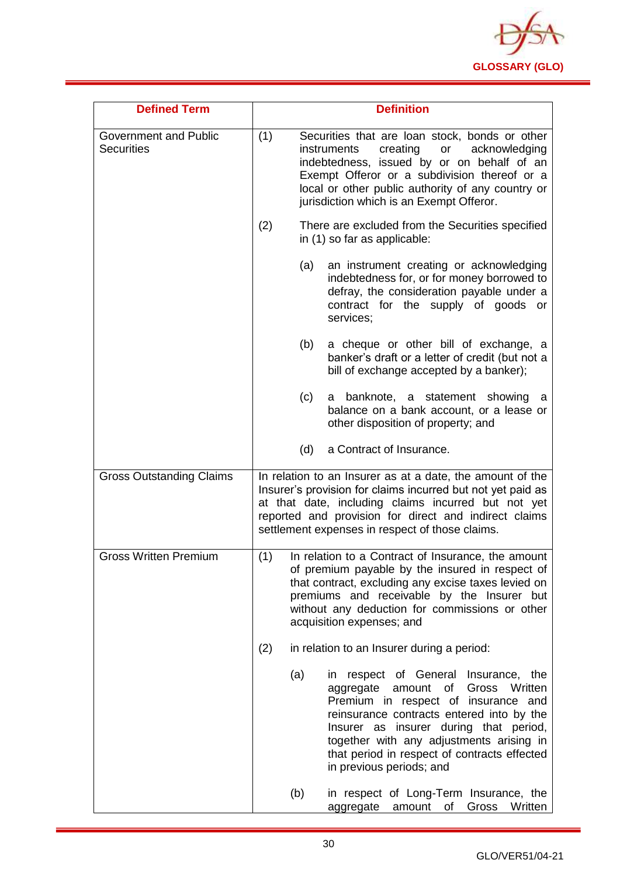

| <b>Defined Term</b>                               |     | <b>Definition</b>                                                                                                                                                                                                                                                                                                                     |
|---------------------------------------------------|-----|---------------------------------------------------------------------------------------------------------------------------------------------------------------------------------------------------------------------------------------------------------------------------------------------------------------------------------------|
| <b>Government and Public</b><br><b>Securities</b> | (1) | Securities that are loan stock, bonds or other<br>creating<br>acknowledging<br>instruments<br>or<br>indebtedness, issued by or on behalf of an<br>Exempt Offeror or a subdivision thereof or a<br>local or other public authority of any country or<br>jurisdiction which is an Exempt Offeror.                                       |
|                                                   | (2) | There are excluded from the Securities specified<br>in (1) so far as applicable:                                                                                                                                                                                                                                                      |
|                                                   | (a) | an instrument creating or acknowledging<br>indebtedness for, or for money borrowed to<br>defray, the consideration payable under a<br>contract for the supply of goods or<br>services;                                                                                                                                                |
|                                                   | (b) | a cheque or other bill of exchange, a<br>banker's draft or a letter of credit (but not a<br>bill of exchange accepted by a banker);                                                                                                                                                                                                   |
|                                                   | (c) | a banknote, a statement showing<br>а<br>balance on a bank account, or a lease or<br>other disposition of property; and                                                                                                                                                                                                                |
|                                                   | (d) | a Contract of Insurance.                                                                                                                                                                                                                                                                                                              |
| <b>Gross Outstanding Claims</b>                   |     | In relation to an Insurer as at a date, the amount of the<br>Insurer's provision for claims incurred but not yet paid as<br>at that date, including claims incurred but not yet<br>reported and provision for direct and indirect claims<br>settlement expenses in respect of those claims.                                           |
| <b>Gross Written Premium</b>                      | (1) | In relation to a Contract of Insurance, the amount<br>of premium payable by the insured in respect of<br>that contract, excluding any excise taxes levied on<br>premiums and receivable by the Insurer but<br>without any deduction for commissions or other<br>acquisition expenses; and                                             |
|                                                   | (2) | in relation to an Insurer during a period:                                                                                                                                                                                                                                                                                            |
|                                                   | (a) | in respect of General Insurance, the<br>amount of<br>Gross Written<br>aggregate<br>Premium in respect of insurance and<br>reinsurance contracts entered into by the<br>Insurer as insurer during that period,<br>together with any adjustments arising in<br>that period in respect of contracts effected<br>in previous periods; and |
|                                                   | (b) | in respect of Long-Term Insurance, the<br>Gross<br>Written<br>aggregate<br>amount of                                                                                                                                                                                                                                                  |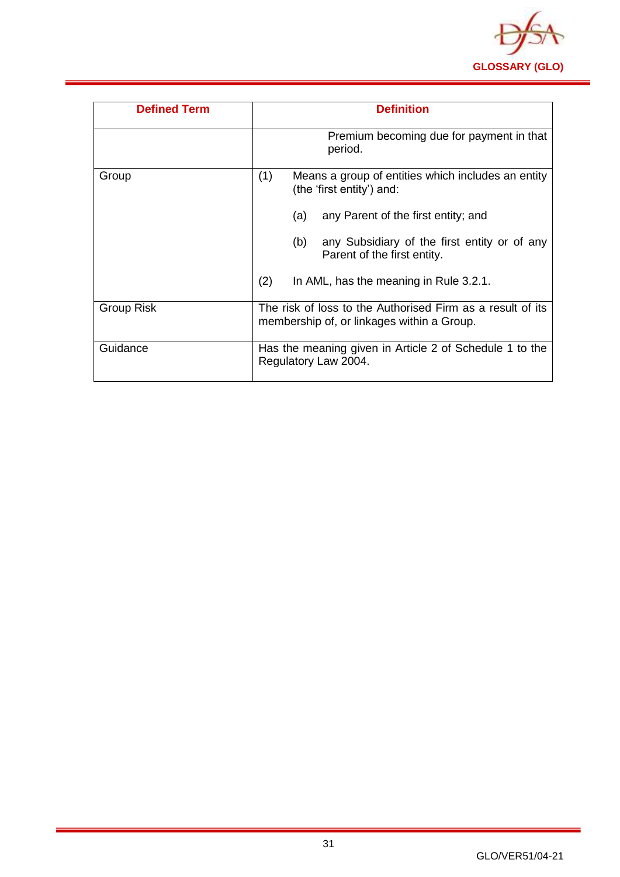

| <b>Defined Term</b> | <b>Definition</b>                                                                                        |
|---------------------|----------------------------------------------------------------------------------------------------------|
|                     | Premium becoming due for payment in that<br>period.                                                      |
| Group               | (1)<br>Means a group of entities which includes an entity<br>(the 'first entity') and:                   |
|                     | any Parent of the first entity; and<br>(a)                                                               |
|                     | any Subsidiary of the first entity or of any<br>(b)<br>Parent of the first entity.                       |
|                     | (2)<br>In AML, has the meaning in Rule 3.2.1.                                                            |
| Group Risk          | The risk of loss to the Authorised Firm as a result of its<br>membership of, or linkages within a Group. |
| Guidance            | Has the meaning given in Article 2 of Schedule 1 to the<br>Regulatory Law 2004.                          |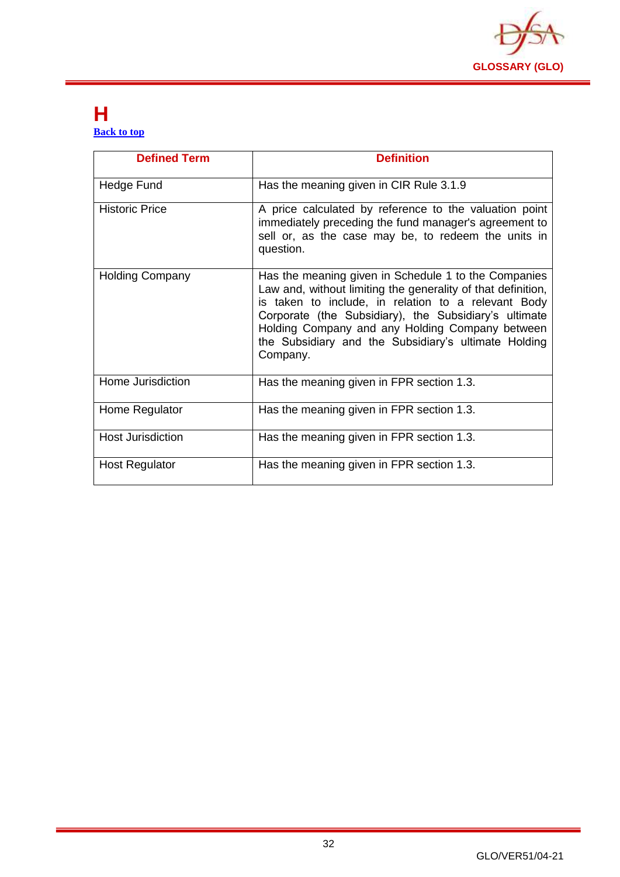

#### <span id="page-32-0"></span>**H [Back to top](#page-1-0)**

| <b>Defined Term</b>      | <b>Definition</b>                                                                                                                                                                                                                                                                                                                                           |
|--------------------------|-------------------------------------------------------------------------------------------------------------------------------------------------------------------------------------------------------------------------------------------------------------------------------------------------------------------------------------------------------------|
| Hedge Fund               | Has the meaning given in CIR Rule 3.1.9                                                                                                                                                                                                                                                                                                                     |
| <b>Historic Price</b>    | A price calculated by reference to the valuation point<br>immediately preceding the fund manager's agreement to<br>sell or, as the case may be, to redeem the units in<br>question.                                                                                                                                                                         |
| <b>Holding Company</b>   | Has the meaning given in Schedule 1 to the Companies<br>Law and, without limiting the generality of that definition,<br>is taken to include, in relation to a relevant Body<br>Corporate (the Subsidiary), the Subsidiary's ultimate<br>Holding Company and any Holding Company between<br>the Subsidiary and the Subsidiary's ultimate Holding<br>Company. |
| Home Jurisdiction        | Has the meaning given in FPR section 1.3.                                                                                                                                                                                                                                                                                                                   |
| Home Regulator           | Has the meaning given in FPR section 1.3.                                                                                                                                                                                                                                                                                                                   |
| <b>Host Jurisdiction</b> | Has the meaning given in FPR section 1.3.                                                                                                                                                                                                                                                                                                                   |
| <b>Host Regulator</b>    | Has the meaning given in FPR section 1.3.                                                                                                                                                                                                                                                                                                                   |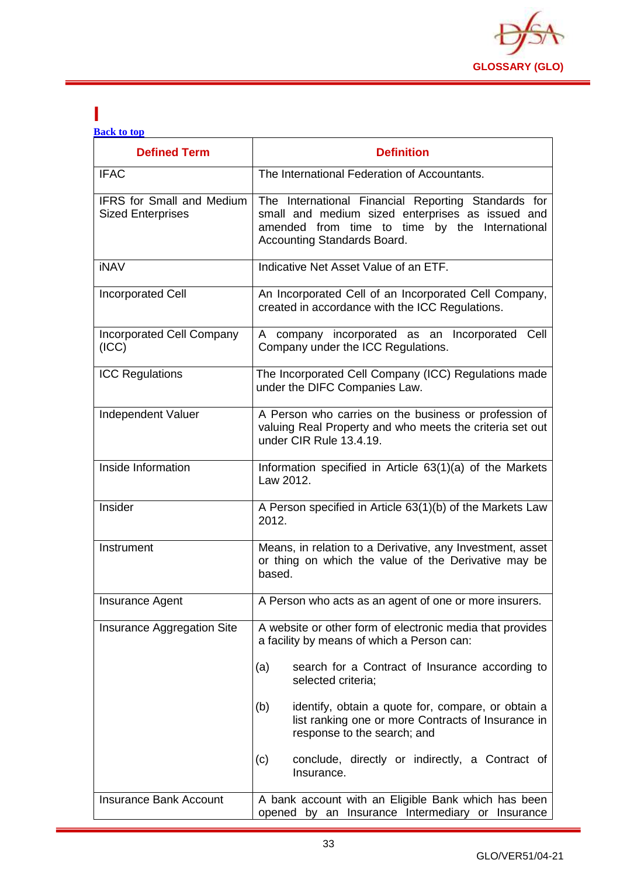

#### <span id="page-33-0"></span>**I [Back to top](#page-1-0)**

| <b>Defined Term</b>                                          | <b>Definition</b>                                                                                                                                                                        |
|--------------------------------------------------------------|------------------------------------------------------------------------------------------------------------------------------------------------------------------------------------------|
| <b>IFAC</b>                                                  | The International Federation of Accountants.                                                                                                                                             |
| <b>IFRS</b> for Small and Medium<br><b>Sized Enterprises</b> | The International Financial Reporting Standards for<br>small and medium sized enterprises as issued and<br>amended from time to time by the International<br>Accounting Standards Board. |
| <b>iNAV</b>                                                  | Indicative Net Asset Value of an ETF.                                                                                                                                                    |
| <b>Incorporated Cell</b>                                     | An Incorporated Cell of an Incorporated Cell Company,<br>created in accordance with the ICC Regulations.                                                                                 |
| Incorporated Cell Company<br>(ICC)                           | A company incorporated as an Incorporated Cell<br>Company under the ICC Regulations.                                                                                                     |
| <b>ICC Regulations</b>                                       | The Incorporated Cell Company (ICC) Regulations made<br>under the DIFC Companies Law.                                                                                                    |
| Independent Valuer                                           | A Person who carries on the business or profession of<br>valuing Real Property and who meets the criteria set out<br>under CIR Rule 13.4.19.                                             |
| Inside Information                                           | Information specified in Article 63(1)(a) of the Markets<br>Law 2012.                                                                                                                    |
| Insider                                                      | A Person specified in Article 63(1)(b) of the Markets Law<br>2012.                                                                                                                       |
| Instrument                                                   | Means, in relation to a Derivative, any Investment, asset<br>or thing on which the value of the Derivative may be<br>based.                                                              |
| Insurance Agent                                              | A Person who acts as an agent of one or more insurers.                                                                                                                                   |
| Insurance Aggregation Site                                   | A website or other form of electronic media that provides<br>a facility by means of which a Person can:                                                                                  |
|                                                              | search for a Contract of Insurance according to<br>(a)<br>selected criteria;                                                                                                             |
|                                                              | (b)<br>identify, obtain a quote for, compare, or obtain a<br>list ranking one or more Contracts of Insurance in<br>response to the search; and                                           |
|                                                              | conclude, directly or indirectly, a Contract of<br>(c)<br>Insurance.                                                                                                                     |
| Insurance Bank Account                                       | A bank account with an Eligible Bank which has been<br>opened by an Insurance Intermediary or Insurance                                                                                  |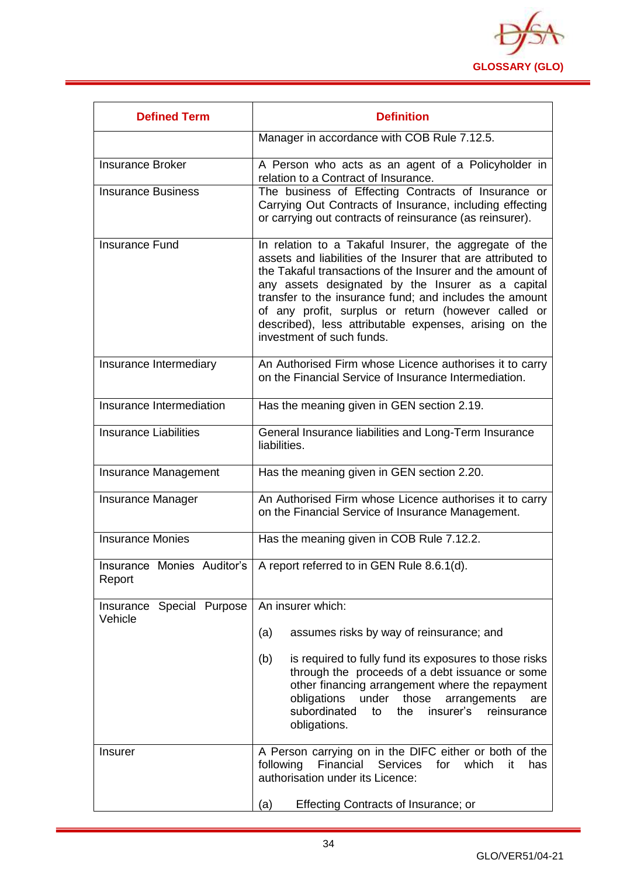

| <b>Defined Term</b>                  | <b>Definition</b>                                                                                                                                                                                                                                                                                                                                                                                                                                 |  |
|--------------------------------------|---------------------------------------------------------------------------------------------------------------------------------------------------------------------------------------------------------------------------------------------------------------------------------------------------------------------------------------------------------------------------------------------------------------------------------------------------|--|
|                                      | Manager in accordance with COB Rule 7.12.5.                                                                                                                                                                                                                                                                                                                                                                                                       |  |
| <b>Insurance Broker</b>              | A Person who acts as an agent of a Policyholder in<br>relation to a Contract of Insurance.                                                                                                                                                                                                                                                                                                                                                        |  |
| <b>Insurance Business</b>            | The business of Effecting Contracts of Insurance or<br>Carrying Out Contracts of Insurance, including effecting<br>or carrying out contracts of reinsurance (as reinsurer).                                                                                                                                                                                                                                                                       |  |
| Insurance Fund                       | In relation to a Takaful Insurer, the aggregate of the<br>assets and liabilities of the Insurer that are attributed to<br>the Takaful transactions of the Insurer and the amount of<br>any assets designated by the Insurer as a capital<br>transfer to the insurance fund; and includes the amount<br>of any profit, surplus or return (however called or<br>described), less attributable expenses, arising on the<br>investment of such funds. |  |
| Insurance Intermediary               | An Authorised Firm whose Licence authorises it to carry<br>on the Financial Service of Insurance Intermediation.                                                                                                                                                                                                                                                                                                                                  |  |
| Insurance Intermediation             | Has the meaning given in GEN section 2.19.                                                                                                                                                                                                                                                                                                                                                                                                        |  |
| Insurance Liabilities                | General Insurance liabilities and Long-Term Insurance<br>liabilities.                                                                                                                                                                                                                                                                                                                                                                             |  |
| Insurance Management                 | Has the meaning given in GEN section 2.20.                                                                                                                                                                                                                                                                                                                                                                                                        |  |
| <b>Insurance Manager</b>             | An Authorised Firm whose Licence authorises it to carry<br>on the Financial Service of Insurance Management.                                                                                                                                                                                                                                                                                                                                      |  |
| <b>Insurance Monies</b>              | Has the meaning given in COB Rule 7.12.2.                                                                                                                                                                                                                                                                                                                                                                                                         |  |
| Report                               | Insurance Monies Auditor's   A report referred to in GEN Rule 8.6.1(d).                                                                                                                                                                                                                                                                                                                                                                           |  |
| Insurance Special Purpose<br>Vehicle | An insurer which:                                                                                                                                                                                                                                                                                                                                                                                                                                 |  |
|                                      | assumes risks by way of reinsurance; and<br>(a)                                                                                                                                                                                                                                                                                                                                                                                                   |  |
|                                      | (b)<br>is required to fully fund its exposures to those risks<br>through the proceeds of a debt issuance or some<br>other financing arrangement where the repayment<br>obligations<br>those<br>under<br>arrangements<br>are<br>subordinated<br>the<br>insurer's<br>reinsurance<br>to<br>obligations.                                                                                                                                              |  |
| <b>Insurer</b>                       | A Person carrying on in the DIFC either or both of the<br>Financial Services<br>following<br>for<br>which<br>it<br>has<br>authorisation under its Licence:                                                                                                                                                                                                                                                                                        |  |
|                                      | Effecting Contracts of Insurance; or<br>(a)                                                                                                                                                                                                                                                                                                                                                                                                       |  |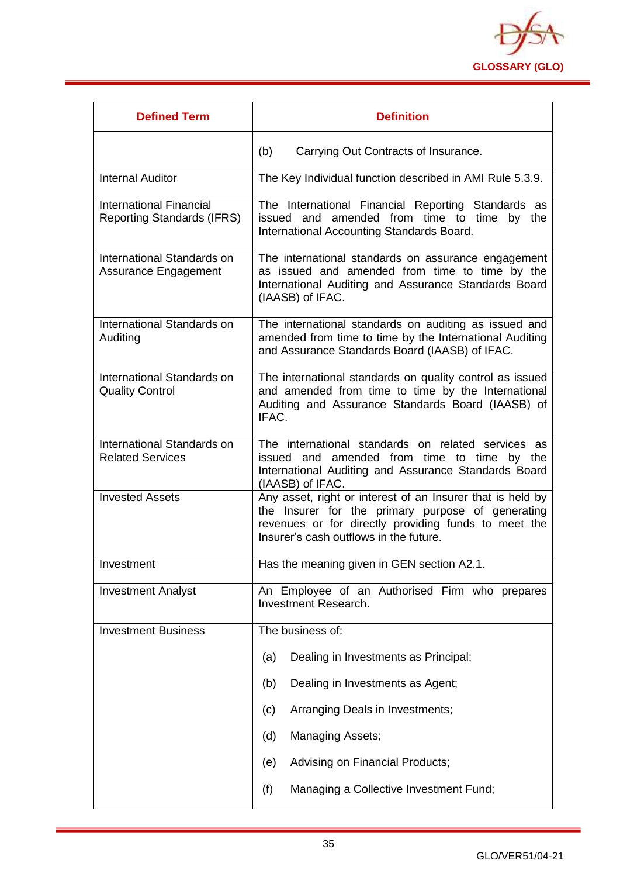

| <b>Defined Term</b>                                                 | <b>Definition</b>                                                                                                                                                                                                 |
|---------------------------------------------------------------------|-------------------------------------------------------------------------------------------------------------------------------------------------------------------------------------------------------------------|
|                                                                     | (b)<br>Carrying Out Contracts of Insurance.                                                                                                                                                                       |
| <b>Internal Auditor</b>                                             | The Key Individual function described in AMI Rule 5.3.9.                                                                                                                                                          |
| <b>International Financial</b><br><b>Reporting Standards (IFRS)</b> | The International Financial Reporting Standards as<br>issued and amended from time to time by the<br>International Accounting Standards Board.                                                                    |
| International Standards on<br>Assurance Engagement                  | The international standards on assurance engagement<br>as issued and amended from time to time by the<br>International Auditing and Assurance Standards Board<br>(IAASB) of IFAC.                                 |
| International Standards on<br>Auditing                              | The international standards on auditing as issued and<br>amended from time to time by the International Auditing<br>and Assurance Standards Board (IAASB) of IFAC.                                                |
| International Standards on<br><b>Quality Control</b>                | The international standards on quality control as issued<br>and amended from time to time by the International<br>Auditing and Assurance Standards Board (IAASB) of<br>IFAC.                                      |
| International Standards on<br><b>Related Services</b>               | The international standards on related services as<br>issued and amended from time to time by the<br>International Auditing and Assurance Standards Board<br>(IAASB) of IFAC.                                     |
| <b>Invested Assets</b>                                              | Any asset, right or interest of an Insurer that is held by<br>the Insurer for the primary purpose of generating<br>revenues or for directly providing funds to meet the<br>Insurer's cash outflows in the future. |
| Investment                                                          | Has the meaning given in GEN section A2.1.                                                                                                                                                                        |
| <b>Investment Analyst</b>                                           | An Employee of an Authorised Firm who prepares<br>Investment Research.                                                                                                                                            |
| <b>Investment Business</b>                                          | The business of:                                                                                                                                                                                                  |
|                                                                     | Dealing in Investments as Principal;<br>(a)                                                                                                                                                                       |
|                                                                     | Dealing in Investments as Agent;<br>(b)                                                                                                                                                                           |
|                                                                     | Arranging Deals in Investments;<br>(c)                                                                                                                                                                            |
|                                                                     | <b>Managing Assets;</b><br>(d)                                                                                                                                                                                    |
|                                                                     | Advising on Financial Products;<br>(e)                                                                                                                                                                            |
|                                                                     | (f)<br>Managing a Collective Investment Fund;                                                                                                                                                                     |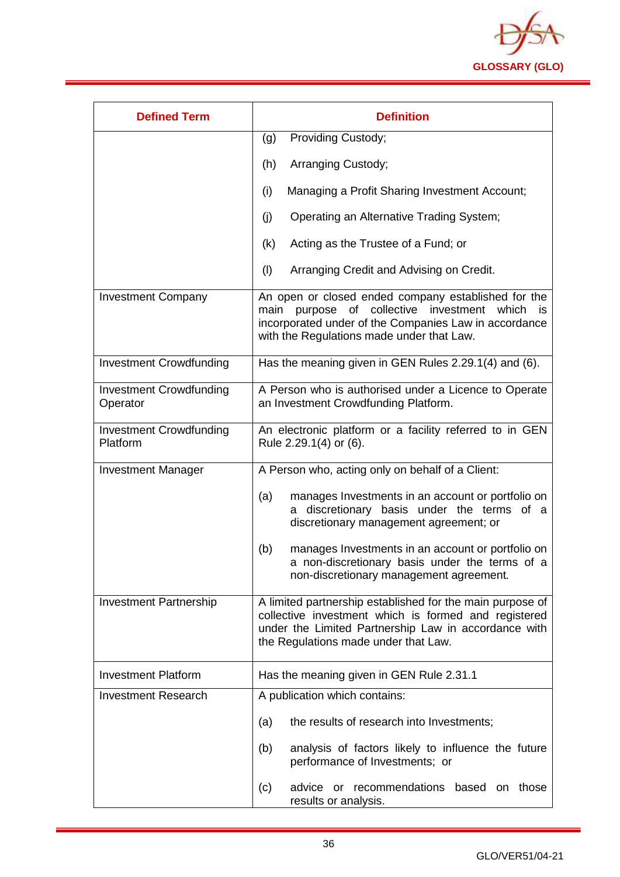

| <b>Defined Term</b>                        | <b>Definition</b>                                                                                                                                                                                                        |
|--------------------------------------------|--------------------------------------------------------------------------------------------------------------------------------------------------------------------------------------------------------------------------|
|                                            | Providing Custody;<br>(g)                                                                                                                                                                                                |
|                                            | (h)<br>Arranging Custody;                                                                                                                                                                                                |
|                                            | Managing a Profit Sharing Investment Account;<br>(i)                                                                                                                                                                     |
|                                            | (j)<br>Operating an Alternative Trading System;                                                                                                                                                                          |
|                                            | Acting as the Trustee of a Fund; or<br>(k)                                                                                                                                                                               |
|                                            | (1)<br>Arranging Credit and Advising on Credit.                                                                                                                                                                          |
| <b>Investment Company</b>                  | An open or closed ended company established for the<br>purpose of collective investment which<br>main<br><b>is</b><br>incorporated under of the Companies Law in accordance<br>with the Regulations made under that Law. |
| <b>Investment Crowdfunding</b>             | Has the meaning given in GEN Rules 2.29.1(4) and (6).                                                                                                                                                                    |
| <b>Investment Crowdfunding</b><br>Operator | A Person who is authorised under a Licence to Operate<br>an Investment Crowdfunding Platform.                                                                                                                            |
| <b>Investment Crowdfunding</b><br>Platform | An electronic platform or a facility referred to in GEN<br>Rule 2.29.1(4) or (6).                                                                                                                                        |
| <b>Investment Manager</b>                  | A Person who, acting only on behalf of a Client:                                                                                                                                                                         |
|                                            | manages Investments in an account or portfolio on<br>(a)<br>discretionary basis under the terms of a<br>discretionary management agreement; or                                                                           |
|                                            | (b)<br>manages Investments in an account or portfolio on<br>a non-discretionary basis under the terms of a<br>non-discretionary management agreement.                                                                    |
| Investment Partnership                     | A limited partnership established for the main purpose of<br>collective investment which is formed and registered<br>under the Limited Partnership Law in accordance with<br>the Regulations made under that Law.        |
| <b>Investment Platform</b>                 | Has the meaning given in GEN Rule 2.31.1                                                                                                                                                                                 |
| <b>Investment Research</b>                 | A publication which contains:                                                                                                                                                                                            |
|                                            | the results of research into Investments;<br>(a)                                                                                                                                                                         |
|                                            | analysis of factors likely to influence the future<br>(b)<br>performance of Investments; or                                                                                                                              |
|                                            | advice or recommendations based on those<br>(c)<br>results or analysis.                                                                                                                                                  |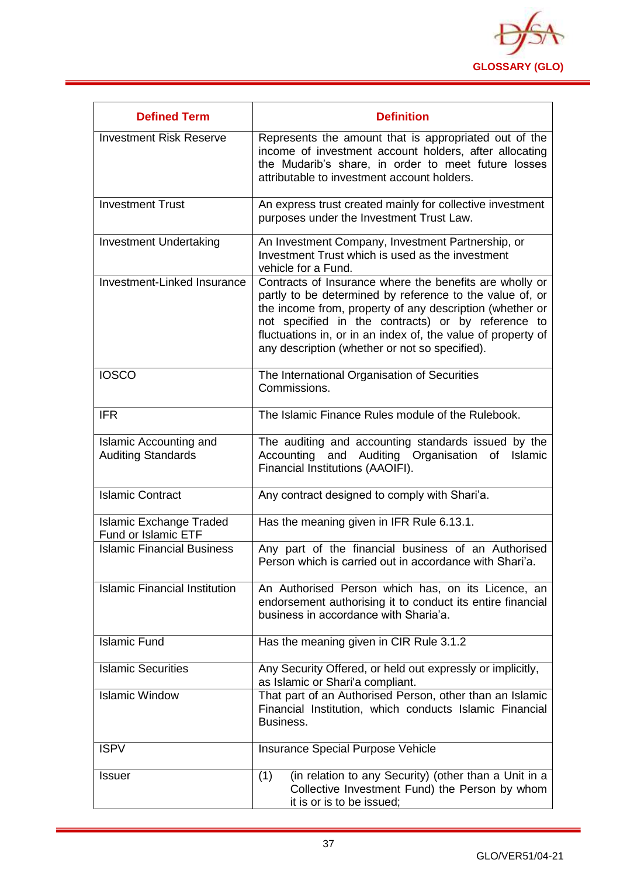

| <b>Defined Term</b>                                        | <b>Definition</b>                                                                                                                                                                                                                                                                                                                                       |
|------------------------------------------------------------|---------------------------------------------------------------------------------------------------------------------------------------------------------------------------------------------------------------------------------------------------------------------------------------------------------------------------------------------------------|
| <b>Investment Risk Reserve</b>                             | Represents the amount that is appropriated out of the<br>income of investment account holders, after allocating<br>the Mudarib's share, in order to meet future losses<br>attributable to investment account holders.                                                                                                                                   |
| <b>Investment Trust</b>                                    | An express trust created mainly for collective investment<br>purposes under the Investment Trust Law.                                                                                                                                                                                                                                                   |
| <b>Investment Undertaking</b>                              | An Investment Company, Investment Partnership, or<br>Investment Trust which is used as the investment<br>vehicle for a Fund.                                                                                                                                                                                                                            |
| Investment-Linked Insurance                                | Contracts of Insurance where the benefits are wholly or<br>partly to be determined by reference to the value of, or<br>the income from, property of any description (whether or<br>not specified in the contracts) or by reference to<br>fluctuations in, or in an index of, the value of property of<br>any description (whether or not so specified). |
| <b>IOSCO</b>                                               | The International Organisation of Securities<br>Commissions.                                                                                                                                                                                                                                                                                            |
| <b>IFR</b>                                                 | The Islamic Finance Rules module of the Rulebook.                                                                                                                                                                                                                                                                                                       |
| <b>Islamic Accounting and</b><br><b>Auditing Standards</b> | The auditing and accounting standards issued by the<br>Accounting<br>and Auditing<br>Organisation<br>Islamic<br>of<br>Financial Institutions (AAOIFI).                                                                                                                                                                                                  |
| <b>Islamic Contract</b>                                    | Any contract designed to comply with Shari'a.                                                                                                                                                                                                                                                                                                           |
| <b>Islamic Exchange Traded</b><br>Fund or Islamic ETF      | Has the meaning given in IFR Rule 6.13.1.                                                                                                                                                                                                                                                                                                               |
| <b>Islamic Financial Business</b>                          | Any part of the financial business of an Authorised<br>Person which is carried out in accordance with Shari'a.                                                                                                                                                                                                                                          |
| <b>Islamic Financial Institution</b>                       | An Authorised Person which has, on its Licence, an<br>endorsement authorising it to conduct its entire financial<br>business in accordance with Sharia'a.                                                                                                                                                                                               |
| <b>Islamic Fund</b>                                        | Has the meaning given in CIR Rule 3.1.2                                                                                                                                                                                                                                                                                                                 |
| <b>Islamic Securities</b>                                  | Any Security Offered, or held out expressly or implicitly,<br>as Islamic or Shari'a compliant.                                                                                                                                                                                                                                                          |
| <b>Islamic Window</b>                                      | That part of an Authorised Person, other than an Islamic<br>Financial Institution, which conducts Islamic Financial<br>Business.                                                                                                                                                                                                                        |
| <b>ISPV</b>                                                | Insurance Special Purpose Vehicle                                                                                                                                                                                                                                                                                                                       |
| <b>Issuer</b>                                              | (in relation to any Security) (other than a Unit in a<br>(1)<br>Collective Investment Fund) the Person by whom<br>it is or is to be issued;                                                                                                                                                                                                             |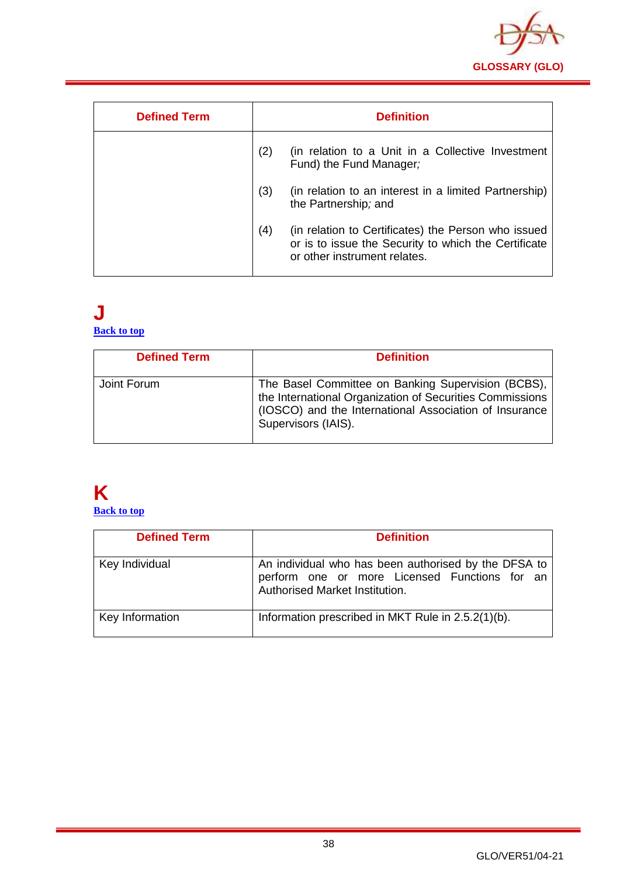

| <b>Defined Term</b> | <b>Definition</b> |                                                                                                                                             |
|---------------------|-------------------|---------------------------------------------------------------------------------------------------------------------------------------------|
|                     | (2)               | (in relation to a Unit in a Collective Investment<br>Fund) the Fund Manager;                                                                |
|                     | (3)               | (in relation to an interest in a limited Partnership)<br>the Partnership; and                                                               |
|                     | (4)               | (in relation to Certificates) the Person who issued<br>or is to issue the Security to which the Certificate<br>or other instrument relates. |

#### **J [Back to top](#page-1-0)**

| <b>Defined Term</b> | <b>Definition</b>                                                                                                                                                                               |
|---------------------|-------------------------------------------------------------------------------------------------------------------------------------------------------------------------------------------------|
| Joint Forum         | The Basel Committee on Banking Supervision (BCBS),<br>the International Organization of Securities Commissions<br>(IOSCO) and the International Association of Insurance<br>Supervisors (IAIS). |

# **K**

**[Back to top](#page-1-0)**

| <b>Defined Term</b> | <b>Definition</b>                                                                                                                       |
|---------------------|-----------------------------------------------------------------------------------------------------------------------------------------|
| Key Individual      | An individual who has been authorised by the DFSA to<br>perform one or more Licensed Functions for an<br>Authorised Market Institution. |
| Key Information     | Information prescribed in MKT Rule in 2.5.2(1)(b).                                                                                      |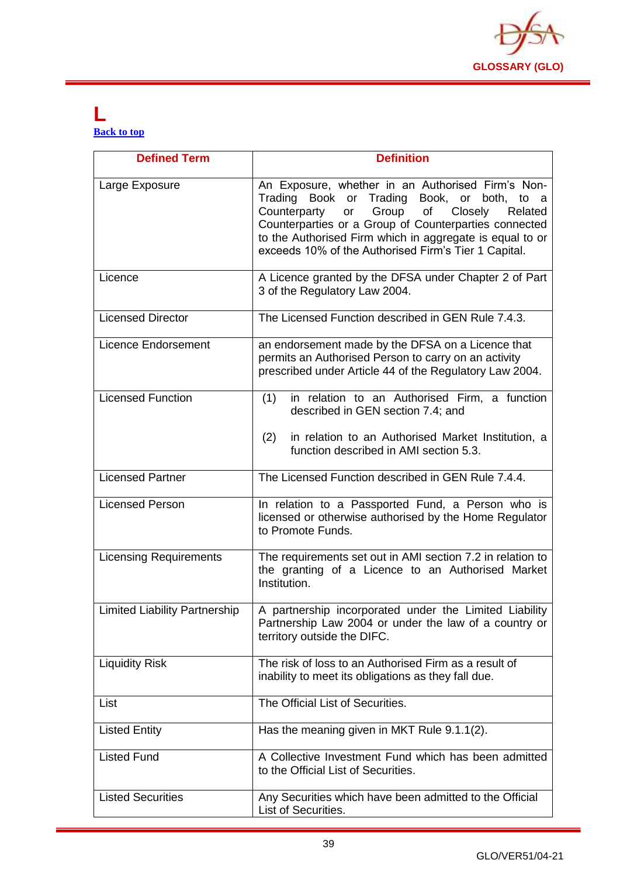

#### **L [Back to top](#page-1-0)**

| <b>Defined Term</b>                  | <b>Definition</b>                                                                                                                                                                                                                                                                                                                     |
|--------------------------------------|---------------------------------------------------------------------------------------------------------------------------------------------------------------------------------------------------------------------------------------------------------------------------------------------------------------------------------------|
| Large Exposure                       | An Exposure, whether in an Authorised Firm's Non-<br>Trading Book or Trading Book, or both, to a<br>Group of<br>Counterparty<br>or<br>Closely<br>Related<br>Counterparties or a Group of Counterparties connected<br>to the Authorised Firm which in aggregate is equal to or<br>exceeds 10% of the Authorised Firm's Tier 1 Capital. |
| Licence                              | A Licence granted by the DFSA under Chapter 2 of Part<br>3 of the Regulatory Law 2004.                                                                                                                                                                                                                                                |
| <b>Licensed Director</b>             | The Licensed Function described in GEN Rule 7.4.3.                                                                                                                                                                                                                                                                                    |
| <b>Licence Endorsement</b>           | an endorsement made by the DFSA on a Licence that<br>permits an Authorised Person to carry on an activity<br>prescribed under Article 44 of the Regulatory Law 2004.                                                                                                                                                                  |
| <b>Licensed Function</b>             | in relation to an Authorised Firm, a function<br>(1)<br>described in GEN section 7.4; and<br>in relation to an Authorised Market Institution, a<br>(2)<br>function described in AMI section 5.3.                                                                                                                                      |
| <b>Licensed Partner</b>              | The Licensed Function described in GEN Rule 7.4.4.                                                                                                                                                                                                                                                                                    |
| <b>Licensed Person</b>               | In relation to a Passported Fund, a Person who is<br>licensed or otherwise authorised by the Home Regulator<br>to Promote Funds.                                                                                                                                                                                                      |
| <b>Licensing Requirements</b>        | The requirements set out in AMI section 7.2 in relation to<br>the granting of a Licence to an Authorised Market<br>Institution.                                                                                                                                                                                                       |
| <b>Limited Liability Partnership</b> | A partnership incorporated under the Limited Liability<br>Partnership Law 2004 or under the law of a country or<br>territory outside the DIFC.                                                                                                                                                                                        |
| <b>Liquidity Risk</b>                | The risk of loss to an Authorised Firm as a result of<br>inability to meet its obligations as they fall due.                                                                                                                                                                                                                          |
| List                                 | The Official List of Securities.                                                                                                                                                                                                                                                                                                      |
| <b>Listed Entity</b>                 | Has the meaning given in MKT Rule 9.1.1(2).                                                                                                                                                                                                                                                                                           |
| <b>Listed Fund</b>                   | A Collective Investment Fund which has been admitted<br>to the Official List of Securities.                                                                                                                                                                                                                                           |
| <b>Listed Securities</b>             | Any Securities which have been admitted to the Official<br>List of Securities.                                                                                                                                                                                                                                                        |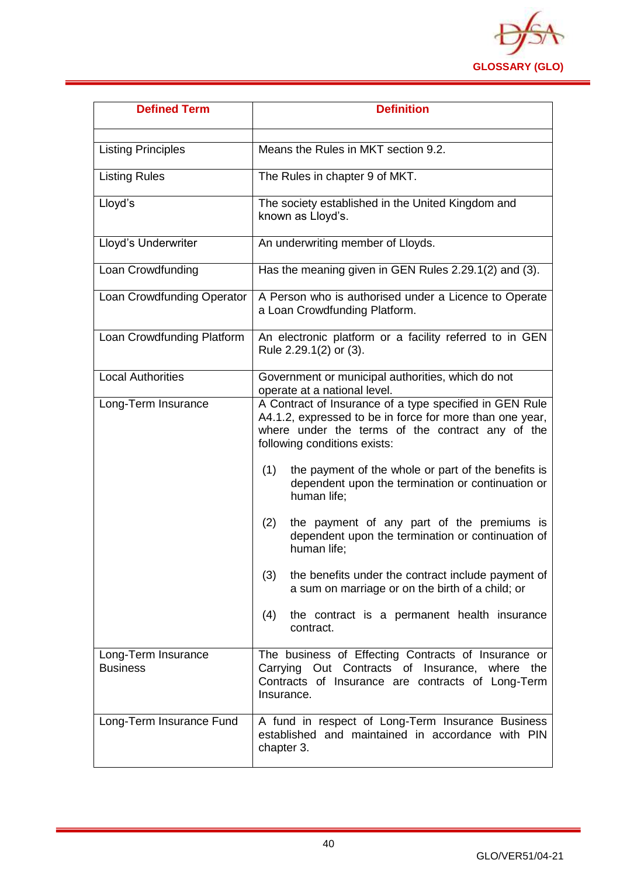

| <b>Defined Term</b>                    | <b>Definition</b>                                                                                                                                                                                       |
|----------------------------------------|---------------------------------------------------------------------------------------------------------------------------------------------------------------------------------------------------------|
| <b>Listing Principles</b>              | Means the Rules in MKT section 9.2.                                                                                                                                                                     |
| <b>Listing Rules</b>                   | The Rules in chapter 9 of MKT.                                                                                                                                                                          |
| Lloyd's                                | The society established in the United Kingdom and<br>known as Lloyd's.                                                                                                                                  |
| Lloyd's Underwriter                    | An underwriting member of Lloyds.                                                                                                                                                                       |
| Loan Crowdfunding                      | Has the meaning given in GEN Rules 2.29.1(2) and (3).                                                                                                                                                   |
| Loan Crowdfunding Operator             | A Person who is authorised under a Licence to Operate<br>a Loan Crowdfunding Platform.                                                                                                                  |
| Loan Crowdfunding Platform             | An electronic platform or a facility referred to in GEN<br>Rule 2.29.1(2) or (3).                                                                                                                       |
| <b>Local Authorities</b>               | Government or municipal authorities, which do not<br>operate at a national level.                                                                                                                       |
| Long-Term Insurance                    | A Contract of Insurance of a type specified in GEN Rule<br>A4.1.2, expressed to be in force for more than one year,<br>where under the terms of the contract any of the<br>following conditions exists: |
|                                        | the payment of the whole or part of the benefits is<br>(1)<br>dependent upon the termination or continuation or<br>human life;                                                                          |
|                                        | (2)<br>the payment of any part of the premiums is<br>dependent upon the termination or continuation of<br>human life;                                                                                   |
|                                        | the benefits under the contract include payment of<br>(3)<br>a sum on marriage or on the birth of a child; or                                                                                           |
|                                        | the contract is a permanent health insurance<br>(4)<br>contract.                                                                                                                                        |
| Long-Term Insurance<br><b>Business</b> | The business of Effecting Contracts of Insurance or<br>Carrying Out Contracts of Insurance, where the<br>Contracts of Insurance are contracts of Long-Term<br>Insurance.                                |
| Long-Term Insurance Fund               | A fund in respect of Long-Term Insurance Business<br>established and maintained in accordance with PIN<br>chapter 3.                                                                                    |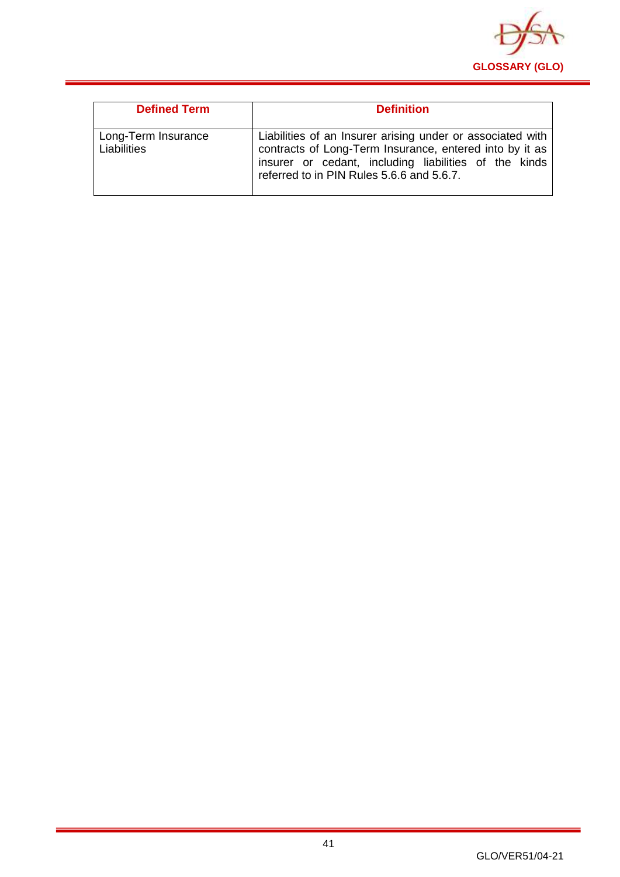

| <b>Defined Term</b>                | <b>Definition</b>                                                                                                                                                                                                           |
|------------------------------------|-----------------------------------------------------------------------------------------------------------------------------------------------------------------------------------------------------------------------------|
| Long-Term Insurance<br>Liabilities | Liabilities of an Insurer arising under or associated with<br>contracts of Long-Term Insurance, entered into by it as<br>insurer or cedant, including liabilities of the kinds<br>referred to in PIN Rules 5.6.6 and 5.6.7. |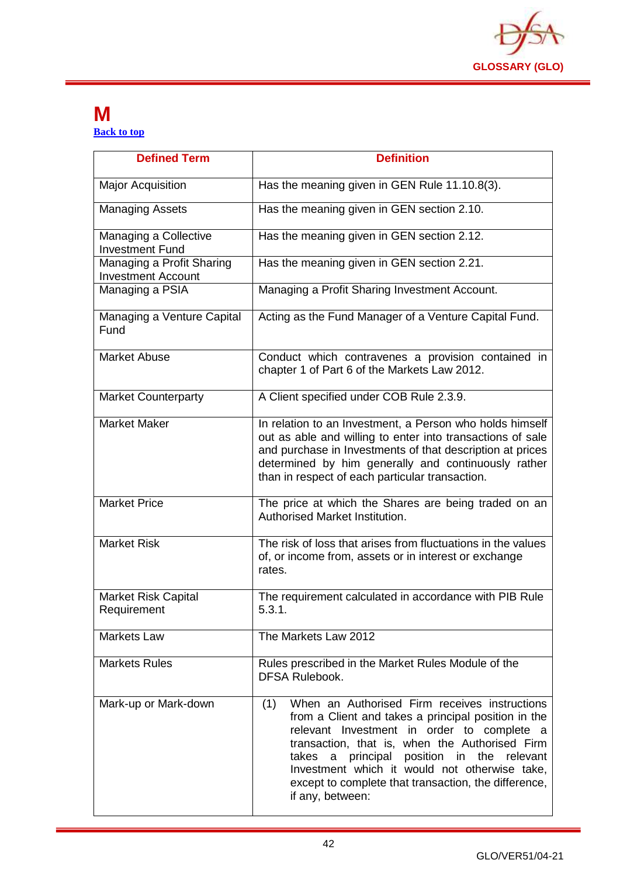

#### **M [Back to top](#page-1-0)**

| <b>Defined Term</b>                                    | <b>Definition</b>                                                                                                                                                                                                                                                                                                                                                                               |
|--------------------------------------------------------|-------------------------------------------------------------------------------------------------------------------------------------------------------------------------------------------------------------------------------------------------------------------------------------------------------------------------------------------------------------------------------------------------|
| <b>Major Acquisition</b>                               | Has the meaning given in GEN Rule 11.10.8(3).                                                                                                                                                                                                                                                                                                                                                   |
| <b>Managing Assets</b>                                 | Has the meaning given in GEN section 2.10.                                                                                                                                                                                                                                                                                                                                                      |
| Managing a Collective<br><b>Investment Fund</b>        | Has the meaning given in GEN section 2.12.                                                                                                                                                                                                                                                                                                                                                      |
| Managing a Profit Sharing<br><b>Investment Account</b> | Has the meaning given in GEN section 2.21.                                                                                                                                                                                                                                                                                                                                                      |
| Managing a PSIA                                        | Managing a Profit Sharing Investment Account.                                                                                                                                                                                                                                                                                                                                                   |
| Managing a Venture Capital<br>Fund                     | Acting as the Fund Manager of a Venture Capital Fund.                                                                                                                                                                                                                                                                                                                                           |
| <b>Market Abuse</b>                                    | Conduct which contravenes a provision contained in<br>chapter 1 of Part 6 of the Markets Law 2012.                                                                                                                                                                                                                                                                                              |
| <b>Market Counterparty</b>                             | A Client specified under COB Rule 2.3.9.                                                                                                                                                                                                                                                                                                                                                        |
| <b>Market Maker</b>                                    | In relation to an Investment, a Person who holds himself<br>out as able and willing to enter into transactions of sale<br>and purchase in Investments of that description at prices<br>determined by him generally and continuously rather<br>than in respect of each particular transaction.                                                                                                   |
| <b>Market Price</b>                                    | The price at which the Shares are being traded on an<br><b>Authorised Market Institution.</b>                                                                                                                                                                                                                                                                                                   |
| <b>Market Risk</b>                                     | The risk of loss that arises from fluctuations in the values<br>of, or income from, assets or in interest or exchange<br>rates.                                                                                                                                                                                                                                                                 |
| <b>Market Risk Capital</b><br>Requirement              | The requirement calculated in accordance with PIB Rule<br>5.3.1.                                                                                                                                                                                                                                                                                                                                |
| <b>Markets Law</b>                                     | The Markets Law 2012                                                                                                                                                                                                                                                                                                                                                                            |
| <b>Markets Rules</b>                                   | Rules prescribed in the Market Rules Module of the<br><b>DFSA Rulebook.</b>                                                                                                                                                                                                                                                                                                                     |
| Mark-up or Mark-down                                   | When an Authorised Firm receives instructions<br>(1)<br>from a Client and takes a principal position in the<br>relevant Investment in order to complete a<br>transaction, that is, when the Authorised Firm<br>principal position in the<br>takes<br>relevant<br>a<br>Investment which it would not otherwise take,<br>except to complete that transaction, the difference,<br>if any, between: |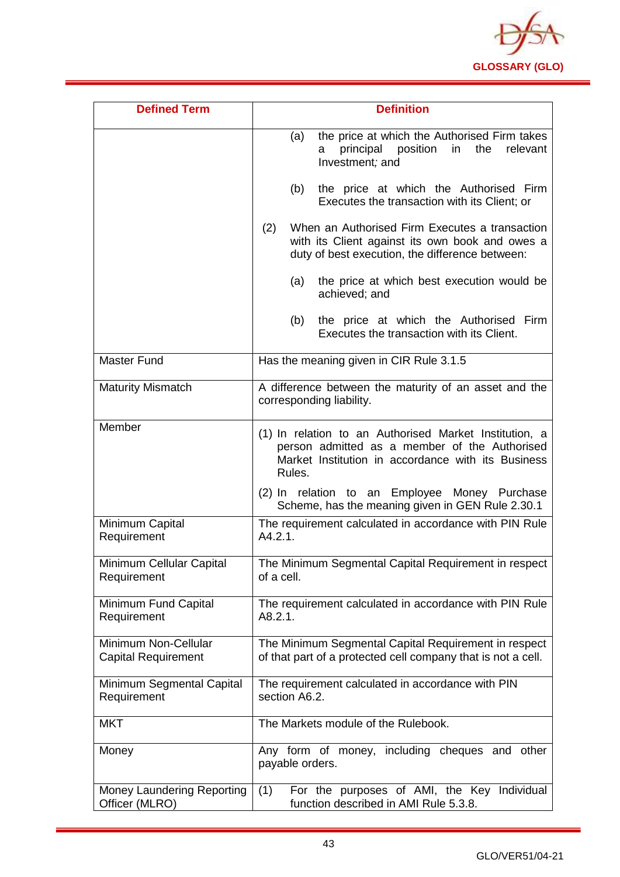

| <b>Defined Term</b>                                | <b>Definition</b>                                                                                                                                                       |
|----------------------------------------------------|-------------------------------------------------------------------------------------------------------------------------------------------------------------------------|
|                                                    | the price at which the Authorised Firm takes<br>(a)<br>principal<br>position<br>in<br>the<br>relevant<br>а<br>Investment; and                                           |
|                                                    | the price at which the Authorised Firm<br>(b)<br>Executes the transaction with its Client; or                                                                           |
|                                                    | When an Authorised Firm Executes a transaction<br>(2)<br>with its Client against its own book and owes a<br>duty of best execution, the difference between:             |
|                                                    | the price at which best execution would be<br>(a)<br>achieved; and                                                                                                      |
|                                                    | the price at which the Authorised Firm<br>(b)<br>Executes the transaction with its Client.                                                                              |
| <b>Master Fund</b>                                 | Has the meaning given in CIR Rule 3.1.5                                                                                                                                 |
| <b>Maturity Mismatch</b>                           | A difference between the maturity of an asset and the<br>corresponding liability.                                                                                       |
| Member                                             | (1) In relation to an Authorised Market Institution, a<br>person admitted as a member of the Authorised<br>Market Institution in accordance with its Business<br>Rules. |
|                                                    | (2) In relation to an Employee Money Purchase<br>Scheme, has the meaning given in GEN Rule 2.30.1                                                                       |
| Minimum Capital<br>Requirement                     | The requirement calculated in accordance with PIN Rule<br>A4.2.1.                                                                                                       |
| Minimum Cellular Capital<br>Requirement            | The Minimum Segmental Capital Requirement in respect<br>of a cell.                                                                                                      |
| Minimum Fund Capital<br>Requirement                | The requirement calculated in accordance with PIN Rule<br>A8.2.1.                                                                                                       |
| Minimum Non-Cellular<br><b>Capital Requirement</b> | The Minimum Segmental Capital Requirement in respect<br>of that part of a protected cell company that is not a cell.                                                    |
| Minimum Segmental Capital<br>Requirement           | The requirement calculated in accordance with PIN<br>section A6.2.                                                                                                      |
| <b>MKT</b>                                         | The Markets module of the Rulebook.                                                                                                                                     |
| Money                                              | Any form of money, including cheques and other<br>payable orders.                                                                                                       |
| Money Laundering Reporting<br>Officer (MLRO)       | For the purposes of AMI, the Key Individual<br>(1)<br>function described in AMI Rule 5.3.8.                                                                             |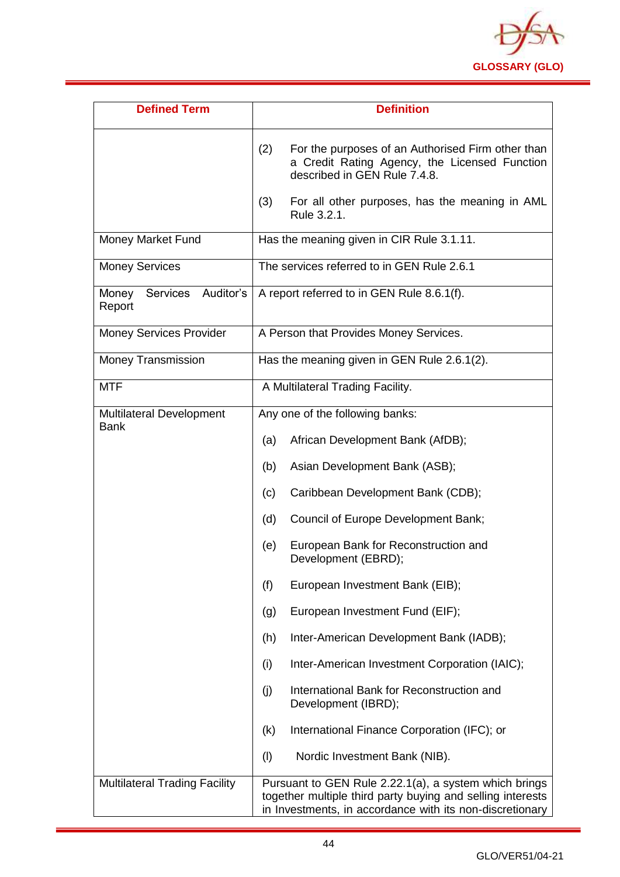

| <b>Defined Term</b>                            | <b>Definition</b>                                                                                                                                                                                  |
|------------------------------------------------|----------------------------------------------------------------------------------------------------------------------------------------------------------------------------------------------------|
|                                                | For the purposes of an Authorised Firm other than<br>(2)<br>a Credit Rating Agency, the Licensed Function<br>described in GEN Rule 7.4.8.<br>For all other purposes, has the meaning in AML<br>(3) |
|                                                | Rule 3.2.1.                                                                                                                                                                                        |
| Money Market Fund                              | Has the meaning given in CIR Rule 3.1.11.                                                                                                                                                          |
| <b>Money Services</b>                          | The services referred to in GEN Rule 2.6.1                                                                                                                                                         |
| Services Auditor's<br>Money<br>Report          | A report referred to in GEN Rule 8.6.1(f).                                                                                                                                                         |
| <b>Money Services Provider</b>                 | A Person that Provides Money Services.                                                                                                                                                             |
| <b>Money Transmission</b>                      | Has the meaning given in GEN Rule 2.6.1(2).                                                                                                                                                        |
| <b>MTF</b>                                     | A Multilateral Trading Facility.                                                                                                                                                                   |
| <b>Multilateral Development</b><br><b>Bank</b> | Any one of the following banks:                                                                                                                                                                    |
|                                                | African Development Bank (AfDB);<br>(a)                                                                                                                                                            |
|                                                | Asian Development Bank (ASB);<br>(b)                                                                                                                                                               |
|                                                | Caribbean Development Bank (CDB);<br>(c)                                                                                                                                                           |
|                                                | Council of Europe Development Bank;<br>(d)                                                                                                                                                         |
|                                                | European Bank for Reconstruction and<br>(e)<br>Development (EBRD);                                                                                                                                 |
|                                                | (f)<br>European Investment Bank (EIB);                                                                                                                                                             |
|                                                | European Investment Fund (EIF);<br>(g)                                                                                                                                                             |
|                                                | (h)<br>Inter-American Development Bank (IADB);                                                                                                                                                     |
|                                                | Inter-American Investment Corporation (IAIC);<br>(i)                                                                                                                                               |
|                                                | (j)<br>International Bank for Reconstruction and<br>Development (IBRD);                                                                                                                            |
|                                                | (k)<br>International Finance Corporation (IFC); or                                                                                                                                                 |
|                                                | (1)<br>Nordic Investment Bank (NIB).                                                                                                                                                               |
| <b>Multilateral Trading Facility</b>           | Pursuant to GEN Rule 2.22.1(a), a system which brings<br>together multiple third party buying and selling interests<br>in Investments, in accordance with its non-discretionary                    |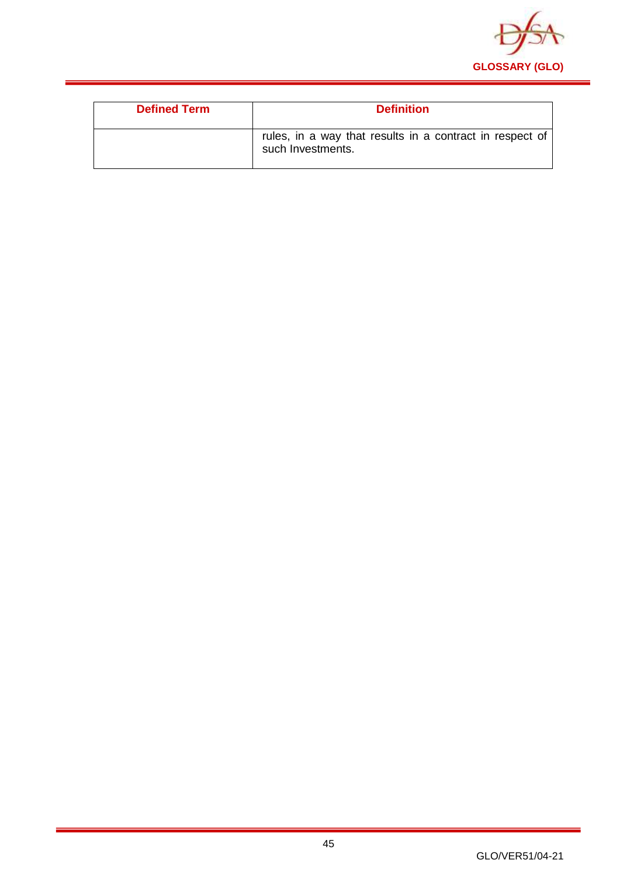

| <b>Defined Term</b> | <b>Definition</b>                                                             |
|---------------------|-------------------------------------------------------------------------------|
|                     | rules, in a way that results in a contract in respect of<br>such Investments. |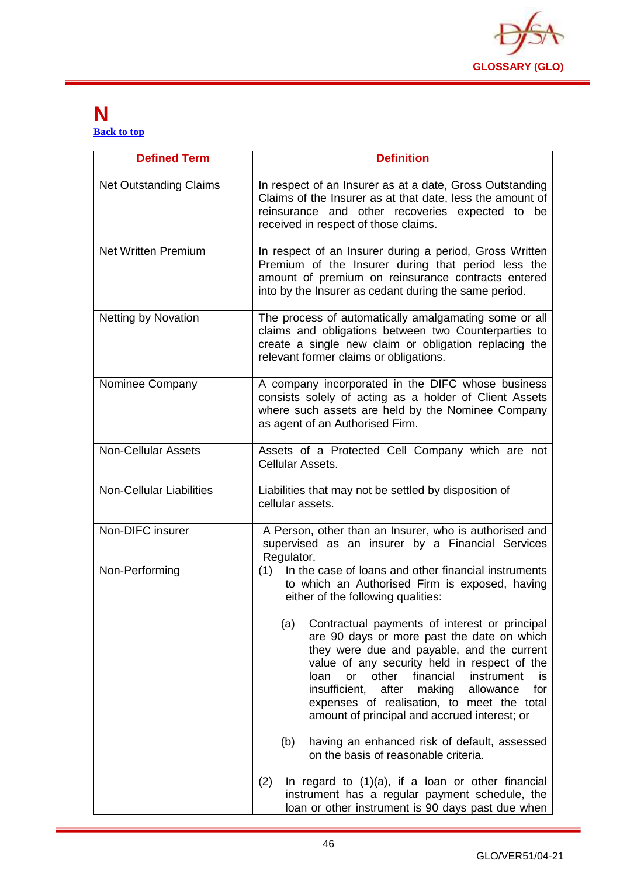

#### **N [Back to top](#page-1-0)**

| <b>Defined Term</b>             | <b>Definition</b>                                                                                                                                                                                                                                                                                                                                                                                                     |
|---------------------------------|-----------------------------------------------------------------------------------------------------------------------------------------------------------------------------------------------------------------------------------------------------------------------------------------------------------------------------------------------------------------------------------------------------------------------|
| <b>Net Outstanding Claims</b>   | In respect of an Insurer as at a date, Gross Outstanding<br>Claims of the Insurer as at that date, less the amount of<br>reinsurance and other recoveries expected to be<br>received in respect of those claims.                                                                                                                                                                                                      |
| <b>Net Written Premium</b>      | In respect of an Insurer during a period, Gross Written<br>Premium of the Insurer during that period less the<br>amount of premium on reinsurance contracts entered<br>into by the Insurer as cedant during the same period.                                                                                                                                                                                          |
| <b>Netting by Novation</b>      | The process of automatically amalgamating some or all<br>claims and obligations between two Counterparties to<br>create a single new claim or obligation replacing the<br>relevant former claims or obligations.                                                                                                                                                                                                      |
| Nominee Company                 | A company incorporated in the DIFC whose business<br>consists solely of acting as a holder of Client Assets<br>where such assets are held by the Nominee Company<br>as agent of an Authorised Firm.                                                                                                                                                                                                                   |
| <b>Non-Cellular Assets</b>      | Assets of a Protected Cell Company which are not<br>Cellular Assets.                                                                                                                                                                                                                                                                                                                                                  |
| <b>Non-Cellular Liabilities</b> | Liabilities that may not be settled by disposition of<br>cellular assets.                                                                                                                                                                                                                                                                                                                                             |
| Non-DIFC insurer                | A Person, other than an Insurer, who is authorised and<br>supervised as an insurer by a Financial Services<br>Regulator.                                                                                                                                                                                                                                                                                              |
| Non-Performing                  | (1) In the case of loans and other financial instruments<br>to which an Authorised Firm is exposed, having<br>either of the following qualities:                                                                                                                                                                                                                                                                      |
|                                 | (a)<br>Contractual payments of interest or principal<br>are 90 days or more past the date on which<br>they were due and payable, and the current<br>value of any security held in respect of the<br>financial<br>instrument<br>loan<br><b>or</b><br>other<br>is<br>insufficient,<br>after<br>making<br>for<br>allowance<br>expenses of realisation, to meet the total<br>amount of principal and accrued interest; or |
|                                 | having an enhanced risk of default, assessed<br>(b)<br>on the basis of reasonable criteria.                                                                                                                                                                                                                                                                                                                           |
|                                 | (2)<br>In regard to $(1)(a)$ , if a loan or other financial<br>instrument has a regular payment schedule, the<br>loan or other instrument is 90 days past due when                                                                                                                                                                                                                                                    |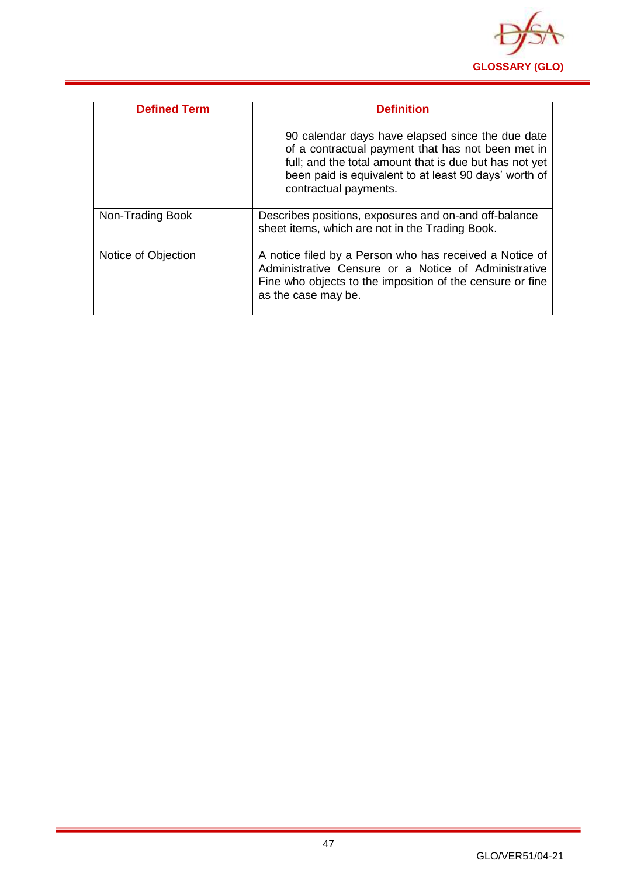

| <b>Defined Term</b> | <b>Definition</b>                                                                                                                                                                                                                                 |
|---------------------|---------------------------------------------------------------------------------------------------------------------------------------------------------------------------------------------------------------------------------------------------|
|                     | 90 calendar days have elapsed since the due date<br>of a contractual payment that has not been met in<br>full; and the total amount that is due but has not yet<br>been paid is equivalent to at least 90 days' worth of<br>contractual payments. |
| Non-Trading Book    | Describes positions, exposures and on-and off-balance<br>sheet items, which are not in the Trading Book.                                                                                                                                          |
| Notice of Objection | A notice filed by a Person who has received a Notice of<br>Administrative Censure or a Notice of Administrative<br>Fine who objects to the imposition of the censure or fine<br>as the case may be.                                               |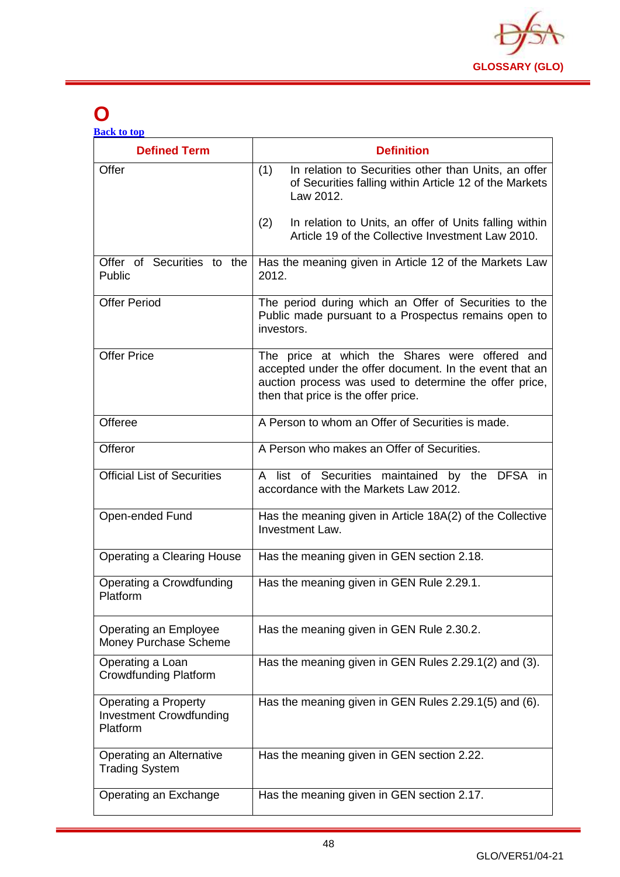

## **O**

| <b>Defined Term</b>                                                       | <b>Definition</b>                                                                                                                                                                                          |
|---------------------------------------------------------------------------|------------------------------------------------------------------------------------------------------------------------------------------------------------------------------------------------------------|
| Offer                                                                     | In relation to Securities other than Units, an offer<br>(1)<br>of Securities falling within Article 12 of the Markets<br>Law 2012.                                                                         |
|                                                                           | In relation to Units, an offer of Units falling within<br>(2)<br>Article 19 of the Collective Investment Law 2010.                                                                                         |
| Offer of Securities to the<br>Public                                      | Has the meaning given in Article 12 of the Markets Law<br>2012.                                                                                                                                            |
| <b>Offer Period</b>                                                       | The period during which an Offer of Securities to the<br>Public made pursuant to a Prospectus remains open to<br>investors.                                                                                |
| <b>Offer Price</b>                                                        | The price at which the Shares were offered and<br>accepted under the offer document. In the event that an<br>auction process was used to determine the offer price,<br>then that price is the offer price. |
| Offeree                                                                   | A Person to whom an Offer of Securities is made.                                                                                                                                                           |
| Offeror                                                                   | A Person who makes an Offer of Securities.                                                                                                                                                                 |
| <b>Official List of Securities</b>                                        | A list of Securities maintained by the DFSA in<br>accordance with the Markets Law 2012.                                                                                                                    |
| Open-ended Fund                                                           | Has the meaning given in Article 18A(2) of the Collective<br>Investment Law.                                                                                                                               |
| Operating a Clearing House                                                | Has the meaning given in GEN section 2.18.                                                                                                                                                                 |
| Operating a Crowdfunding<br>Platform                                      | Has the meaning given in GEN Rule 2.29.1.                                                                                                                                                                  |
| Operating an Employee<br>Money Purchase Scheme                            | Has the meaning given in GEN Rule 2.30.2.                                                                                                                                                                  |
| Operating a Loan<br><b>Crowdfunding Platform</b>                          | Has the meaning given in GEN Rules 2.29.1(2) and (3).                                                                                                                                                      |
| <b>Operating a Property</b><br><b>Investment Crowdfunding</b><br>Platform | Has the meaning given in GEN Rules 2.29.1(5) and (6).                                                                                                                                                      |
| Operating an Alternative<br><b>Trading System</b>                         | Has the meaning given in GEN section 2.22.                                                                                                                                                                 |
| Operating an Exchange                                                     | Has the meaning given in GEN section 2.17.                                                                                                                                                                 |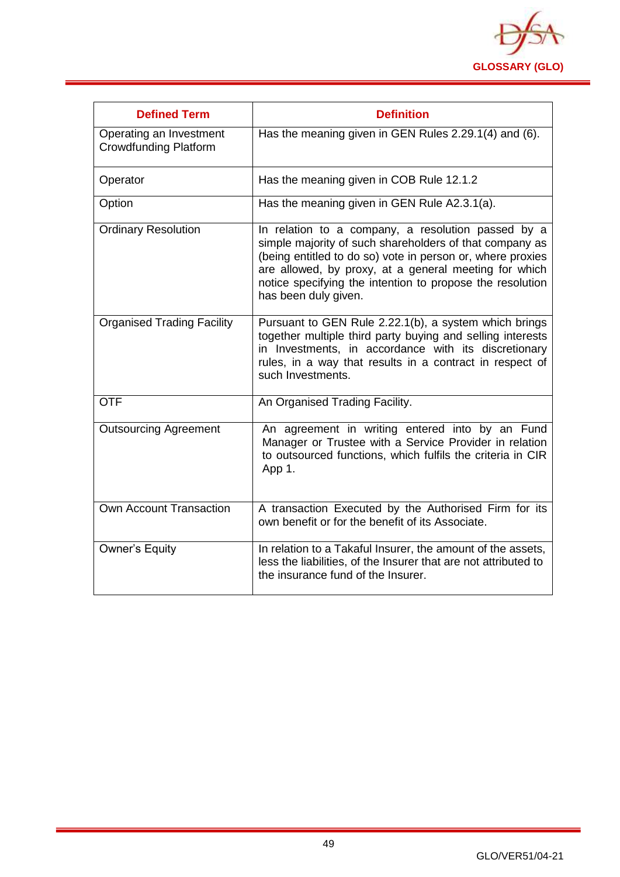

| <b>Defined Term</b>                                     | <b>Definition</b>                                                                                                                                                                                                                                                                                                         |
|---------------------------------------------------------|---------------------------------------------------------------------------------------------------------------------------------------------------------------------------------------------------------------------------------------------------------------------------------------------------------------------------|
| Operating an Investment<br><b>Crowdfunding Platform</b> | Has the meaning given in GEN Rules 2.29.1(4) and (6).                                                                                                                                                                                                                                                                     |
| Operator                                                | Has the meaning given in COB Rule 12.1.2                                                                                                                                                                                                                                                                                  |
| Option                                                  | Has the meaning given in GEN Rule A2.3.1(a).                                                                                                                                                                                                                                                                              |
| <b>Ordinary Resolution</b>                              | In relation to a company, a resolution passed by a<br>simple majority of such shareholders of that company as<br>(being entitled to do so) vote in person or, where proxies<br>are allowed, by proxy, at a general meeting for which<br>notice specifying the intention to propose the resolution<br>has been duly given. |
| <b>Organised Trading Facility</b>                       | Pursuant to GEN Rule 2.22.1(b), a system which brings<br>together multiple third party buying and selling interests<br>in Investments, in accordance with its discretionary<br>rules, in a way that results in a contract in respect of<br>such Investments.                                                              |
| <b>OTF</b>                                              | An Organised Trading Facility.                                                                                                                                                                                                                                                                                            |
| <b>Outsourcing Agreement</b>                            | An agreement in writing entered into by an Fund<br>Manager or Trustee with a Service Provider in relation<br>to outsourced functions, which fulfils the criteria in CIR<br>App 1.                                                                                                                                         |
| <b>Own Account Transaction</b>                          | A transaction Executed by the Authorised Firm for its<br>own benefit or for the benefit of its Associate.                                                                                                                                                                                                                 |
| <b>Owner's Equity</b>                                   | In relation to a Takaful Insurer, the amount of the assets,<br>less the liabilities, of the Insurer that are not attributed to<br>the insurance fund of the Insurer.                                                                                                                                                      |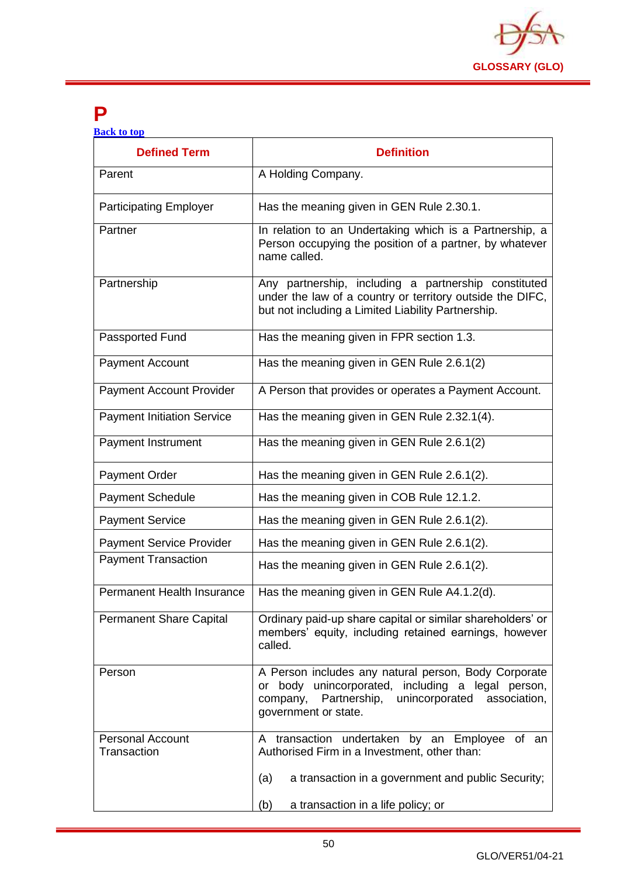

### **P**

| <b>Back to top</b> |  |  |
|--------------------|--|--|
|                    |  |  |
|                    |  |  |

| <b>Defined Term</b>                    | <b>Definition</b>                                                                                                                                                                               |
|----------------------------------------|-------------------------------------------------------------------------------------------------------------------------------------------------------------------------------------------------|
| Parent                                 | A Holding Company.                                                                                                                                                                              |
| <b>Participating Employer</b>          | Has the meaning given in GEN Rule 2.30.1.                                                                                                                                                       |
| Partner                                | In relation to an Undertaking which is a Partnership, a<br>Person occupying the position of a partner, by whatever<br>name called.                                                              |
| Partnership                            | Any partnership, including a partnership constituted<br>under the law of a country or territory outside the DIFC,<br>but not including a Limited Liability Partnership.                         |
| Passported Fund                        | Has the meaning given in FPR section 1.3.                                                                                                                                                       |
| <b>Payment Account</b>                 | Has the meaning given in GEN Rule 2.6.1(2)                                                                                                                                                      |
| <b>Payment Account Provider</b>        | A Person that provides or operates a Payment Account.                                                                                                                                           |
| <b>Payment Initiation Service</b>      | Has the meaning given in GEN Rule 2.32.1(4).                                                                                                                                                    |
| Payment Instrument                     | Has the meaning given in GEN Rule 2.6.1(2)                                                                                                                                                      |
| <b>Payment Order</b>                   | Has the meaning given in GEN Rule 2.6.1(2).                                                                                                                                                     |
| <b>Payment Schedule</b>                | Has the meaning given in COB Rule 12.1.2.                                                                                                                                                       |
| <b>Payment Service</b>                 | Has the meaning given in GEN Rule 2.6.1(2).                                                                                                                                                     |
| <b>Payment Service Provider</b>        | Has the meaning given in GEN Rule 2.6.1(2).                                                                                                                                                     |
| <b>Payment Transaction</b>             | Has the meaning given in GEN Rule 2.6.1(2).                                                                                                                                                     |
| Permanent Health Insurance             | Has the meaning given in GEN Rule A4.1.2(d).                                                                                                                                                    |
| <b>Permanent Share Capital</b>         | Ordinary paid-up share capital or similar shareholders' or<br>members' equity, including retained earnings, however<br>called.                                                                  |
| Person                                 | A Person includes any natural person, Body Corporate<br>body unincorporated, including a legal person,<br>or<br>Partnership, unincorporated<br>company,<br>association,<br>government or state. |
| <b>Personal Account</b><br>Transaction | A transaction undertaken by an Employee of an<br>Authorised Firm in a Investment, other than:                                                                                                   |
|                                        | a transaction in a government and public Security;<br>(a)                                                                                                                                       |
|                                        | (b)<br>a transaction in a life policy; or                                                                                                                                                       |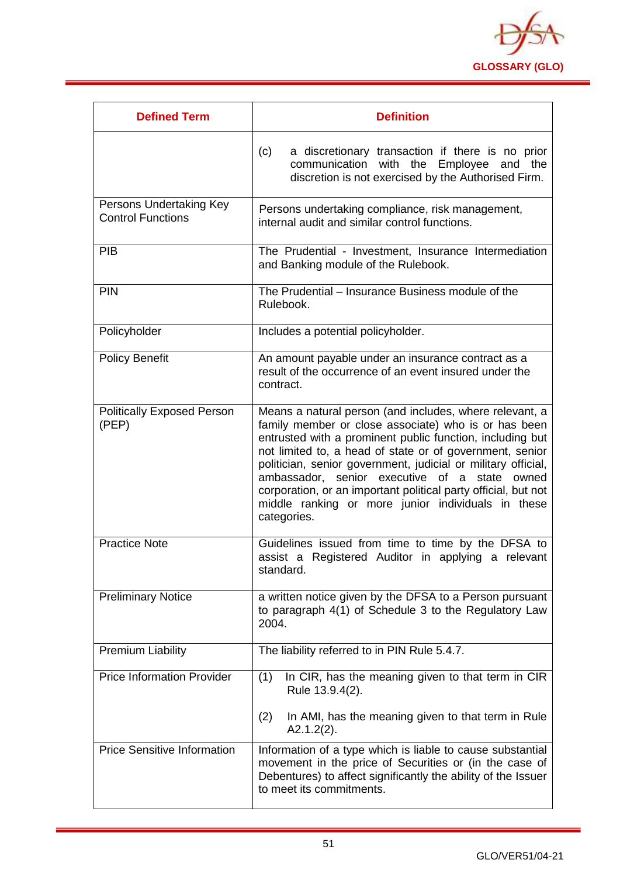

| <b>Defined Term</b>                                 | <b>Definition</b>                                                                                                                                                                                                                                                                                                                                                                                                                                                                                       |
|-----------------------------------------------------|---------------------------------------------------------------------------------------------------------------------------------------------------------------------------------------------------------------------------------------------------------------------------------------------------------------------------------------------------------------------------------------------------------------------------------------------------------------------------------------------------------|
|                                                     | (c)<br>a discretionary transaction if there is no prior<br>with the Employee and the<br>communication<br>discretion is not exercised by the Authorised Firm.                                                                                                                                                                                                                                                                                                                                            |
| Persons Undertaking Key<br><b>Control Functions</b> | Persons undertaking compliance, risk management,<br>internal audit and similar control functions.                                                                                                                                                                                                                                                                                                                                                                                                       |
| <b>PIB</b>                                          | The Prudential - Investment, Insurance Intermediation<br>and Banking module of the Rulebook.                                                                                                                                                                                                                                                                                                                                                                                                            |
| PIN                                                 | The Prudential - Insurance Business module of the<br>Rulebook.                                                                                                                                                                                                                                                                                                                                                                                                                                          |
| Policyholder                                        | Includes a potential policyholder.                                                                                                                                                                                                                                                                                                                                                                                                                                                                      |
| <b>Policy Benefit</b>                               | An amount payable under an insurance contract as a<br>result of the occurrence of an event insured under the<br>contract.                                                                                                                                                                                                                                                                                                                                                                               |
| <b>Politically Exposed Person</b><br>(PEP)          | Means a natural person (and includes, where relevant, a<br>family member or close associate) who is or has been<br>entrusted with a prominent public function, including but<br>not limited to, a head of state or of government, senior<br>politician, senior government, judicial or military official,<br>ambassador, senior executive of a<br>state<br>owned<br>corporation, or an important political party official, but not<br>middle ranking or more junior individuals in these<br>categories. |
| <b>Practice Note</b>                                | Guidelines issued from time to time by the DFSA to<br>assist a Registered Auditor in applying a relevant<br>standard.                                                                                                                                                                                                                                                                                                                                                                                   |
| <b>Preliminary Notice</b>                           | a written notice given by the DFSA to a Person pursuant<br>to paragraph 4(1) of Schedule 3 to the Regulatory Law<br>2004.                                                                                                                                                                                                                                                                                                                                                                               |
| <b>Premium Liability</b>                            | The liability referred to in PIN Rule 5.4.7.                                                                                                                                                                                                                                                                                                                                                                                                                                                            |
| <b>Price Information Provider</b>                   | (1)<br>In CIR, has the meaning given to that term in CIR<br>Rule 13.9.4(2).                                                                                                                                                                                                                                                                                                                                                                                                                             |
|                                                     | In AMI, has the meaning given to that term in Rule<br>(2)<br>$A2.1.2(2)$ .                                                                                                                                                                                                                                                                                                                                                                                                                              |
| <b>Price Sensitive Information</b>                  | Information of a type which is liable to cause substantial<br>movement in the price of Securities or (in the case of<br>Debentures) to affect significantly the ability of the Issuer<br>to meet its commitments.                                                                                                                                                                                                                                                                                       |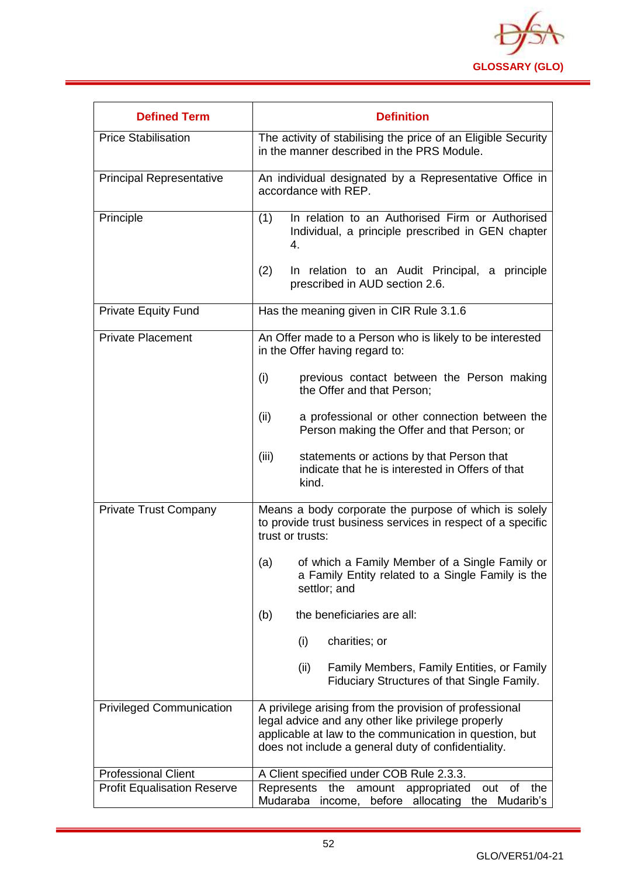

| <b>Defined Term</b>                | <b>Definition</b>                                                                                                                                                                                                              |  |
|------------------------------------|--------------------------------------------------------------------------------------------------------------------------------------------------------------------------------------------------------------------------------|--|
| <b>Price Stabilisation</b>         | The activity of stabilising the price of an Eligible Security<br>in the manner described in the PRS Module.                                                                                                                    |  |
| <b>Principal Representative</b>    | An individual designated by a Representative Office in<br>accordance with REP.                                                                                                                                                 |  |
| Principle                          | In relation to an Authorised Firm or Authorised<br>(1)<br>Individual, a principle prescribed in GEN chapter<br>4.                                                                                                              |  |
|                                    | (2)<br>In relation to an Audit Principal, a principle<br>prescribed in AUD section 2.6.                                                                                                                                        |  |
| <b>Private Equity Fund</b>         | Has the meaning given in CIR Rule 3.1.6                                                                                                                                                                                        |  |
| <b>Private Placement</b>           | An Offer made to a Person who is likely to be interested<br>in the Offer having regard to:                                                                                                                                     |  |
|                                    | (i)<br>previous contact between the Person making<br>the Offer and that Person;                                                                                                                                                |  |
|                                    | (ii)<br>a professional or other connection between the<br>Person making the Offer and that Person; or                                                                                                                          |  |
|                                    | (iii)<br>statements or actions by that Person that<br>indicate that he is interested in Offers of that<br>kind.                                                                                                                |  |
| <b>Private Trust Company</b>       | Means a body corporate the purpose of which is solely<br>to provide trust business services in respect of a specific<br>trust or trusts:                                                                                       |  |
|                                    | of which a Family Member of a Single Family or<br>(a)<br>a Family Entity related to a Single Family is the<br>settlor; and                                                                                                     |  |
|                                    | the beneficiaries are all:<br>(b)                                                                                                                                                                                              |  |
|                                    | (i)<br>charities; or                                                                                                                                                                                                           |  |
|                                    | (ii)<br>Family Members, Family Entities, or Family<br>Fiduciary Structures of that Single Family.                                                                                                                              |  |
| <b>Privileged Communication</b>    | A privilege arising from the provision of professional<br>legal advice and any other like privilege properly<br>applicable at law to the communication in question, but<br>does not include a general duty of confidentiality. |  |
| <b>Professional Client</b>         | A Client specified under COB Rule 2.3.3.                                                                                                                                                                                       |  |
| <b>Profit Equalisation Reserve</b> | Represents<br>appropriated<br>of<br>the<br>amount<br>the<br>out<br>Mudaraba<br>income,<br>before<br>allocating the<br>Mudarib's                                                                                                |  |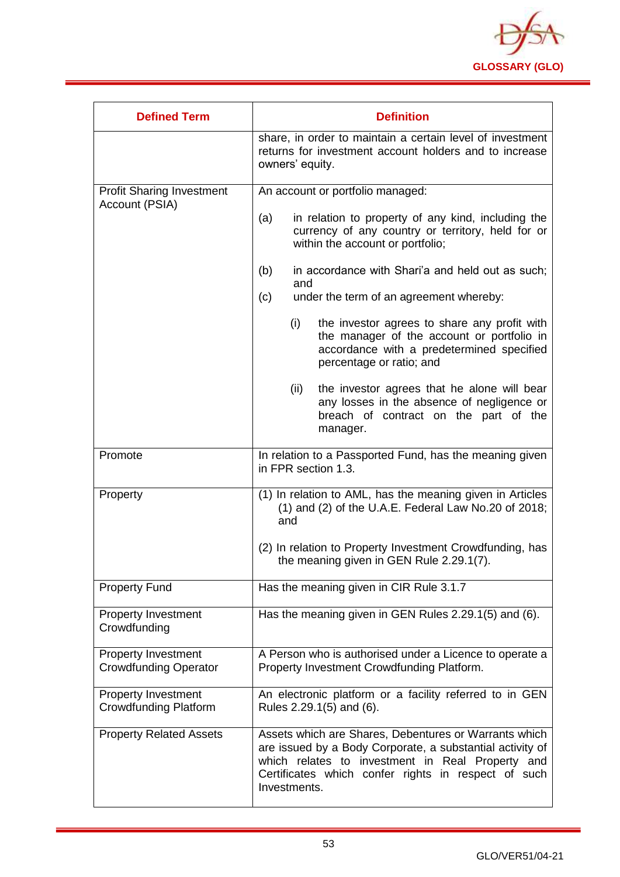

| <b>Defined Term</b>                                        | <b>Definition</b>                                                                                                                                                                                                                             |  |
|------------------------------------------------------------|-----------------------------------------------------------------------------------------------------------------------------------------------------------------------------------------------------------------------------------------------|--|
|                                                            | share, in order to maintain a certain level of investment<br>returns for investment account holders and to increase<br>owners' equity.                                                                                                        |  |
| <b>Profit Sharing Investment</b><br>Account (PSIA)         | An account or portfolio managed:                                                                                                                                                                                                              |  |
|                                                            | in relation to property of any kind, including the<br>(a)<br>currency of any country or territory, held for or<br>within the account or portfolio;                                                                                            |  |
|                                                            | in accordance with Shari'a and held out as such;<br>(b)<br>and                                                                                                                                                                                |  |
|                                                            | under the term of an agreement whereby:<br>(c)                                                                                                                                                                                                |  |
|                                                            | the investor agrees to share any profit with<br>(i)<br>the manager of the account or portfolio in<br>accordance with a predetermined specified<br>percentage or ratio; and                                                                    |  |
|                                                            | (ii)<br>the investor agrees that he alone will bear<br>any losses in the absence of negligence or<br>breach of contract on the part of the<br>manager.                                                                                        |  |
| Promote                                                    | In relation to a Passported Fund, has the meaning given<br>in FPR section 1.3.                                                                                                                                                                |  |
| Property                                                   | (1) In relation to AML, has the meaning given in Articles<br>$(1)$ and $(2)$ of the U.A.E. Federal Law No.20 of 2018;<br>and                                                                                                                  |  |
|                                                            | (2) In relation to Property Investment Crowdfunding, has<br>the meaning given in GEN Rule 2.29.1(7).                                                                                                                                          |  |
| <b>Property Fund</b>                                       | Has the meaning given in CIR Rule 3.1.7                                                                                                                                                                                                       |  |
| <b>Property Investment</b><br>Crowdfunding                 | Has the meaning given in GEN Rules 2.29.1(5) and (6).                                                                                                                                                                                         |  |
| <b>Property Investment</b><br><b>Crowdfunding Operator</b> | A Person who is authorised under a Licence to operate a<br>Property Investment Crowdfunding Platform.                                                                                                                                         |  |
| <b>Property Investment</b><br><b>Crowdfunding Platform</b> | An electronic platform or a facility referred to in GEN<br>Rules 2.29.1(5) and (6).                                                                                                                                                           |  |
| <b>Property Related Assets</b>                             | Assets which are Shares, Debentures or Warrants which<br>are issued by a Body Corporate, a substantial activity of<br>which relates to investment in Real Property and<br>Certificates which confer rights in respect of such<br>Investments. |  |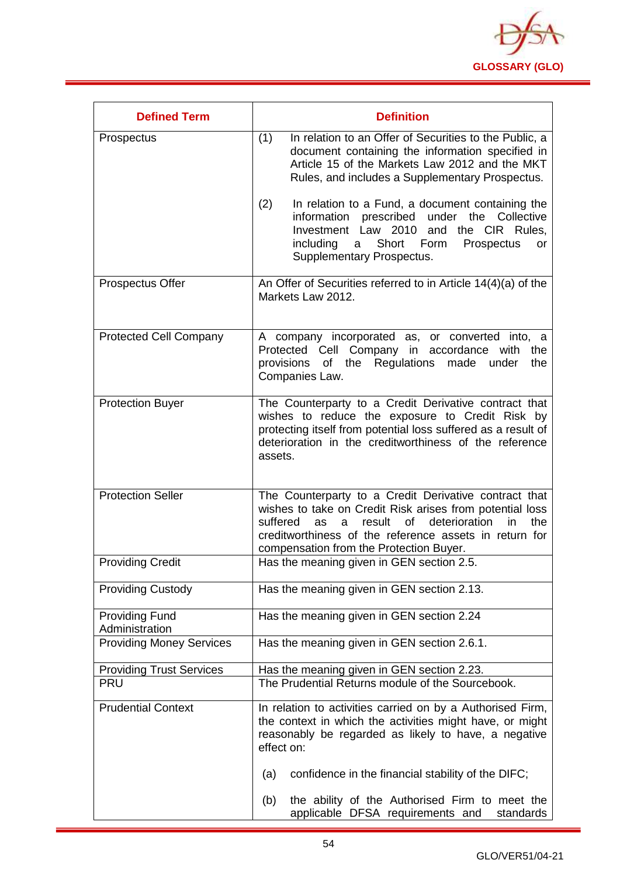

| <b>Defined Term</b>                     | <b>Definition</b>                                                                                                                                                                                                                                                                                  |
|-----------------------------------------|----------------------------------------------------------------------------------------------------------------------------------------------------------------------------------------------------------------------------------------------------------------------------------------------------|
| Prospectus                              | In relation to an Offer of Securities to the Public, a<br>(1)<br>document containing the information specified in<br>Article 15 of the Markets Law 2012 and the MKT<br>Rules, and includes a Supplementary Prospectus.                                                                             |
|                                         | (2)<br>In relation to a Fund, a document containing the<br>prescribed<br>under the<br>information<br>Collective<br>Investment Law 2010<br>and the CIR<br>Rules.<br>Short<br>including<br>Form<br>Prospectus<br>a<br>or<br>Supplementary Prospectus.                                                |
| Prospectus Offer                        | An Offer of Securities referred to in Article 14(4)(a) of the<br>Markets Law 2012.                                                                                                                                                                                                                 |
| <b>Protected Cell Company</b>           | A company incorporated as, or converted into, a<br>Protected Cell Company in accordance with<br>the<br>of the Regulations<br>made<br>provisions<br>under<br>the<br>Companies Law.                                                                                                                  |
| <b>Protection Buyer</b>                 | The Counterparty to a Credit Derivative contract that<br>wishes to reduce the exposure to Credit Risk by<br>protecting itself from potential loss suffered as a result of<br>deterioration in the creditworthiness of the reference<br>assets.                                                     |
| <b>Protection Seller</b>                | The Counterparty to a Credit Derivative contract that<br>wishes to take on Credit Risk arises from potential loss<br><b>of</b><br>deterioration<br>suffered<br>result<br>in<br>the<br>as<br>a<br>creditworthiness of the reference assets in return for<br>compensation from the Protection Buyer. |
| <b>Providing Credit</b>                 | Has the meaning given in GEN section 2.5.                                                                                                                                                                                                                                                          |
| <b>Providing Custody</b>                | Has the meaning given in GEN section 2.13.                                                                                                                                                                                                                                                         |
| <b>Providing Fund</b><br>Administration | Has the meaning given in GEN section 2.24                                                                                                                                                                                                                                                          |
| <b>Providing Money Services</b>         | Has the meaning given in GEN section 2.6.1.                                                                                                                                                                                                                                                        |
| <b>Providing Trust Services</b>         | Has the meaning given in GEN section 2.23.                                                                                                                                                                                                                                                         |
| <b>PRU</b>                              | The Prudential Returns module of the Sourcebook.                                                                                                                                                                                                                                                   |
| <b>Prudential Context</b>               | In relation to activities carried on by a Authorised Firm,<br>the context in which the activities might have, or might<br>reasonably be regarded as likely to have, a negative<br>effect on:                                                                                                       |
|                                         | confidence in the financial stability of the DIFC;<br>(a)                                                                                                                                                                                                                                          |
|                                         | the ability of the Authorised Firm to meet the<br>(b)<br>applicable DFSA requirements and<br>standards                                                                                                                                                                                             |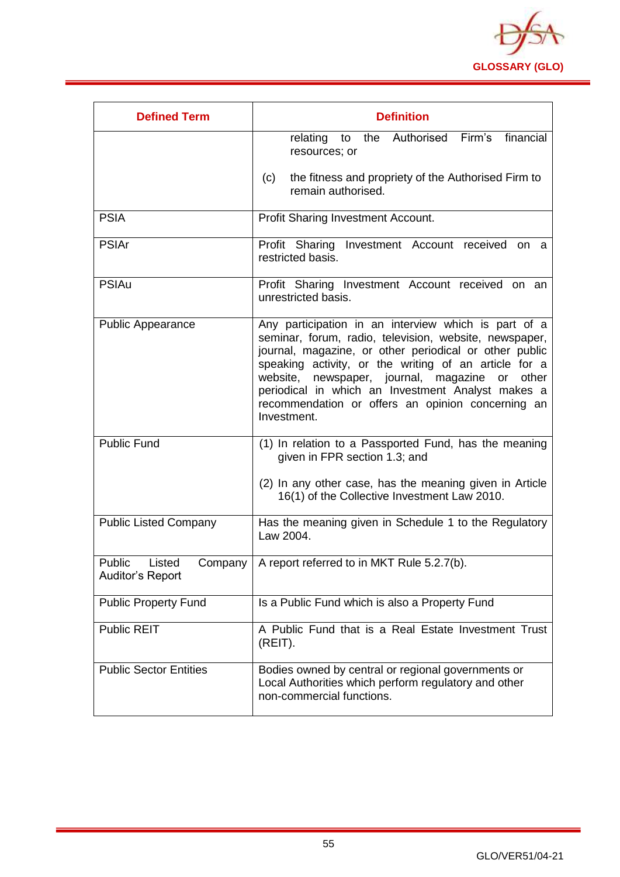

| <b>Defined Term</b>                             | <b>Definition</b>                                                                                                                                                                                                                                                                                                                                                                                                     |
|-------------------------------------------------|-----------------------------------------------------------------------------------------------------------------------------------------------------------------------------------------------------------------------------------------------------------------------------------------------------------------------------------------------------------------------------------------------------------------------|
|                                                 | Firm's<br>the<br>Authorised<br>financial<br>relating to<br>resources; or                                                                                                                                                                                                                                                                                                                                              |
|                                                 | the fitness and propriety of the Authorised Firm to<br>(c)<br>remain authorised.                                                                                                                                                                                                                                                                                                                                      |
| <b>PSIA</b>                                     | <b>Profit Sharing Investment Account.</b>                                                                                                                                                                                                                                                                                                                                                                             |
| <b>PSIAr</b>                                    | Profit Sharing Investment Account received<br>on a<br>restricted basis.                                                                                                                                                                                                                                                                                                                                               |
| <b>PSIAu</b>                                    | Profit Sharing Investment Account received on an<br>unrestricted basis.                                                                                                                                                                                                                                                                                                                                               |
| <b>Public Appearance</b>                        | Any participation in an interview which is part of a<br>seminar, forum, radio, television, website, newspaper,<br>journal, magazine, or other periodical or other public<br>speaking activity, or the writing of an article for a<br>newspaper, journal, magazine<br>website,<br>or<br>other<br>periodical in which an Investment Analyst makes a<br>recommendation or offers an opinion concerning an<br>Investment. |
| <b>Public Fund</b>                              | (1) In relation to a Passported Fund, has the meaning<br>given in FPR section 1.3; and                                                                                                                                                                                                                                                                                                                                |
|                                                 | (2) In any other case, has the meaning given in Article<br>16(1) of the Collective Investment Law 2010.                                                                                                                                                                                                                                                                                                               |
| <b>Public Listed Company</b>                    | Has the meaning given in Schedule 1 to the Regulatory<br>Law 2004.                                                                                                                                                                                                                                                                                                                                                    |
| Public<br>Listed<br>Company<br>Auditor's Report | A report referred to in MKT Rule 5.2.7(b).                                                                                                                                                                                                                                                                                                                                                                            |
| <b>Public Property Fund</b>                     | Is a Public Fund which is also a Property Fund                                                                                                                                                                                                                                                                                                                                                                        |
| Public REIT                                     | A Public Fund that is a Real Estate Investment Trust<br>(REIT).                                                                                                                                                                                                                                                                                                                                                       |
| <b>Public Sector Entities</b>                   | Bodies owned by central or regional governments or<br>Local Authorities which perform regulatory and other<br>non-commercial functions.                                                                                                                                                                                                                                                                               |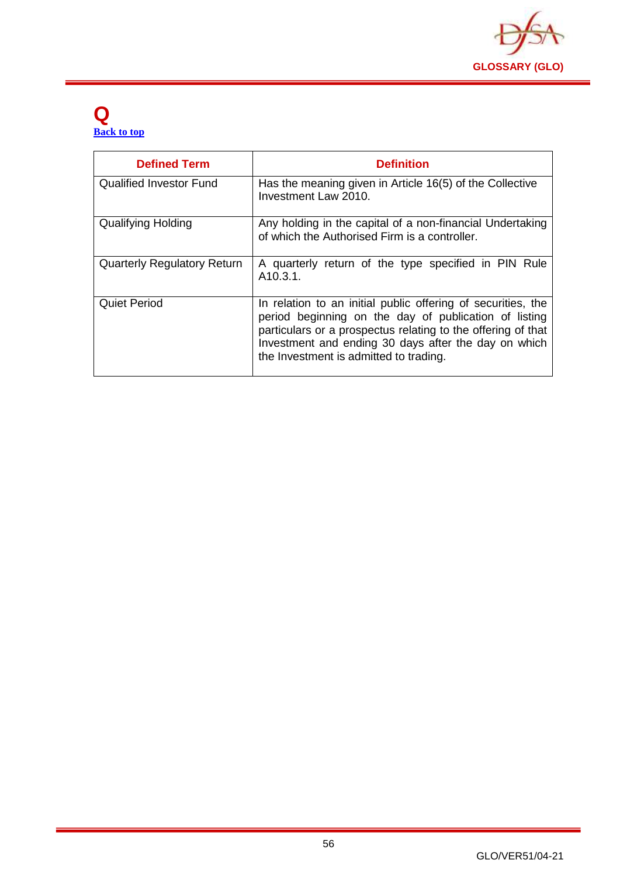

#### **Q [Back to top](#page-1-0)**

| <b>Defined Term</b>                | <b>Definition</b>                                                                                                                                                                                                                                                                       |
|------------------------------------|-----------------------------------------------------------------------------------------------------------------------------------------------------------------------------------------------------------------------------------------------------------------------------------------|
| <b>Qualified Investor Fund</b>     | Has the meaning given in Article 16(5) of the Collective<br>Investment Law 2010.                                                                                                                                                                                                        |
| <b>Qualifying Holding</b>          | Any holding in the capital of a non-financial Undertaking<br>of which the Authorised Firm is a controller.                                                                                                                                                                              |
| <b>Quarterly Regulatory Return</b> | A quarterly return of the type specified in PIN Rule<br>A10.3.1.                                                                                                                                                                                                                        |
| <b>Quiet Period</b>                | In relation to an initial public offering of securities, the<br>period beginning on the day of publication of listing<br>particulars or a prospectus relating to the offering of that<br>Investment and ending 30 days after the day on which<br>the Investment is admitted to trading. |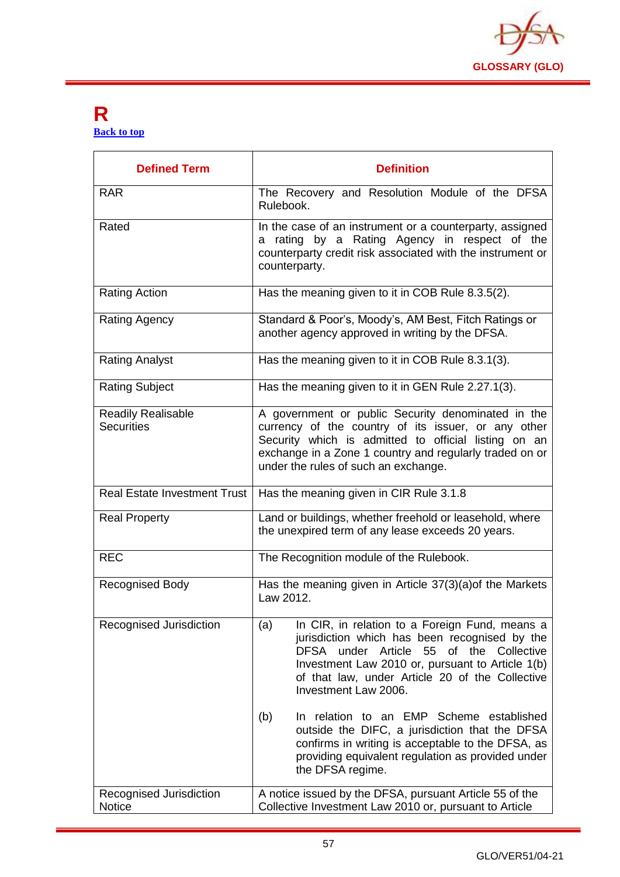

#### **R [Back to top](#page-1-0)**

| <b>Defined Term</b>                            | <b>Definition</b>                                                                                                                                                                                                                                                                                                                                                                        |
|------------------------------------------------|------------------------------------------------------------------------------------------------------------------------------------------------------------------------------------------------------------------------------------------------------------------------------------------------------------------------------------------------------------------------------------------|
| <b>RAR</b>                                     | The Recovery and Resolution Module of the DFSA<br>Rulebook.                                                                                                                                                                                                                                                                                                                              |
| Rated                                          | In the case of an instrument or a counterparty, assigned<br>a rating by a Rating Agency in respect of the<br>counterparty credit risk associated with the instrument or<br>counterparty.                                                                                                                                                                                                 |
| <b>Rating Action</b>                           | Has the meaning given to it in COB Rule 8.3.5(2).                                                                                                                                                                                                                                                                                                                                        |
| <b>Rating Agency</b>                           | Standard & Poor's, Moody's, AM Best, Fitch Ratings or<br>another agency approved in writing by the DFSA.                                                                                                                                                                                                                                                                                 |
| <b>Rating Analyst</b>                          | Has the meaning given to it in COB Rule 8.3.1(3).                                                                                                                                                                                                                                                                                                                                        |
| <b>Rating Subject</b>                          | Has the meaning given to it in GEN Rule 2.27.1(3).                                                                                                                                                                                                                                                                                                                                       |
| <b>Readily Realisable</b><br><b>Securities</b> | A government or public Security denominated in the<br>currency of the country of its issuer, or any other<br>Security which is admitted to official listing on an<br>exchange in a Zone 1 country and regularly traded on or<br>under the rules of such an exchange.                                                                                                                     |
| Real Estate Investment Trust                   | Has the meaning given in CIR Rule 3.1.8                                                                                                                                                                                                                                                                                                                                                  |
| <b>Real Property</b>                           | Land or buildings, whether freehold or leasehold, where<br>the unexpired term of any lease exceeds 20 years.                                                                                                                                                                                                                                                                             |
| <b>REC</b>                                     | The Recognition module of the Rulebook.                                                                                                                                                                                                                                                                                                                                                  |
| <b>Recognised Body</b>                         | Has the meaning given in Article 37(3)(a) of the Markets<br>Law 2012.                                                                                                                                                                                                                                                                                                                    |
| Recognised Jurisdiction                        | In CIR, in relation to a Foreign Fund, means a<br>(a)<br>jurisdiction which has been recognised by the<br>under Article 55 of the Collective<br>DFSA<br>Investment Law 2010 or, pursuant to Article 1(b)<br>of that law, under Article 20 of the Collective<br>Investment Law 2006.<br>In relation to an EMP Scheme established<br>(b)<br>outside the DIFC, a jurisdiction that the DFSA |
|                                                | confirms in writing is acceptable to the DFSA, as<br>providing equivalent regulation as provided under<br>the DFSA regime.                                                                                                                                                                                                                                                               |
| Recognised Jurisdiction<br>Notice              | A notice issued by the DFSA, pursuant Article 55 of the<br>Collective Investment Law 2010 or, pursuant to Article                                                                                                                                                                                                                                                                        |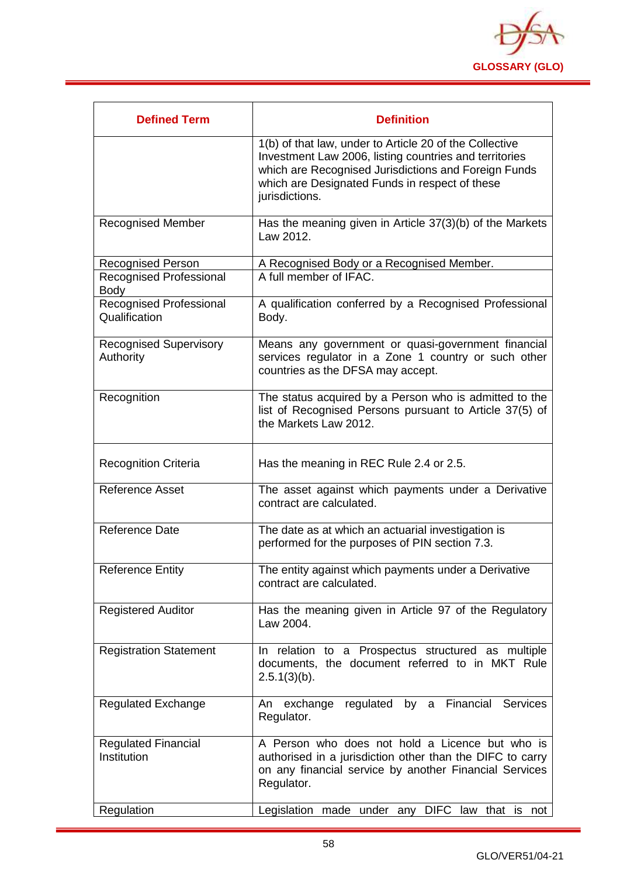

| <b>Defined Term</b>                           | <b>Definition</b>                                                                                                                                                                                                                             |
|-----------------------------------------------|-----------------------------------------------------------------------------------------------------------------------------------------------------------------------------------------------------------------------------------------------|
|                                               | 1(b) of that law, under to Article 20 of the Collective<br>Investment Law 2006, listing countries and territories<br>which are Recognised Jurisdictions and Foreign Funds<br>which are Designated Funds in respect of these<br>jurisdictions. |
| <b>Recognised Member</b>                      | Has the meaning given in Article 37(3)(b) of the Markets<br>Law 2012.                                                                                                                                                                         |
| <b>Recognised Person</b>                      | A Recognised Body or a Recognised Member.                                                                                                                                                                                                     |
| <b>Recognised Professional</b><br><b>Body</b> | A full member of IFAC.                                                                                                                                                                                                                        |
| Recognised Professional<br>Qualification      | A qualification conferred by a Recognised Professional<br>Body.                                                                                                                                                                               |
| <b>Recognised Supervisory</b><br>Authority    | Means any government or quasi-government financial<br>services regulator in a Zone 1 country or such other<br>countries as the DFSA may accept.                                                                                               |
| Recognition                                   | The status acquired by a Person who is admitted to the<br>list of Recognised Persons pursuant to Article 37(5) of<br>the Markets Law 2012.                                                                                                    |
| <b>Recognition Criteria</b>                   | Has the meaning in REC Rule 2.4 or 2.5.                                                                                                                                                                                                       |
| Reference Asset                               | The asset against which payments under a Derivative<br>contract are calculated.                                                                                                                                                               |
| <b>Reference Date</b>                         | The date as at which an actuarial investigation is<br>performed for the purposes of PIN section 7.3.                                                                                                                                          |
| <b>Reference Entity</b>                       | The entity against which payments under a Derivative<br>contract are calculated.                                                                                                                                                              |
| <b>Registered Auditor</b>                     | Has the meaning given in Article 97 of the Regulatory<br>Law 2004.                                                                                                                                                                            |
| <b>Registration Statement</b>                 | In relation to a Prospectus structured as multiple<br>documents, the document referred to in MKT Rule<br>$2.5.1(3)(b)$ .                                                                                                                      |
| <b>Regulated Exchange</b>                     | regulated by a Financial Services<br>An exchange<br>Regulator.                                                                                                                                                                                |
| <b>Regulated Financial</b><br>Institution     | A Person who does not hold a Licence but who is<br>authorised in a jurisdiction other than the DIFC to carry<br>on any financial service by another Financial Services<br>Regulator.                                                          |
| Regulation                                    | <b>DIFC</b><br>Legislation made under any<br>law that is not                                                                                                                                                                                  |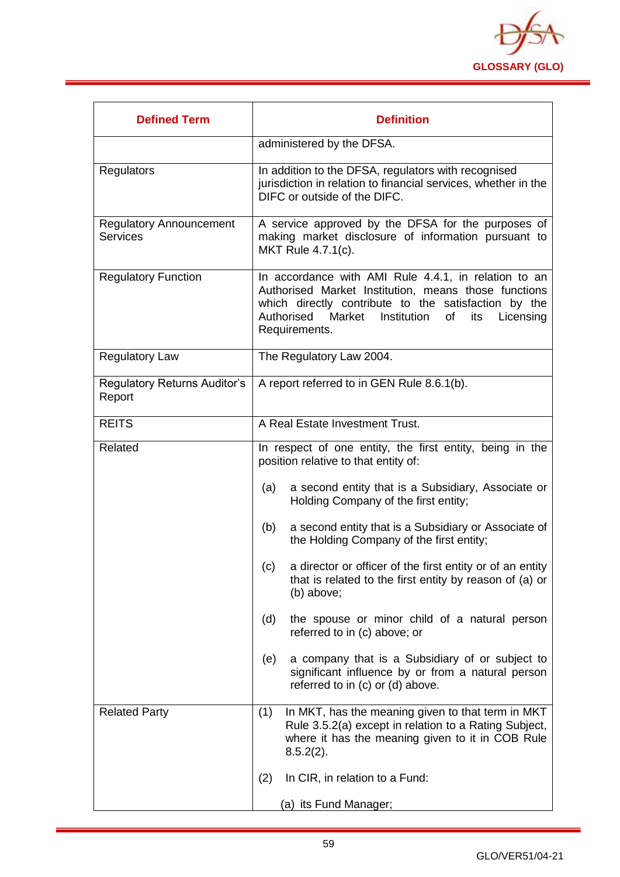

| <b>Defined Term</b>                               | <b>Definition</b>                                                                                                                                                                                                                                             |
|---------------------------------------------------|---------------------------------------------------------------------------------------------------------------------------------------------------------------------------------------------------------------------------------------------------------------|
|                                                   | administered by the DFSA.                                                                                                                                                                                                                                     |
| Regulators                                        | In addition to the DFSA, regulators with recognised<br>jurisdiction in relation to financial services, whether in the<br>DIFC or outside of the DIFC.                                                                                                         |
| <b>Regulatory Announcement</b><br><b>Services</b> | A service approved by the DFSA for the purposes of<br>making market disclosure of information pursuant to<br>MKT Rule 4.7.1(c).                                                                                                                               |
| <b>Regulatory Function</b>                        | In accordance with AMI Rule 4.4.1, in relation to an<br>Authorised Market Institution, means those functions<br>which directly contribute to the satisfaction by the<br>Authorised<br>Market<br><b>Institution</b><br>of<br>its<br>Licensing<br>Requirements. |
| <b>Regulatory Law</b>                             | The Regulatory Law 2004.                                                                                                                                                                                                                                      |
| <b>Regulatory Returns Auditor's</b><br>Report     | A report referred to in GEN Rule 8.6.1(b).                                                                                                                                                                                                                    |
| <b>REITS</b>                                      | A Real Estate Investment Trust.                                                                                                                                                                                                                               |
| Related                                           | In respect of one entity, the first entity, being in the<br>position relative to that entity of:                                                                                                                                                              |
|                                                   | a second entity that is a Subsidiary, Associate or<br>(a)<br>Holding Company of the first entity;                                                                                                                                                             |
|                                                   | a second entity that is a Subsidiary or Associate of<br>(b)<br>the Holding Company of the first entity;                                                                                                                                                       |
|                                                   | a director or officer of the first entity or of an entity<br>(c)<br>that is related to the first entity by reason of (a) or<br>(b) above;                                                                                                                     |
|                                                   | the spouse or minor child of a natural person<br>(d)<br>referred to in (c) above; or                                                                                                                                                                          |
|                                                   | a company that is a Subsidiary of or subject to<br>(e)<br>significant influence by or from a natural person<br>referred to in (c) or (d) above.                                                                                                               |
| <b>Related Party</b>                              | In MKT, has the meaning given to that term in MKT<br>(1)<br>Rule 3.5.2(a) except in relation to a Rating Subject,<br>where it has the meaning given to it in COB Rule<br>$8.5.2(2)$ .                                                                         |
|                                                   | In CIR, in relation to a Fund:<br>(2)                                                                                                                                                                                                                         |
|                                                   | (a) its Fund Manager;                                                                                                                                                                                                                                         |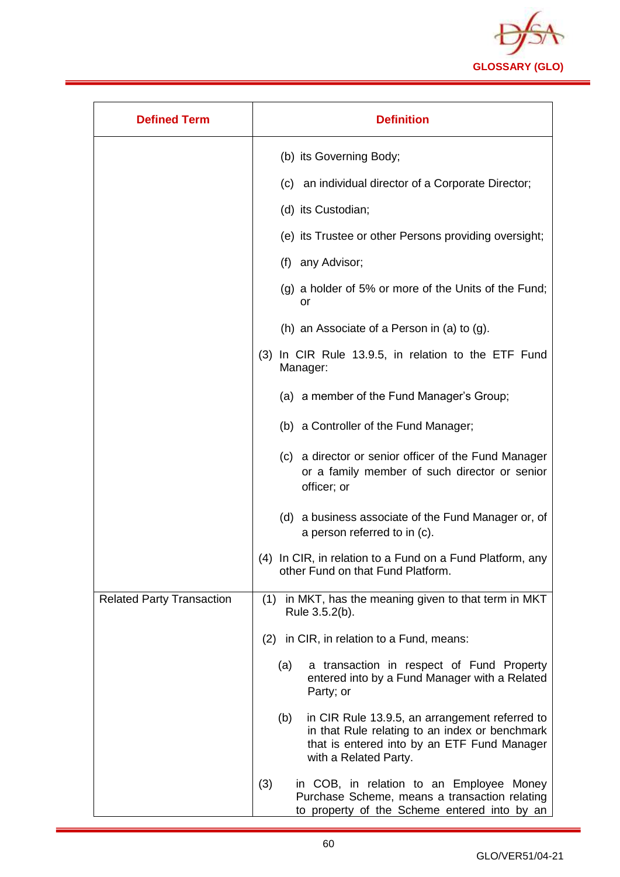

| <b>Defined Term</b>              | <b>Definition</b>                                                                                                                                                               |
|----------------------------------|---------------------------------------------------------------------------------------------------------------------------------------------------------------------------------|
|                                  | (b) its Governing Body;                                                                                                                                                         |
|                                  | (c) an individual director of a Corporate Director;                                                                                                                             |
|                                  | (d) its Custodian;                                                                                                                                                              |
|                                  | (e) its Trustee or other Persons providing oversight;                                                                                                                           |
|                                  | (f) any Advisor;                                                                                                                                                                |
|                                  | $(g)$ a holder of 5% or more of the Units of the Fund;<br>or                                                                                                                    |
|                                  | (h) an Associate of a Person in (a) to $(g)$ .                                                                                                                                  |
|                                  | (3) In CIR Rule 13.9.5, in relation to the ETF Fund<br>Manager:                                                                                                                 |
|                                  | (a) a member of the Fund Manager's Group;                                                                                                                                       |
|                                  | (b) a Controller of the Fund Manager;                                                                                                                                           |
|                                  | (c) a director or senior officer of the Fund Manager<br>or a family member of such director or senior<br>officer; or                                                            |
|                                  | (d) a business associate of the Fund Manager or, of<br>a person referred to in (c).                                                                                             |
|                                  | (4) In CIR, in relation to a Fund on a Fund Platform, any<br>other Fund on that Fund Platform.                                                                                  |
| <b>Related Party Transaction</b> | (1) in MKT, has the meaning given to that term in MKT<br>Rule 3.5.2(b).                                                                                                         |
|                                  | in CIR, in relation to a Fund, means:<br>(2)                                                                                                                                    |
|                                  | (a)<br>a transaction in respect of Fund Property<br>entered into by a Fund Manager with a Related<br>Party; or                                                                  |
|                                  | in CIR Rule 13.9.5, an arrangement referred to<br>(b)<br>in that Rule relating to an index or benchmark<br>that is entered into by an ETF Fund Manager<br>with a Related Party. |
|                                  | (3)<br>in COB, in relation to an Employee Money<br>Purchase Scheme, means a transaction relating<br>to property of the Scheme entered into by an                                |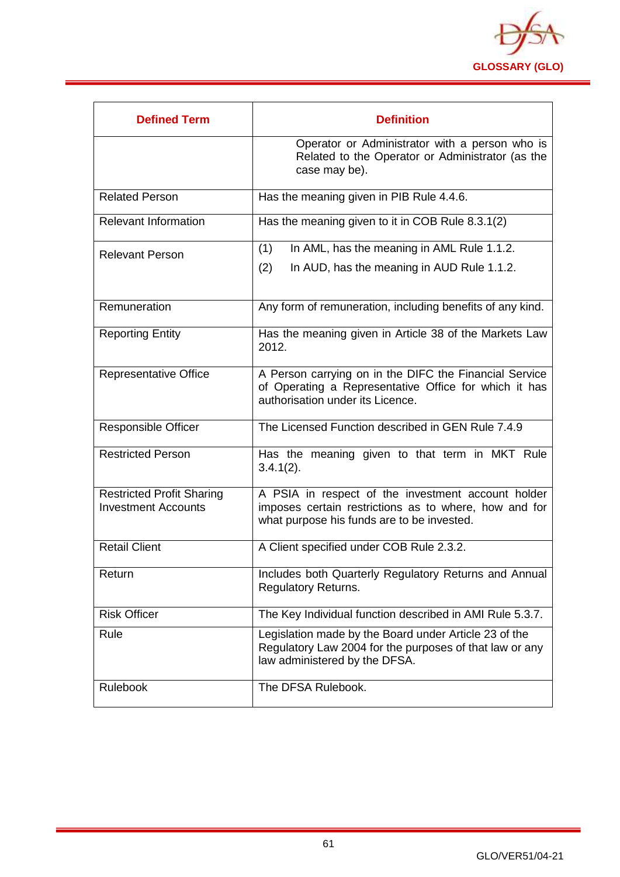

| <b>Defined Term</b>                                            | <b>Definition</b>                                                                                                                                         |
|----------------------------------------------------------------|-----------------------------------------------------------------------------------------------------------------------------------------------------------|
|                                                                | Operator or Administrator with a person who is<br>Related to the Operator or Administrator (as the<br>case may be).                                       |
| <b>Related Person</b>                                          | Has the meaning given in PIB Rule 4.4.6.                                                                                                                  |
| <b>Relevant Information</b>                                    | Has the meaning given to it in COB Rule 8.3.1(2)                                                                                                          |
| <b>Relevant Person</b>                                         | In AML, has the meaning in AML Rule 1.1.2.<br>(1)<br>(2)<br>In AUD, has the meaning in AUD Rule 1.1.2.                                                    |
| Remuneration                                                   | Any form of remuneration, including benefits of any kind.                                                                                                 |
| <b>Reporting Entity</b>                                        | Has the meaning given in Article 38 of the Markets Law<br>2012.                                                                                           |
| <b>Representative Office</b>                                   | A Person carrying on in the DIFC the Financial Service<br>of Operating a Representative Office for which it has<br>authorisation under its Licence.       |
| <b>Responsible Officer</b>                                     | The Licensed Function described in GEN Rule 7.4.9                                                                                                         |
| <b>Restricted Person</b>                                       | Has the meaning given to that term in MKT Rule<br>$3.4.1(2)$ .                                                                                            |
| <b>Restricted Profit Sharing</b><br><b>Investment Accounts</b> | A PSIA in respect of the investment account holder<br>imposes certain restrictions as to where, how and for<br>what purpose his funds are to be invested. |
| <b>Retail Client</b>                                           | A Client specified under COB Rule 2.3.2.                                                                                                                  |
| Return                                                         | Includes both Quarterly Regulatory Returns and Annual<br><b>Regulatory Returns.</b>                                                                       |
| <b>Risk Officer</b>                                            | The Key Individual function described in AMI Rule 5.3.7.                                                                                                  |
| Rule                                                           | Legislation made by the Board under Article 23 of the<br>Regulatory Law 2004 for the purposes of that law or any<br>law administered by the DFSA.         |
| <b>Rulebook</b>                                                | The DFSA Rulebook.                                                                                                                                        |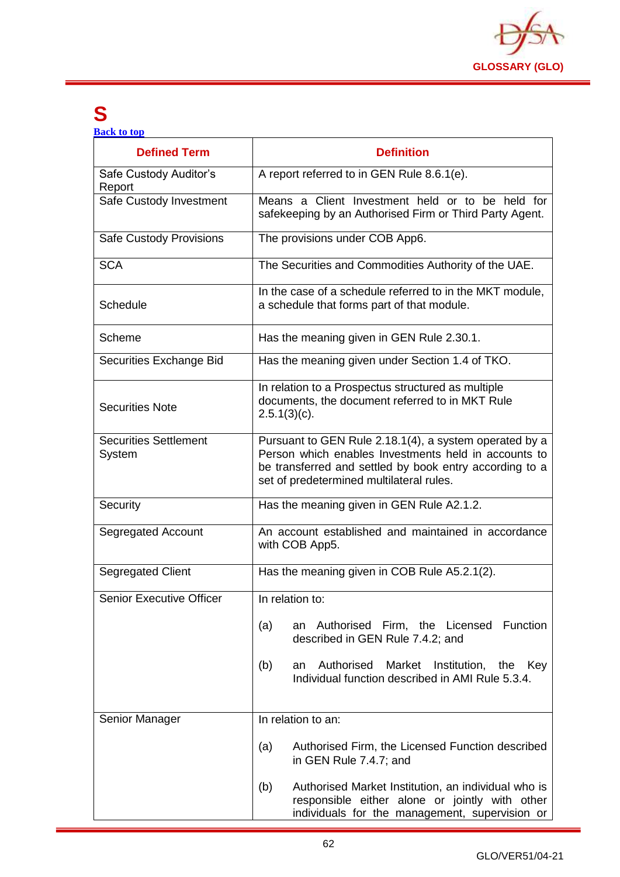

### **S**

**[Back to top](#page-1-0)**

| <b>Defined Term</b>                    | <b>Definition</b>                                                                                                                                                                                                     |
|----------------------------------------|-----------------------------------------------------------------------------------------------------------------------------------------------------------------------------------------------------------------------|
| Safe Custody Auditor's<br>Report       | A report referred to in GEN Rule 8.6.1(e).                                                                                                                                                                            |
| Safe Custody Investment                | Means a Client Investment held or to be held for<br>safekeeping by an Authorised Firm or Third Party Agent.                                                                                                           |
| <b>Safe Custody Provisions</b>         | The provisions under COB App6.                                                                                                                                                                                        |
| <b>SCA</b>                             | The Securities and Commodities Authority of the UAE.                                                                                                                                                                  |
| Schedule                               | In the case of a schedule referred to in the MKT module,<br>a schedule that forms part of that module.                                                                                                                |
| Scheme                                 | Has the meaning given in GEN Rule 2.30.1.                                                                                                                                                                             |
| Securities Exchange Bid                | Has the meaning given under Section 1.4 of TKO.                                                                                                                                                                       |
| <b>Securities Note</b>                 | In relation to a Prospectus structured as multiple<br>documents, the document referred to in MKT Rule<br>$2.5.1(3)(c)$ .                                                                                              |
| <b>Securities Settlement</b><br>System | Pursuant to GEN Rule 2.18.1(4), a system operated by a<br>Person which enables Investments held in accounts to<br>be transferred and settled by book entry according to a<br>set of predetermined multilateral rules. |
| Security                               | Has the meaning given in GEN Rule A2.1.2.                                                                                                                                                                             |
| <b>Segregated Account</b>              | An account established and maintained in accordance<br>with COB App5.                                                                                                                                                 |
| <b>Segregated Client</b>               | Has the meaning given in COB Rule A5.2.1(2).                                                                                                                                                                          |
| <b>Senior Executive Officer</b>        | In relation to:                                                                                                                                                                                                       |
|                                        | Authorised Firm, the Licensed Function<br>(a)<br>an<br>described in GEN Rule 7.4.2; and                                                                                                                               |
|                                        | Authorised<br>Market Institution, the<br>(b)<br>Key<br>an<br>Individual function described in AMI Rule 5.3.4.                                                                                                         |
| Senior Manager                         | In relation to an:                                                                                                                                                                                                    |
|                                        | Authorised Firm, the Licensed Function described<br>(a)<br>in GEN Rule 7.4.7; and                                                                                                                                     |
|                                        | Authorised Market Institution, an individual who is<br>(b)<br>responsible either alone or jointly with other<br>individuals for the management, supervision or                                                        |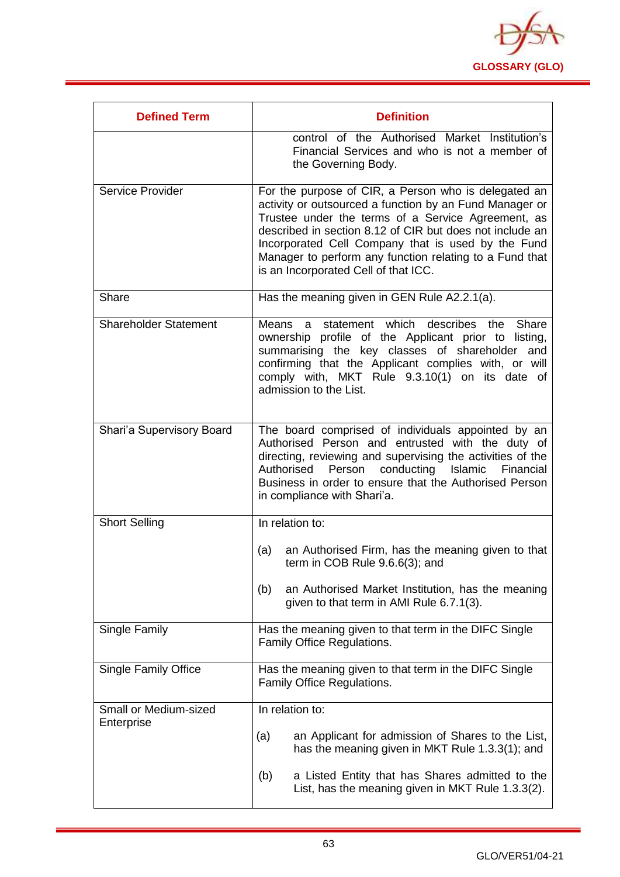

| <b>Defined Term</b>                        | <b>Definition</b>                                                                                                                                                                                                                                                                                                                                                                          |
|--------------------------------------------|--------------------------------------------------------------------------------------------------------------------------------------------------------------------------------------------------------------------------------------------------------------------------------------------------------------------------------------------------------------------------------------------|
|                                            | control of the Authorised Market Institution's<br>Financial Services and who is not a member of<br>the Governing Body.                                                                                                                                                                                                                                                                     |
| Service Provider                           | For the purpose of CIR, a Person who is delegated an<br>activity or outsourced a function by an Fund Manager or<br>Trustee under the terms of a Service Agreement, as<br>described in section 8.12 of CIR but does not include an<br>Incorporated Cell Company that is used by the Fund<br>Manager to perform any function relating to a Fund that<br>is an Incorporated Cell of that ICC. |
| Share                                      | Has the meaning given in GEN Rule A2.2.1(a).                                                                                                                                                                                                                                                                                                                                               |
| <b>Shareholder Statement</b>               | describes the Share<br>Means<br>a statement which<br>ownership profile of the Applicant prior to listing,<br>summarising the key classes of shareholder and<br>confirming that the Applicant complies with, or will<br>comply with, MKT Rule 9.3.10(1) on its date of<br>admission to the List.                                                                                            |
| Shari'a Supervisory Board                  | The board comprised of individuals appointed by an<br>Authorised Person and entrusted with the duty of<br>directing, reviewing and supervising the activities of the<br>Authorised Person conducting Islamic Financial<br>Business in order to ensure that the Authorised Person<br>in compliance with Shari'a.                                                                            |
| <b>Short Selling</b>                       | In relation to:                                                                                                                                                                                                                                                                                                                                                                            |
|                                            | an Authorised Firm, has the meaning given to that<br>(a)<br>term in COB Rule $9.6.6(3)$ ; and                                                                                                                                                                                                                                                                                              |
|                                            | an Authorised Market Institution, has the meaning<br>(b)<br>given to that term in AMI Rule 6.7.1(3).                                                                                                                                                                                                                                                                                       |
| Single Family                              | Has the meaning given to that term in the DIFC Single<br>Family Office Regulations.                                                                                                                                                                                                                                                                                                        |
| <b>Single Family Office</b>                | Has the meaning given to that term in the DIFC Single<br>Family Office Regulations.                                                                                                                                                                                                                                                                                                        |
| <b>Small or Medium-sized</b><br>Enterprise | In relation to:                                                                                                                                                                                                                                                                                                                                                                            |
|                                            | an Applicant for admission of Shares to the List,<br>(a)<br>has the meaning given in MKT Rule 1.3.3(1); and                                                                                                                                                                                                                                                                                |
|                                            | a Listed Entity that has Shares admitted to the<br>(b)<br>List, has the meaning given in MKT Rule 1.3.3(2).                                                                                                                                                                                                                                                                                |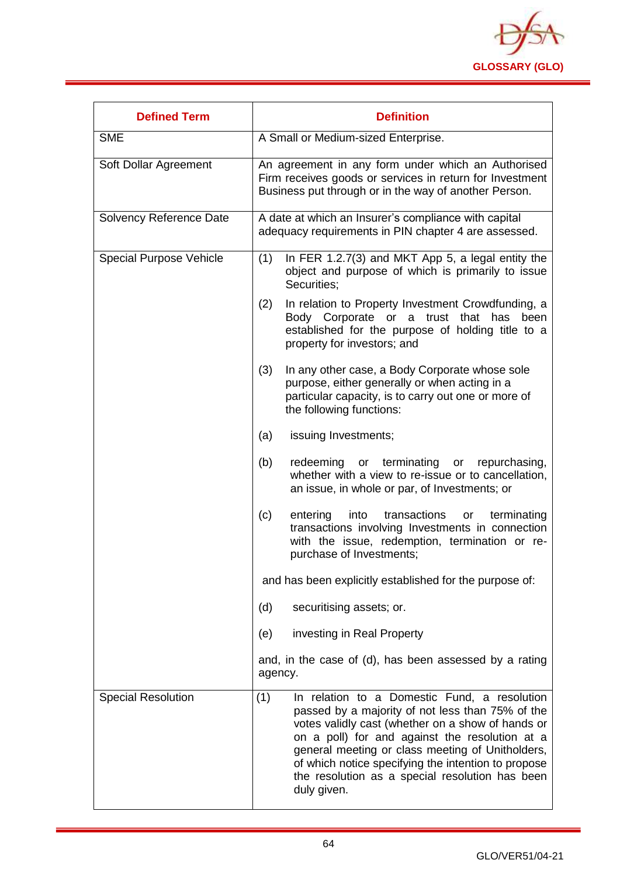

| <b>Defined Term</b>            | <b>Definition</b>                                                                                                                                                                                                                                                                                                                                                                           |
|--------------------------------|---------------------------------------------------------------------------------------------------------------------------------------------------------------------------------------------------------------------------------------------------------------------------------------------------------------------------------------------------------------------------------------------|
| <b>SME</b>                     | A Small or Medium-sized Enterprise.                                                                                                                                                                                                                                                                                                                                                         |
| Soft Dollar Agreement          | An agreement in any form under which an Authorised<br>Firm receives goods or services in return for Investment<br>Business put through or in the way of another Person.                                                                                                                                                                                                                     |
| Solvency Reference Date        | A date at which an Insurer's compliance with capital<br>adequacy requirements in PIN chapter 4 are assessed.                                                                                                                                                                                                                                                                                |
| <b>Special Purpose Vehicle</b> | In FER 1.2.7(3) and MKT App 5, a legal entity the<br>(1)<br>object and purpose of which is primarily to issue<br>Securities:                                                                                                                                                                                                                                                                |
|                                | In relation to Property Investment Crowdfunding, a<br>(2)<br>Body Corporate or a trust<br>that<br>has<br>been<br>established for the purpose of holding title to a<br>property for investors; and                                                                                                                                                                                           |
|                                | (3)<br>In any other case, a Body Corporate whose sole<br>purpose, either generally or when acting in a<br>particular capacity, is to carry out one or more of<br>the following functions:                                                                                                                                                                                                   |
|                                | issuing Investments;<br>(a)                                                                                                                                                                                                                                                                                                                                                                 |
|                                | or terminating or<br>redeeming<br>(b)<br>repurchasing,<br>whether with a view to re-issue or to cancellation,<br>an issue, in whole or par, of Investments; or                                                                                                                                                                                                                              |
|                                | (c)<br>transactions<br>entering<br>into<br>terminating<br>or<br>transactions involving Investments in connection<br>with the issue, redemption, termination or re-<br>purchase of Investments;                                                                                                                                                                                              |
|                                | and has been explicitly established for the purpose of:                                                                                                                                                                                                                                                                                                                                     |
|                                | (d)<br>securitising assets; or.                                                                                                                                                                                                                                                                                                                                                             |
|                                | investing in Real Property<br>(e)                                                                                                                                                                                                                                                                                                                                                           |
|                                | and, in the case of (d), has been assessed by a rating<br>agency.                                                                                                                                                                                                                                                                                                                           |
| <b>Special Resolution</b>      | (1)<br>In relation to a Domestic Fund, a resolution<br>passed by a majority of not less than 75% of the<br>votes validly cast (whether on a show of hands or<br>on a poll) for and against the resolution at a<br>general meeting or class meeting of Unitholders,<br>of which notice specifying the intention to propose<br>the resolution as a special resolution has been<br>duly given. |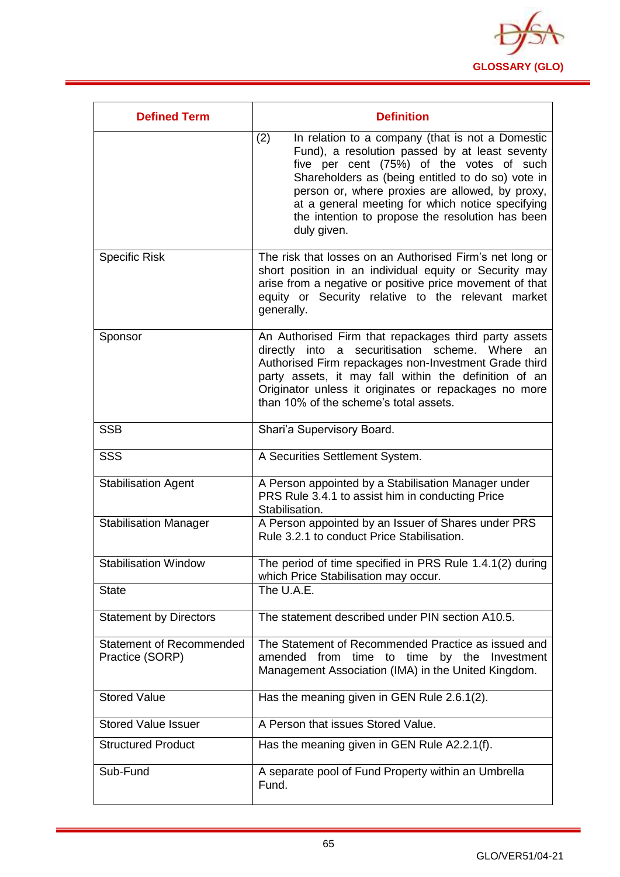

| <b>Defined Term</b>                                | <b>Definition</b>                                                                                                                                                                                                                                                                                                                                                                    |
|----------------------------------------------------|--------------------------------------------------------------------------------------------------------------------------------------------------------------------------------------------------------------------------------------------------------------------------------------------------------------------------------------------------------------------------------------|
|                                                    | In relation to a company (that is not a Domestic<br>(2)<br>Fund), a resolution passed by at least seventy<br>five per cent (75%) of the votes of such<br>Shareholders as (being entitled to do so) vote in<br>person or, where proxies are allowed, by proxy,<br>at a general meeting for which notice specifying<br>the intention to propose the resolution has been<br>duly given. |
| <b>Specific Risk</b>                               | The risk that losses on an Authorised Firm's net long or<br>short position in an individual equity or Security may<br>arise from a negative or positive price movement of that<br>equity or Security relative to the relevant market<br>generally.                                                                                                                                   |
| Sponsor                                            | An Authorised Firm that repackages third party assets<br>directly into a securitisation scheme. Where an<br>Authorised Firm repackages non-Investment Grade third<br>party assets, it may fall within the definition of an<br>Originator unless it originates or repackages no more<br>than 10% of the scheme's total assets.                                                        |
| <b>SSB</b>                                         | Shari'a Supervisory Board.                                                                                                                                                                                                                                                                                                                                                           |
| SSS                                                | A Securities Settlement System.                                                                                                                                                                                                                                                                                                                                                      |
| <b>Stabilisation Agent</b>                         | A Person appointed by a Stabilisation Manager under<br>PRS Rule 3.4.1 to assist him in conducting Price<br>Stabilisation.                                                                                                                                                                                                                                                            |
| <b>Stabilisation Manager</b>                       | A Person appointed by an Issuer of Shares under PRS<br>Rule 3.2.1 to conduct Price Stabilisation.                                                                                                                                                                                                                                                                                    |
| <b>Stabilisation Window</b>                        | The period of time specified in PRS Rule 1.4.1(2) during<br>which Price Stabilisation may occur.                                                                                                                                                                                                                                                                                     |
| <b>State</b>                                       | The U.A.E.                                                                                                                                                                                                                                                                                                                                                                           |
| <b>Statement by Directors</b>                      | The statement described under PIN section A10.5.                                                                                                                                                                                                                                                                                                                                     |
| <b>Statement of Recommended</b><br>Practice (SORP) | The Statement of Recommended Practice as issued and<br>amended from time to time by the Investment<br>Management Association (IMA) in the United Kingdom.                                                                                                                                                                                                                            |
| <b>Stored Value</b>                                | Has the meaning given in GEN Rule 2.6.1(2).                                                                                                                                                                                                                                                                                                                                          |
| <b>Stored Value Issuer</b>                         | A Person that issues Stored Value.                                                                                                                                                                                                                                                                                                                                                   |
| <b>Structured Product</b>                          | Has the meaning given in GEN Rule A2.2.1(f).                                                                                                                                                                                                                                                                                                                                         |
| Sub-Fund                                           | A separate pool of Fund Property within an Umbrella<br>Fund.                                                                                                                                                                                                                                                                                                                         |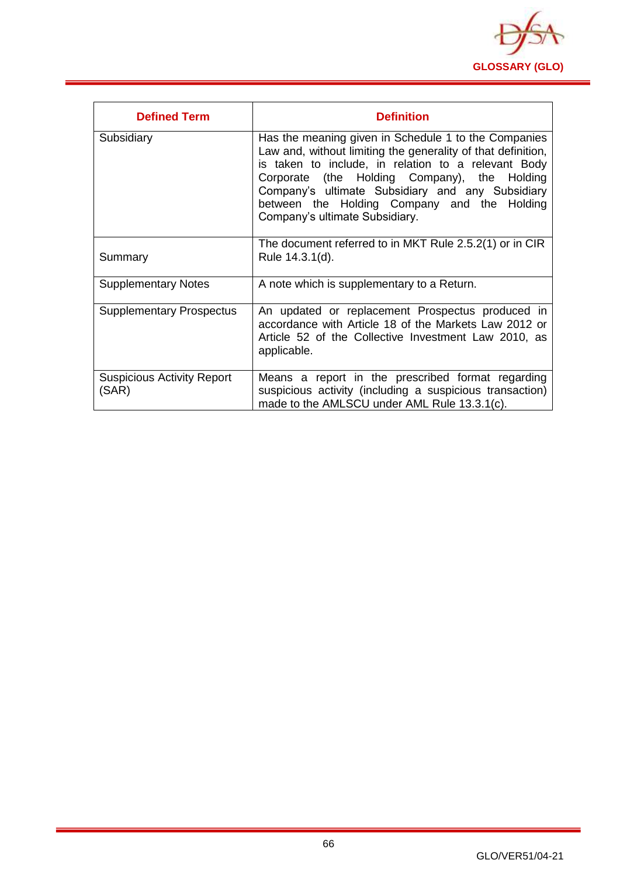

| <b>Defined Term</b>                        | <b>Definition</b>                                                                                                                                                                                                                                                                                                                                                |
|--------------------------------------------|------------------------------------------------------------------------------------------------------------------------------------------------------------------------------------------------------------------------------------------------------------------------------------------------------------------------------------------------------------------|
| Subsidiary                                 | Has the meaning given in Schedule 1 to the Companies<br>Law and, without limiting the generality of that definition,<br>is taken to include, in relation to a relevant Body<br>Corporate (the Holding Company), the Holding<br>Company's ultimate Subsidiary and any Subsidiary<br>between the Holding Company and the Holding<br>Company's ultimate Subsidiary. |
| Summary                                    | The document referred to in MKT Rule 2.5.2(1) or in CIR<br>Rule 14.3.1(d).                                                                                                                                                                                                                                                                                       |
| <b>Supplementary Notes</b>                 | A note which is supplementary to a Return.                                                                                                                                                                                                                                                                                                                       |
| <b>Supplementary Prospectus</b>            | An updated or replacement Prospectus produced in<br>accordance with Article 18 of the Markets Law 2012 or<br>Article 52 of the Collective Investment Law 2010, as<br>applicable.                                                                                                                                                                                 |
| <b>Suspicious Activity Report</b><br>(SAR) | Means a report in the prescribed format regarding<br>suspicious activity (including a suspicious transaction)<br>made to the AMLSCU under AML Rule 13.3.1(c).                                                                                                                                                                                                    |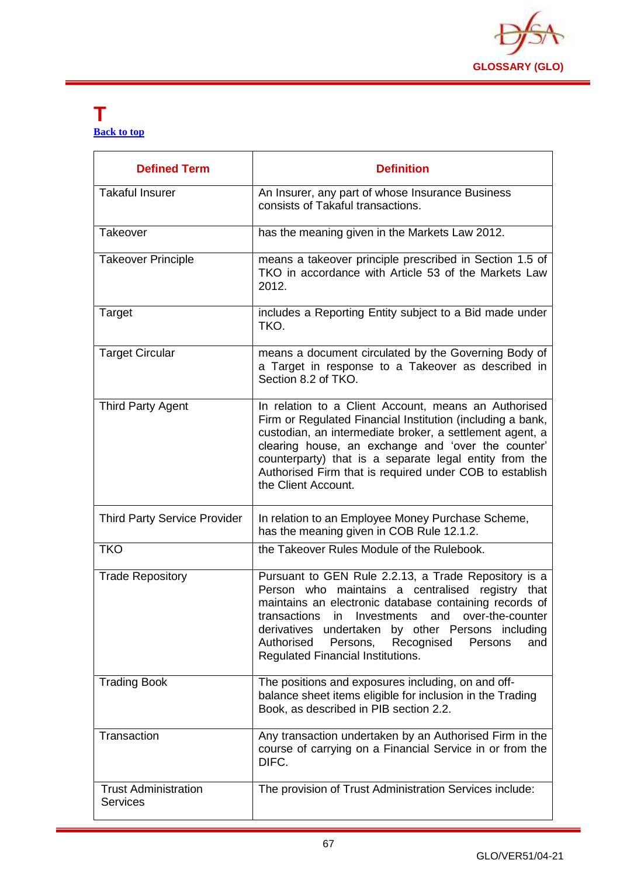

#### **T [Back to top](#page-1-0)**

| <b>Defined Term</b>                            | <b>Definition</b>                                                                                                                                                                                                                                                                                                                                                                      |
|------------------------------------------------|----------------------------------------------------------------------------------------------------------------------------------------------------------------------------------------------------------------------------------------------------------------------------------------------------------------------------------------------------------------------------------------|
| <b>Takaful Insurer</b>                         | An Insurer, any part of whose Insurance Business<br>consists of Takaful transactions.                                                                                                                                                                                                                                                                                                  |
| Takeover                                       | has the meaning given in the Markets Law 2012.                                                                                                                                                                                                                                                                                                                                         |
| <b>Takeover Principle</b>                      | means a takeover principle prescribed in Section 1.5 of<br>TKO in accordance with Article 53 of the Markets Law<br>2012.                                                                                                                                                                                                                                                               |
| Target                                         | includes a Reporting Entity subject to a Bid made under<br>TKO.                                                                                                                                                                                                                                                                                                                        |
| <b>Target Circular</b>                         | means a document circulated by the Governing Body of<br>a Target in response to a Takeover as described in<br>Section 8.2 of TKO.                                                                                                                                                                                                                                                      |
| <b>Third Party Agent</b>                       | In relation to a Client Account, means an Authorised<br>Firm or Regulated Financial Institution (including a bank,<br>custodian, an intermediate broker, a settlement agent, a<br>clearing house, an exchange and 'over the counter'<br>counterparty) that is a separate legal entity from the<br>Authorised Firm that is required under COB to establish<br>the Client Account.       |
| <b>Third Party Service Provider</b>            | In relation to an Employee Money Purchase Scheme,<br>has the meaning given in COB Rule 12.1.2.                                                                                                                                                                                                                                                                                         |
| <b>TKO</b>                                     | the Takeover Rules Module of the Rulebook.                                                                                                                                                                                                                                                                                                                                             |
| <b>Trade Repository</b>                        | Pursuant to GEN Rule 2.2.13, a Trade Repository is a<br>Person who maintains a centralised registry that<br>maintains an electronic database containing records of<br>transactions<br>Investments<br>and<br>over-the-counter<br>in<br>derivatives undertaken by other Persons including<br>Authorised<br>Persons,<br>Recognised<br>Persons<br>and<br>Regulated Financial Institutions. |
| <b>Trading Book</b>                            | The positions and exposures including, on and off-<br>balance sheet items eligible for inclusion in the Trading<br>Book, as described in PIB section 2.2.                                                                                                                                                                                                                              |
| Transaction                                    | Any transaction undertaken by an Authorised Firm in the<br>course of carrying on a Financial Service in or from the<br>DIFC.                                                                                                                                                                                                                                                           |
| <b>Trust Administration</b><br><b>Services</b> | The provision of Trust Administration Services include:                                                                                                                                                                                                                                                                                                                                |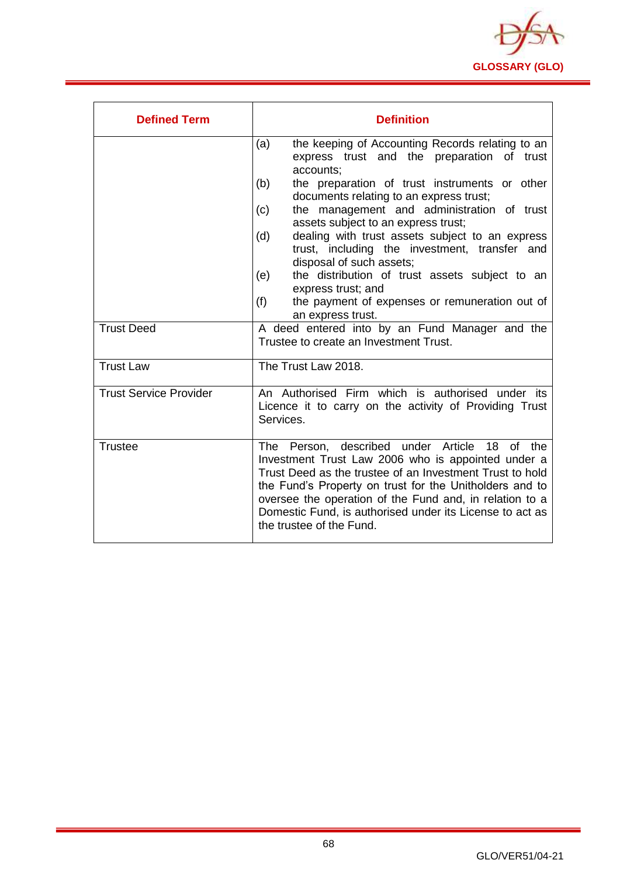

| <b>Defined Term</b>           | <b>Definition</b>                                                                                                                                                                                                                                                                                                                                                                                                                                                                                                                                                                                                     |
|-------------------------------|-----------------------------------------------------------------------------------------------------------------------------------------------------------------------------------------------------------------------------------------------------------------------------------------------------------------------------------------------------------------------------------------------------------------------------------------------------------------------------------------------------------------------------------------------------------------------------------------------------------------------|
|                               | the keeping of Accounting Records relating to an<br>(a)<br>express trust and the preparation of trust<br>accounts;<br>(b)<br>the preparation of trust instruments or other<br>documents relating to an express trust;<br>the management and administration of trust<br>(c)<br>assets subject to an express trust;<br>dealing with trust assets subject to an express<br>(d)<br>trust, including the investment, transfer and<br>disposal of such assets;<br>the distribution of trust assets subject to an<br>(e)<br>express trust; and<br>(f)<br>the payment of expenses or remuneration out of<br>an express trust. |
| <b>Trust Deed</b>             | A deed entered into by an Fund Manager and the<br>Trustee to create an Investment Trust.                                                                                                                                                                                                                                                                                                                                                                                                                                                                                                                              |
| <b>Trust Law</b>              | The Trust Law 2018.                                                                                                                                                                                                                                                                                                                                                                                                                                                                                                                                                                                                   |
| <b>Trust Service Provider</b> | An Authorised Firm which is authorised under its<br>Licence it to carry on the activity of Providing Trust<br>Services.                                                                                                                                                                                                                                                                                                                                                                                                                                                                                               |
| <b>Trustee</b>                | The Person, described under Article<br>18<br>οf<br>the<br>Investment Trust Law 2006 who is appointed under a<br>Trust Deed as the trustee of an Investment Trust to hold<br>the Fund's Property on trust for the Unitholders and to<br>oversee the operation of the Fund and, in relation to a<br>Domestic Fund, is authorised under its License to act as<br>the trustee of the Fund.                                                                                                                                                                                                                                |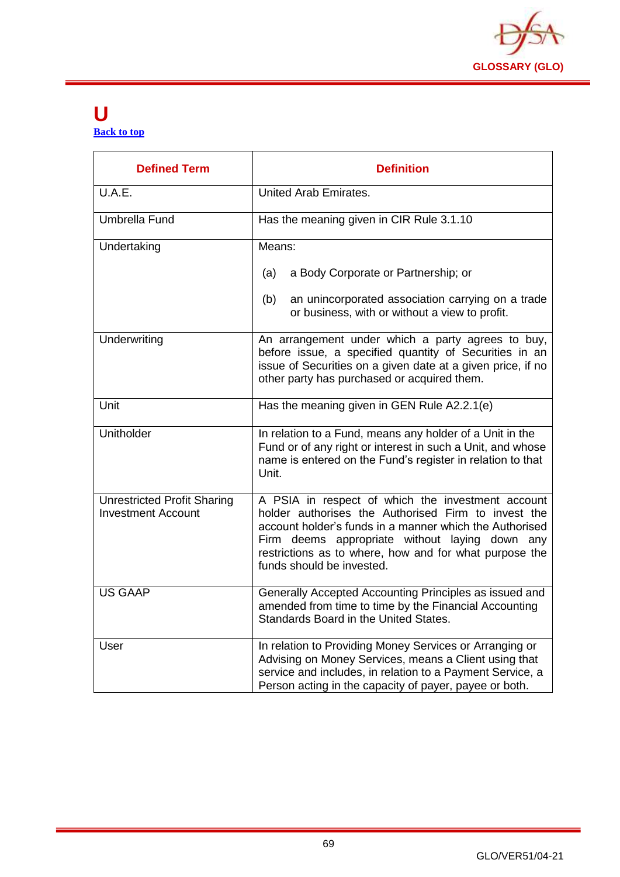

#### **U [Back to top](#page-1-0)**

| <b>Defined Term</b>                                             | <b>Definition</b>                                                                                                                                                                                                                                                                                            |
|-----------------------------------------------------------------|--------------------------------------------------------------------------------------------------------------------------------------------------------------------------------------------------------------------------------------------------------------------------------------------------------------|
| U.A.E.                                                          | United Arab Emirates.                                                                                                                                                                                                                                                                                        |
| <b>Umbrella Fund</b>                                            | Has the meaning given in CIR Rule 3.1.10                                                                                                                                                                                                                                                                     |
| Undertaking                                                     | Means:                                                                                                                                                                                                                                                                                                       |
|                                                                 | a Body Corporate or Partnership; or<br>(a)                                                                                                                                                                                                                                                                   |
|                                                                 | (b)<br>an unincorporated association carrying on a trade<br>or business, with or without a view to profit.                                                                                                                                                                                                   |
| Underwriting                                                    | An arrangement under which a party agrees to buy,<br>before issue, a specified quantity of Securities in an<br>issue of Securities on a given date at a given price, if no<br>other party has purchased or acquired them.                                                                                    |
| Unit                                                            | Has the meaning given in GEN Rule A2.2.1(e)                                                                                                                                                                                                                                                                  |
| Unitholder                                                      | In relation to a Fund, means any holder of a Unit in the<br>Fund or of any right or interest in such a Unit, and whose<br>name is entered on the Fund's register in relation to that<br>Unit.                                                                                                                |
| <b>Unrestricted Profit Sharing</b><br><b>Investment Account</b> | A PSIA in respect of which the investment account<br>holder authorises the Authorised Firm to invest the<br>account holder's funds in a manner which the Authorised<br>Firm deems appropriate without laying down any<br>restrictions as to where, how and for what purpose the<br>funds should be invested. |
| <b>US GAAP</b>                                                  | Generally Accepted Accounting Principles as issued and<br>amended from time to time by the Financial Accounting<br>Standards Board in the United States.                                                                                                                                                     |
| User                                                            | In relation to Providing Money Services or Arranging or<br>Advising on Money Services, means a Client using that<br>service and includes, in relation to a Payment Service, a<br>Person acting in the capacity of payer, payee or both.                                                                      |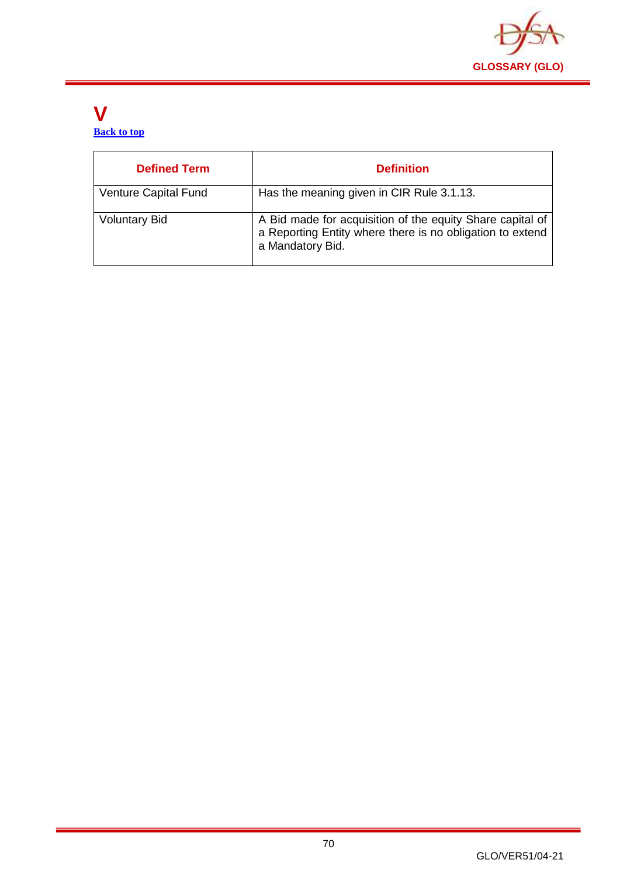

#### **V [Back to top](#page-1-0)**

| <b>Defined Term</b>  | <b>Definition</b>                                                                                                                          |
|----------------------|--------------------------------------------------------------------------------------------------------------------------------------------|
| Venture Capital Fund | Has the meaning given in CIR Rule 3.1.13.                                                                                                  |
| <b>Voluntary Bid</b> | A Bid made for acquisition of the equity Share capital of<br>a Reporting Entity where there is no obligation to extend<br>a Mandatory Bid. |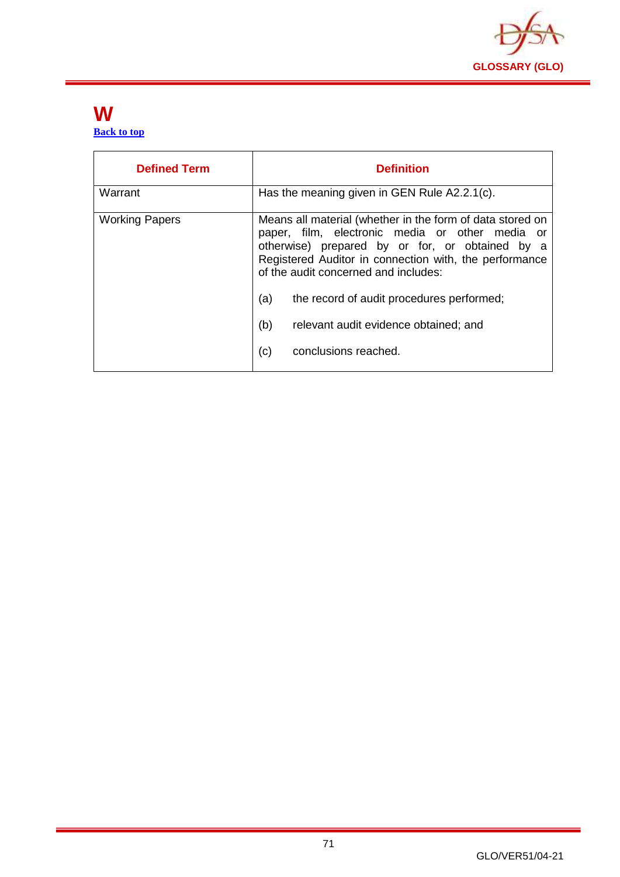

#### **W [Back to top](#page-1-0)**

| <b>Defined Term</b>   | <b>Definition</b>                                                                                                                                                                                                                                                                                                                                                                                    |
|-----------------------|------------------------------------------------------------------------------------------------------------------------------------------------------------------------------------------------------------------------------------------------------------------------------------------------------------------------------------------------------------------------------------------------------|
| Warrant               | Has the meaning given in GEN Rule A2.2.1(c).                                                                                                                                                                                                                                                                                                                                                         |
| <b>Working Papers</b> | Means all material (whether in the form of data stored on<br>paper, film, electronic media or other media or<br>otherwise) prepared by or for, or obtained by a<br>Registered Auditor in connection with, the performance<br>of the audit concerned and includes:<br>(a)<br>the record of audit procedures performed;<br>(b)<br>relevant audit evidence obtained; and<br>(c)<br>conclusions reached. |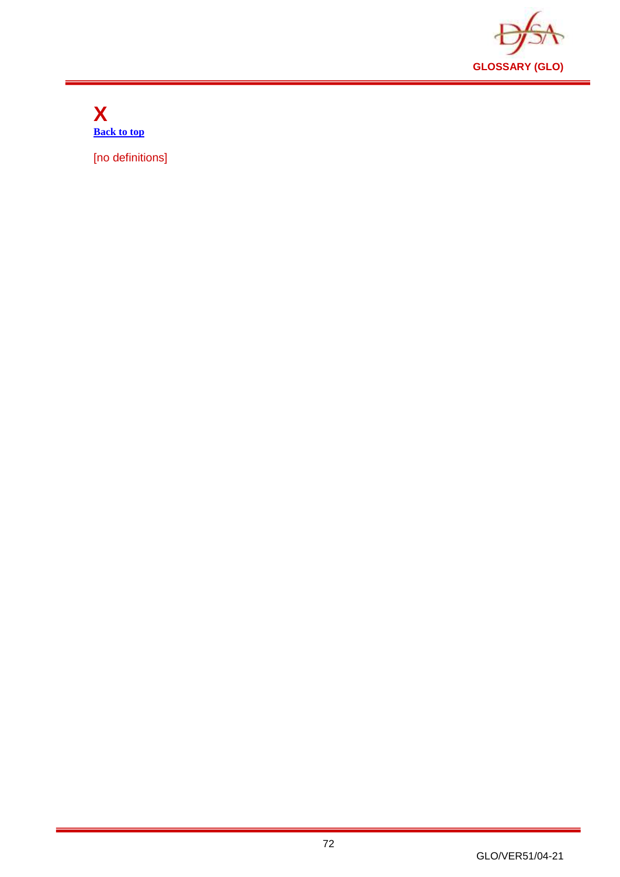

**X [Back to top](#page-1-0)**

[no definitions]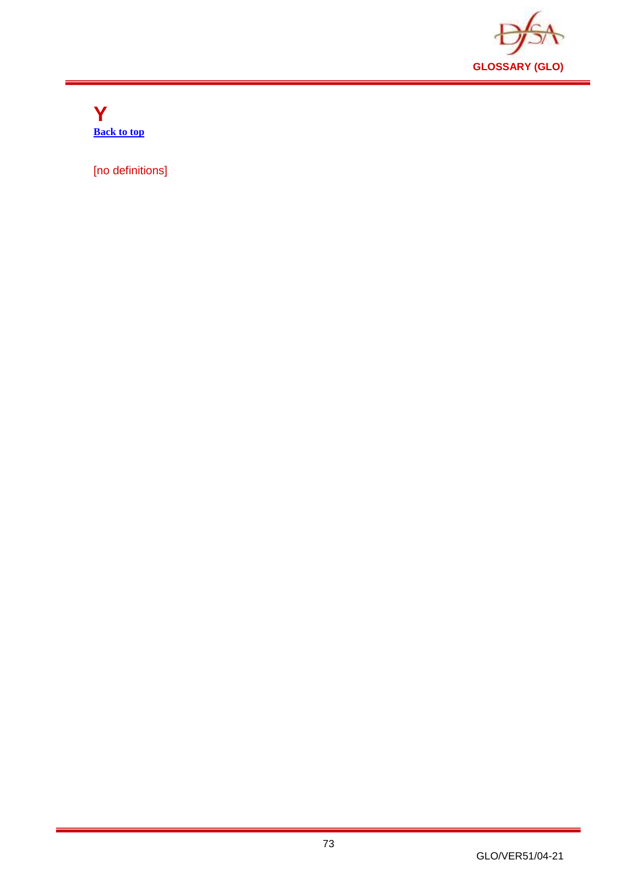

**Y [Back to top](#page-1-0)**

[no definitions]